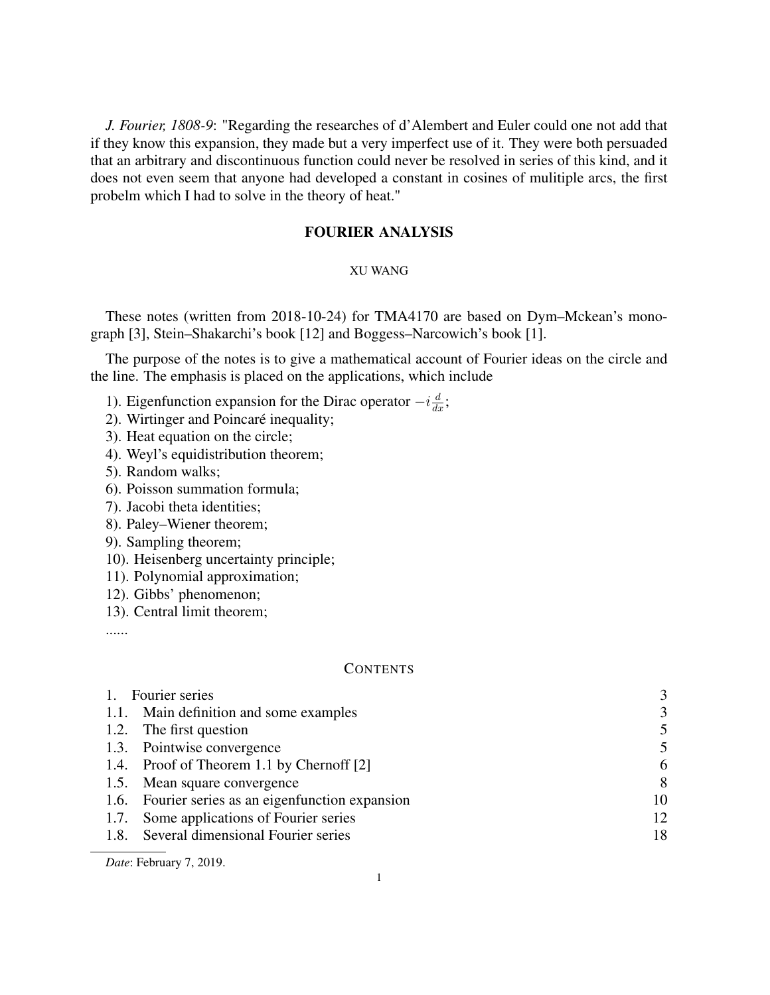*J. Fourier, 1808-9*: "Regarding the researches of d'Alembert and Euler could one not add that if they know this expansion, they made but a very imperfect use of it. They were both persuaded that an arbitrary and discontinuous function could never be resolved in series of this kind, and it does not even seem that anyone had developed a constant in cosines of mulitiple arcs, the first probelm which I had to solve in the theory of heat."

# FOURIER ANALYSIS

## XU WANG

These notes (written from 2018-10-24) for TMA4170 are based on Dym–Mckean's monograph [3], Stein–Shakarchi's book [12] and Boggess–Narcowich's book [1].

The purpose of the notes is to give a mathematical account of Fourier ideas on the circle and the line. The emphasis is placed on the applications, which include

- 1). Eigenfunction expansion for the Dirac operator  $-i\frac{d}{dx}$ ;
- 2). Wirtinger and Poincaré inequality;
- 3). Heat equation on the circle;
- 4). Weyl's equidistribution theorem;
- 5). Random walks;
- 6). Poisson summation formula;
- 7). Jacobi theta identities;
- 8). Paley–Wiener theorem;
- 9). Sampling theorem;
- 10). Heisenberg uncertainty principle;
- 11). Polynomial approximation;
- 12). Gibbs' phenomenon;
- 13). Central limit theorem;

......

### **CONTENTS**

| Fourier series                                    | 3  |
|---------------------------------------------------|----|
| 1.1. Main definition and some examples            | 3  |
| 1.2. The first question                           | 5  |
| 1.3. Pointwise convergence                        | 5  |
| 1.4. Proof of Theorem 1.1 by Chernoff [2]         | 6  |
| 1.5. Mean square convergence                      | 8  |
| 1.6. Fourier series as an eigenfunction expansion | 10 |
| Some applications of Fourier series<br>1.7.       | 12 |
| 1.8. Several dimensional Fourier series           | 18 |
|                                                   |    |

*Date*: February 7, 2019.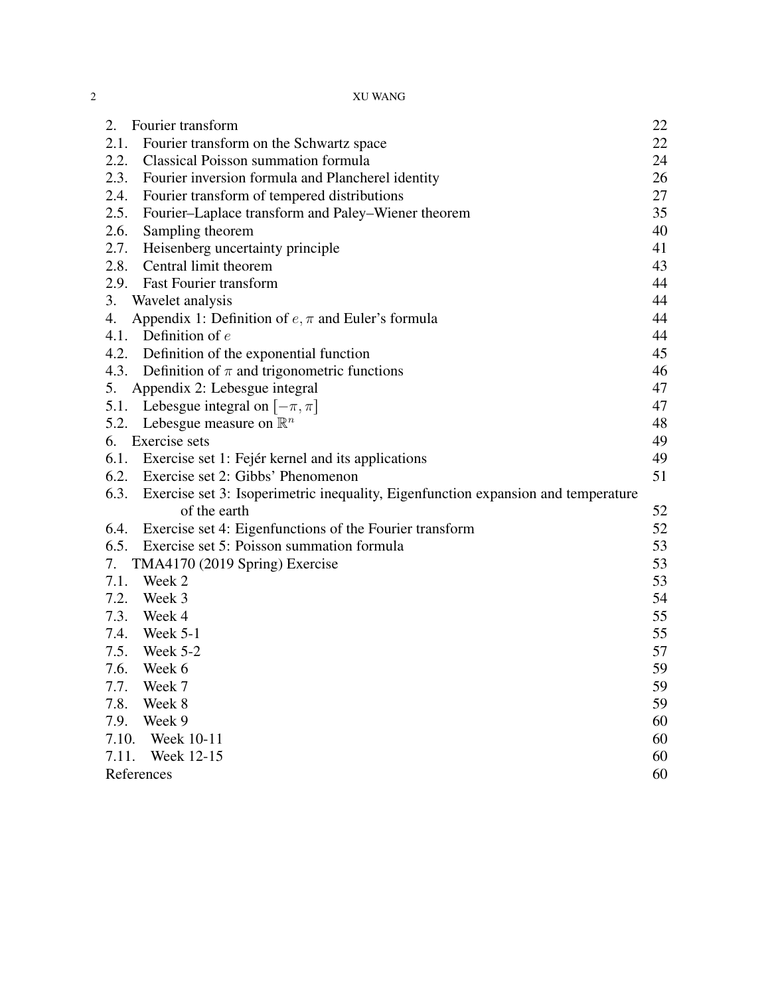| 2.<br>Fourier transform                                                                | 22 |
|----------------------------------------------------------------------------------------|----|
| Fourier transform on the Schwartz space<br>2.1.                                        | 22 |
| 2.2. Classical Poisson summation formula                                               | 24 |
| 2.3. Fourier inversion formula and Plancherel identity                                 | 26 |
| 2.4. Fourier transform of tempered distributions                                       | 27 |
| 2.5.<br>Fourier-Laplace transform and Paley-Wiener theorem                             | 35 |
| 2.6.<br>Sampling theorem                                                               | 40 |
| 2.7.<br>Heisenberg uncertainty principle                                               | 41 |
| 2.8. Central limit theorem                                                             | 43 |
| 2.9. Fast Fourier transform                                                            | 44 |
| 3.<br>Wavelet analysis                                                                 | 44 |
| Appendix 1: Definition of $e, \pi$ and Euler's formula<br>4.                           | 44 |
| 4.1. Definition of $e$                                                                 | 44 |
| 4.2. Definition of the exponential function                                            | 45 |
| 4.3. Definition of $\pi$ and trigonometric functions                                   | 46 |
| 5. Appendix 2: Lebesgue integral                                                       | 47 |
| 5.1. Lebesgue integral on $[-\pi, \pi]$                                                | 47 |
| Lebesgue measure on $\mathbb{R}^n$<br>5.2.                                             | 48 |
| 6. Exercise sets                                                                       | 49 |
| 6.1. Exercise set 1: Fejér kernel and its applications                                 | 49 |
| 6.2. Exercise set 2: Gibbs' Phenomenon                                                 | 51 |
| 6.3. Exercise set 3: Isoperimetric inequality, Eigenfunction expansion and temperature |    |
| of the earth                                                                           | 52 |
| 6.4. Exercise set 4: Eigenfunctions of the Fourier transform                           | 52 |
| 6.5. Exercise set 5: Poisson summation formula                                         | 53 |
| TMA4170 (2019 Spring) Exercise<br>7.                                                   | 53 |
| 7.1.<br>Week 2                                                                         | 53 |
| 7.2. Week 3                                                                            | 54 |
| 7.3. Week 4                                                                            | 55 |
| 7.4. Week 5-1                                                                          | 55 |
| 7.5. Week 5-2                                                                          | 57 |
| 7.6.<br>Week 6                                                                         | 59 |
| 7.7.<br>Week 7                                                                         | 59 |
| 7.8.<br>Week 8                                                                         | 59 |
| 7.9.<br>Week 9                                                                         | 60 |
| 7.10.<br>Week 10-11                                                                    | 60 |
| 7.11.<br>Week 12-15                                                                    | 60 |
| References                                                                             | 60 |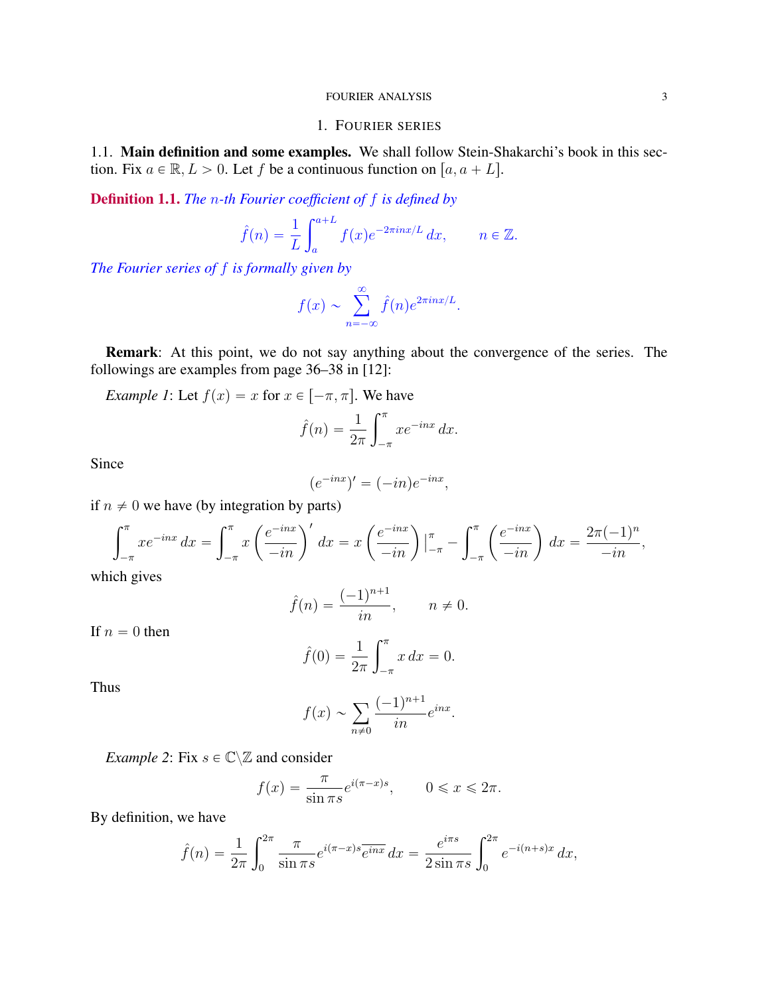## 1. FOURIER SERIES

1.1. Main definition and some examples. We shall follow Stein-Shakarchi's book in this section. Fix  $a \in \mathbb{R}, L > 0$ . Let f be a continuous function on  $[a, a + L]$ .

Definition 1.1. *The* n*-th Fourier coefficient of* f *is defined by*

$$
\hat{f}(n) = \frac{1}{L} \int_{a}^{a+L} f(x) e^{-2\pi i nx/L} dx, \qquad n \in \mathbb{Z}.
$$

*The Fourier series of* f *is formally given by*

$$
f(x) \sim \sum_{n=-\infty}^{\infty} \hat{f}(n)e^{2\pi i nx/L}.
$$

Remark: At this point, we do not say anything about the convergence of the series. The followings are examples from page 36–38 in [12]:

*Example 1*: Let  $f(x) = x$  for  $x \in [-\pi, \pi]$ . We have

$$
\hat{f}(n) = \frac{1}{2\pi} \int_{-\pi}^{\pi} x e^{-inx} dx.
$$

Since

$$
(e^{-inx})' = (-in)e^{-inx},
$$

if  $n \neq 0$  we have (by integration by parts)

$$
\int_{-\pi}^{\pi} x e^{-inx} dx = \int_{-\pi}^{\pi} x \left( \frac{e^{-inx}}{-in} \right)' dx = x \left( \frac{e^{-inx}}{-in} \right) \Big|_{-\pi}^{\pi} - \int_{-\pi}^{\pi} \left( \frac{e^{-inx}}{-in} \right) dx = \frac{2\pi (-1)^n}{-in},
$$

which gives

$$
\hat{f}(n) = \frac{(-1)^{n+1}}{in}, \quad n \neq 0.
$$

If  $n = 0$  then

$$
\hat{f}(0) = \frac{1}{2\pi} \int_{-\pi}^{\pi} x \, dx = 0.
$$

Thus

$$
f(x) \sim \sum_{n \neq 0} \frac{(-1)^{n+1}}{in} e^{inx}.
$$

*Example 2*: Fix  $s \in \mathbb{C} \setminus \mathbb{Z}$  and consider

$$
f(x) = \frac{\pi}{\sin \pi s} e^{i(\pi - x)s}, \qquad 0 \leq x \leq 2\pi.
$$

By definition, we have

$$
\hat{f}(n) = \frac{1}{2\pi} \int_0^{2\pi} \frac{\pi}{\sin \pi s} e^{i(\pi - x)s} \overline{e^{inx}} dx = \frac{e^{i\pi s}}{2 \sin \pi s} \int_0^{2\pi} e^{-i(n+s)x} dx,
$$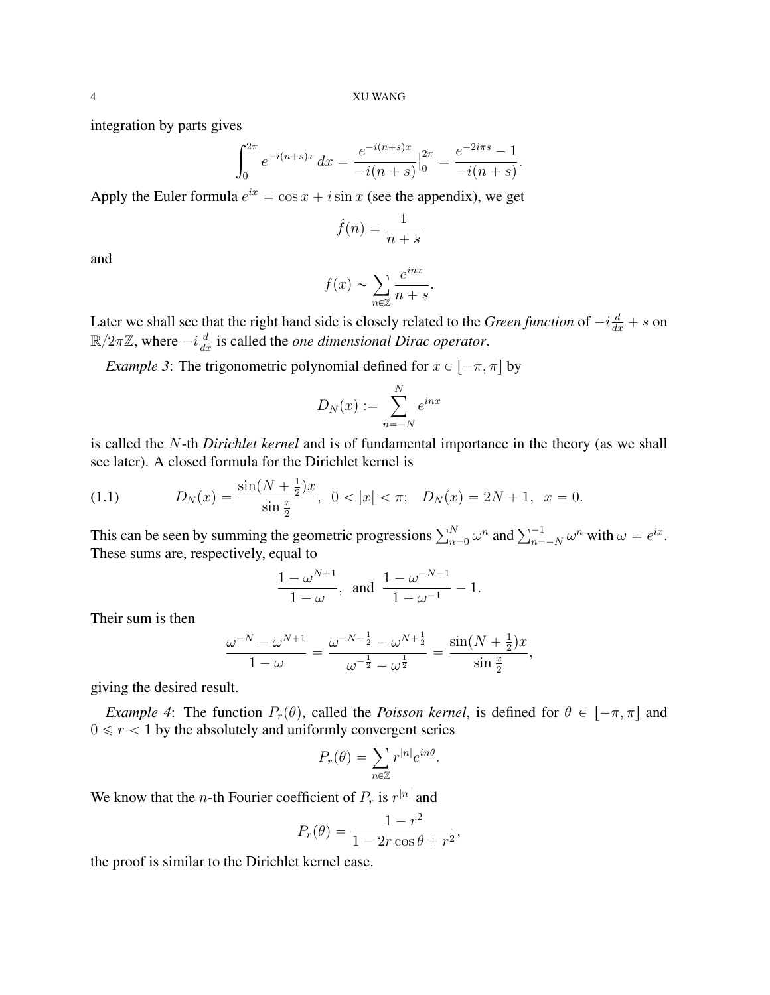integration by parts gives

$$
\int_0^{2\pi} e^{-i(n+s)x} dx = \frac{e^{-i(n+s)x}}{-i(n+s)} \Big|_0^{2\pi} = \frac{e^{-2i\pi s} - 1}{-i(n+s)}
$$

.

Apply the Euler formula  $e^{ix} = \cos x + i \sin x$  (see the appendix), we get

$$
\hat{f}(n) = \frac{1}{n+s}
$$

and

$$
f(x) \sim \sum_{n \in \mathbb{Z}} \frac{e^{inx}}{n+s}.
$$

Later we shall see that the right hand side is closely related to the *Green function* of  $-i\frac{d}{dx} + s$  on  $\mathbb{R}/2\pi\mathbb{Z}$ , where  $-i\frac{d}{dx}$  is called the *one dimensional Dirac operator*.

*Example 3*: The trigonometric polynomial defined for  $x \in [-\pi, \pi]$  by

$$
D_N(x) := \sum_{n=-N}^{N} e^{inx}
$$

is called the N-th *Dirichlet kernel* and is of fundamental importance in the theory (as we shall see later). A closed formula for the Dirichlet kernel is

(1.1) 
$$
D_N(x) = \frac{\sin(N + \frac{1}{2})x}{\sin \frac{x}{2}}, \ \ 0 < |x| < \pi; \ \ D_N(x) = 2N + 1, \ \ x = 0.
$$

This can be seen by summing the geometric progressions  $\sum_{n=0}^{N} \omega^n$  and  $\sum_{n=-N}^{-1} \omega^n$  with  $\omega = e^{ix}$ . These sums are, respectively, equal to

$$
\frac{1-\omega^{N+1}}{1-\omega}, \text{ and } \frac{1-\omega^{-N-1}}{1-\omega^{-1}}-1.
$$

Their sum is then

$$
\frac{\omega^{-N} - \omega^{N+1}}{1 - \omega} = \frac{\omega^{-N-\frac{1}{2}} - \omega^{N+\frac{1}{2}}}{\omega^{-\frac{1}{2}} - \omega^{\frac{1}{2}}} = \frac{\sin(N+\frac{1}{2})x}{\sin\frac{x}{2}},
$$

giving the desired result.

*Example 4*: The function  $P_r(\theta)$ , called the *Poisson kernel*, is defined for  $\theta \in [-\pi, \pi]$  and  $0 \le r < 1$  by the absolutely and uniformly convergent series<br>  $P_r(\theta) = \sum_{i} r^{|n|} e^{in\theta}$ .

$$
P_r(\theta) = \sum_{n \in \mathbb{Z}} r^{|n|} e^{in\theta}.
$$

We know that the *n*-th Fourier coefficient of  $P_r$  is  $r^{|n|}$  and

$$
P_r(\theta) = \frac{1 - r^2}{1 - 2r\cos\theta + r^2},
$$

the proof is similar to the Dirichlet kernel case.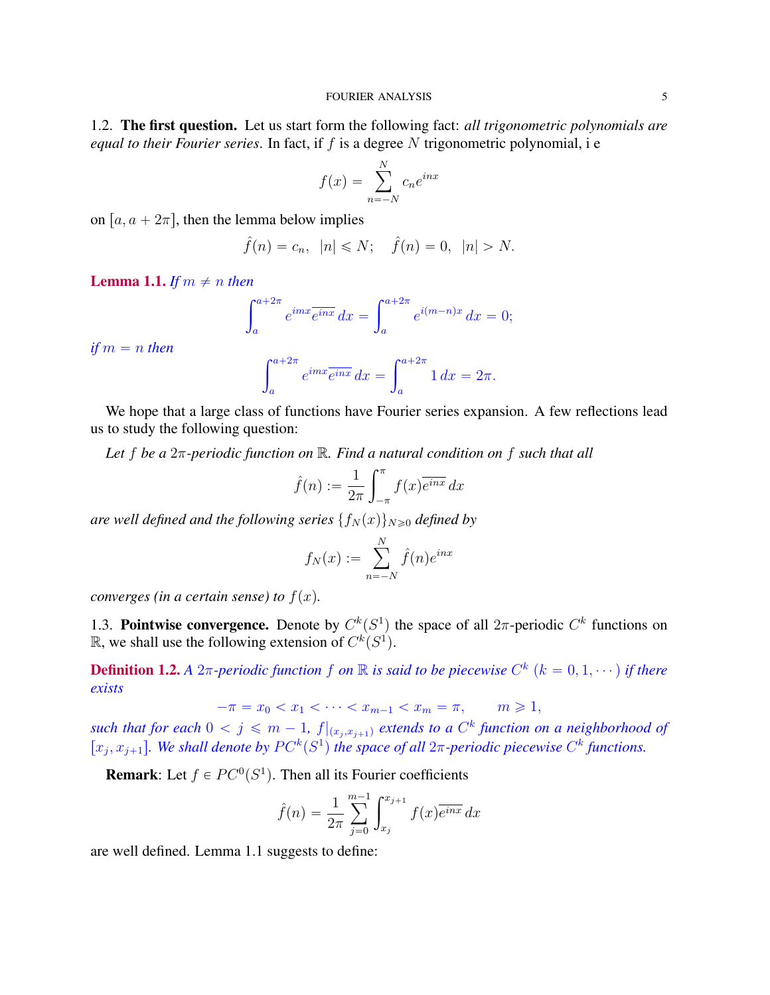1.2. The first question. Let us start form the following fact: *all trigonometric polynomials are equal to their Fourier series*. In fact, if f is a degree N trigonometric polynomial, i e

$$
f(x) = \sum_{n=-N}^{N} c_n e^{inx}
$$

on  $[a, a + 2\pi]$ , then the lemma below implies

$$
\hat{f}(n) = c_n, \ |n| \le N; \quad \hat{f}(n) = 0, \ |n| > N.
$$

**Lemma 1.1.** *If*  $m \neq n$  *then* 

$$
\int_{a}^{a+2\pi} e^{imx} \overline{e^{inx}} \, dx = \int_{a}^{a+2\pi} e^{i(m-n)x} \, dx = 0;
$$

*if*  $m = n$  *then* 

$$
\int_{a}^{a+2\pi} e^{imx} \overline{e^{inx}} dx = \int_{a}^{a+2\pi} 1 dx = 2\pi.
$$

We hope that a large class of functions have Fourier series expansion. A few reflections lead us to study the following question:

*Let* f *be a* 2π*-periodic function on* R*. Find a natural condition on* f *such that all*

$$
\hat{f}(n) := \frac{1}{2\pi} \int_{-\pi}^{\pi} f(x) \overline{e^{inx}} dx
$$

*are well defined and the following series*  $\{f_N(x)\}_{N\geq 0}$  *defined by* 

$$
f_N(x) := \sum_{n=-N}^{N} \hat{f}(n)e^{inx}
$$

*converges (in a certain sense) to*  $f(x)$ *.* 

1.3. Pointwise convergence. Denote by  $C^k(S^1)$  the space of all  $2\pi$ -periodic  $C^k$  functions on  $\mathbb{R}$ , we shall use the following extension of  $C^k(S^1)$ .

**Definition 1.2.** *A*  $2\pi$ -periodic function f on  $\mathbb R$  is said to be piecewise  $C^k$   $(k = 0, 1, \dots)$  if there *exists*

$$
-\pi = x_0 < x_1 < \dots < x_{m-1} < x_m = \pi, \qquad m \geq 1,
$$

such that for each  $0 < j \leqslant m - 1$ ,  $f|_{(x_j, x_{j+1})}$  extends to a  $C<sup>k</sup>$  function on a neighborhood of  $[x_j, x_{j+1}]$ . We shall denote by  $PC^k(S^1)$  the space of all  $2\pi$ -periodic piecewise  $C^k$  functions.

**Remark**: Let  $f \in PC^0(S^1)$ . Then all its Fourier coefficients

$$
\hat{f}(n) = \frac{1}{2\pi} \sum_{j=0}^{m-1} \int_{x_j}^{x_{j+1}} f(x) \overline{e^{inx}} dx
$$

are well defined. Lemma 1.1 suggests to define: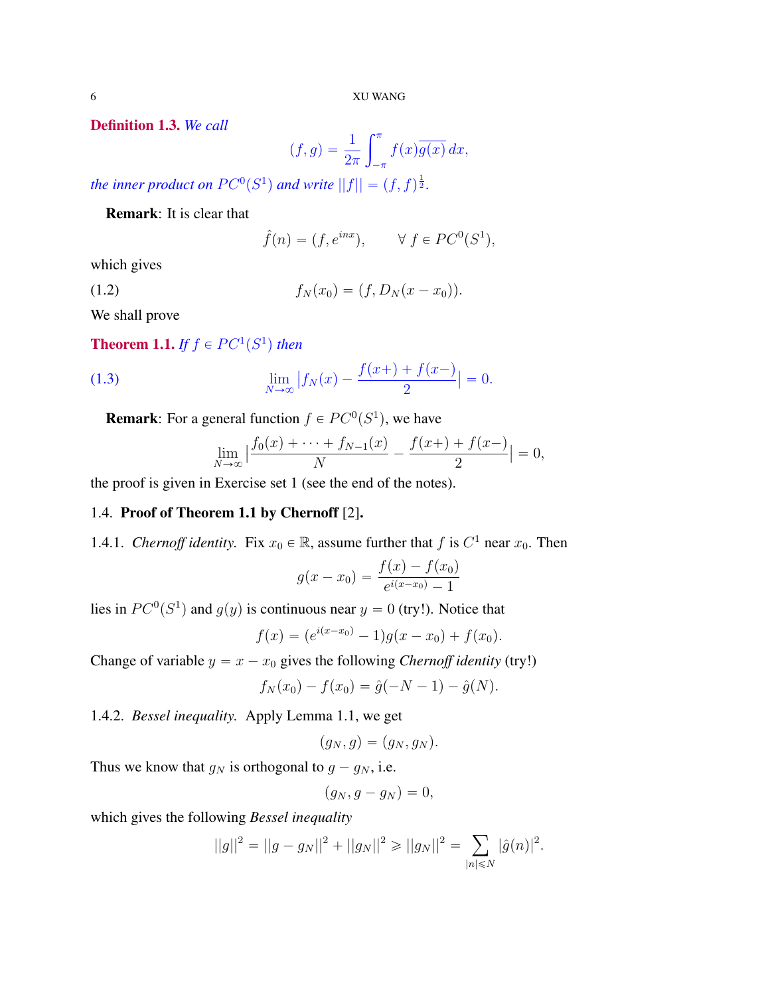Definition 1.3. *We call*

$$
(f,g) = \frac{1}{2\pi} \int_{-\pi}^{\pi} f(x) \overline{g(x)} dx,
$$

*the inner product on*  $PC^0(S^1)$  *and write*  $||f|| = (f, f)^{\frac{1}{2}}$ *.* 

Remark: It is clear that

$$
\hat{f}(n) = (f, e^{inx}), \qquad \forall \ f \in PC^0(S^1),
$$

which gives

$$
(1.2) \t\t f_N(x_0) = (f, D_N(x - x_0)).
$$

We shall prove

**Theorem 1.1.** If  $f \in PC^1(S^1)$  then

(1.3) 
$$
\lim_{N \to \infty} |f_N(x) - \frac{f(x+)+f(x-)}{2}| = 0.
$$

**Remark**: For a general function  $f \in PC^0(S^1)$ , we have

$$
\lim_{N \to \infty} \left| \frac{f_0(x) + \dots + f_{N-1}(x)}{N} - \frac{f(x) + f(x)}{2} \right| = 0,
$$

the proof is given in Exercise set 1 (see the end of the notes).

# 1.4. Proof of Theorem 1.1 by Chernoff [2].

1.4.1. *Chernoff identity*. Fix  $x_0 \in \mathbb{R}$ , assume further that f is  $C^1$  near  $x_0$ . Then

$$
g(x - x_0) = \frac{f(x) - f(x_0)}{e^{i(x - x_0)} - 1}
$$

lies in  $PC^0(S^1)$  and  $g(y)$  is continuous near  $y = 0$  (try!). Notice that

$$
f(x) = (e^{i(x-x_0)} - 1)g(x-x_0) + f(x_0).
$$

Change of variable  $y = x - x_0$  gives the following *Chernoff identity* (try!)

$$
f_N(x_0) - f(x_0) = \hat{g}(-N-1) - \hat{g}(N).
$$

1.4.2. *Bessel inequality.* Apply Lemma 1.1, we get

$$
(g_N, g) = (g_N, g_N).
$$

Thus we know that  $g_N$  is orthogonal to  $g - g_N$ , i.e.

$$
(g_N, g - g_N) = 0,
$$

which gives the following *Bessel inequality*

$$
||g||^2 = ||g - g_N||^2 + ||g_N||^2 \ge ||g_N||^2 = \sum_{|n| \le N} |\hat{g}(n)|^2.
$$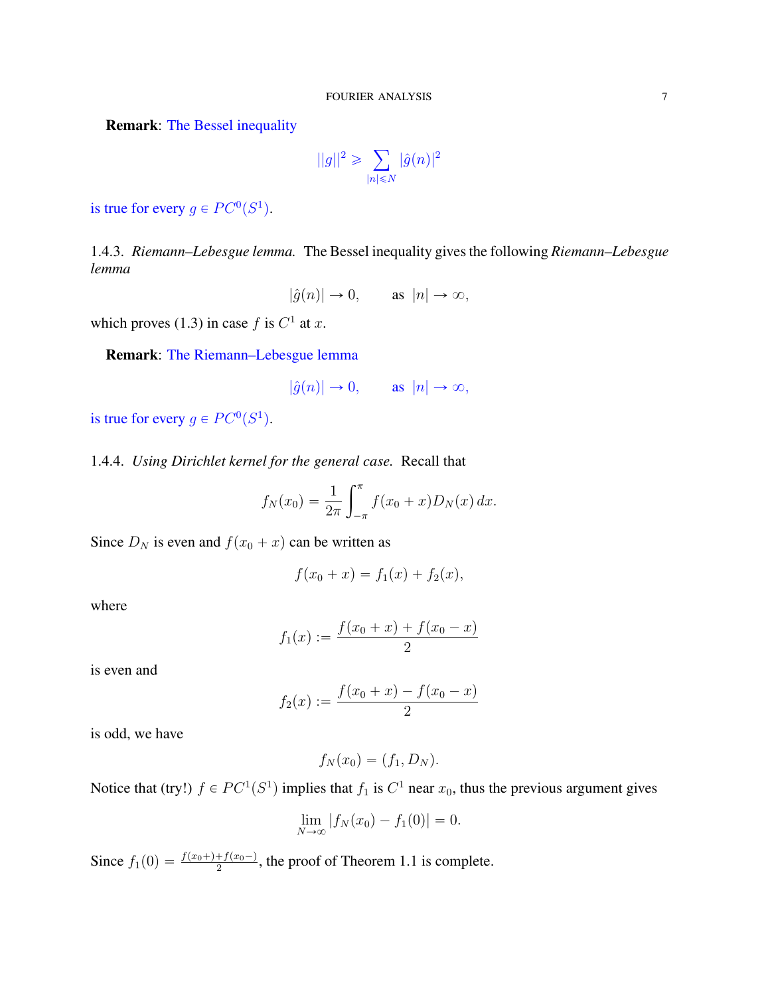Remark: The Bessel inequality

$$
||g||^2 \geqslant \sum_{|n| \leqslant N} |\hat{g}(n)|^2
$$

is true for every  $g \in PC^0(S^1)$ .

1.4.3. *Riemann–Lebesgue lemma.* The Bessel inequality gives the following *Riemann–Lebesgue lemma*

$$
|\hat{g}(n)| \to 0, \quad \text{as } |n| \to \infty,
$$

which proves (1.3) in case  $f$  is  $C^1$  at  $x$ .

Remark: The Riemann–Lebesgue lemma

$$
|\hat{g}(n)| \to 0, \quad \text{as } |n| \to \infty,
$$

is true for every  $g \in PC^0(S^1)$ .

1.4.4. *Using Dirichlet kernel for the general case.* Recall that

$$
f_N(x_0) = \frac{1}{2\pi} \int_{-\pi}^{\pi} f(x_0 + x) D_N(x) dx.
$$

Since  $D_N$  is even and  $f(x_0 + x)$  can be written as

$$
f(x_0 + x) = f_1(x) + f_2(x),
$$

where

$$
f_1(x) := \frac{f(x_0 + x) + f(x_0 - x)}{2}
$$

is even and

$$
f_2(x) := \frac{f(x_0 + x) - f(x_0 - x)}{2}
$$

is odd, we have

$$
f_N(x_0) = (f_1, D_N).
$$

Notice that (try!)  $f \in PC^1(S^1)$  implies that  $f_1$  is  $C^1$  near  $x_0$ , thus the previous argument gives

$$
\lim_{N \to \infty} |f_N(x_0) - f_1(0)| = 0.
$$

Since  $f_1(0) = \frac{f(x_0 +) + f(x_0 -)}{2}$ , the proof of Theorem 1.1 is complete.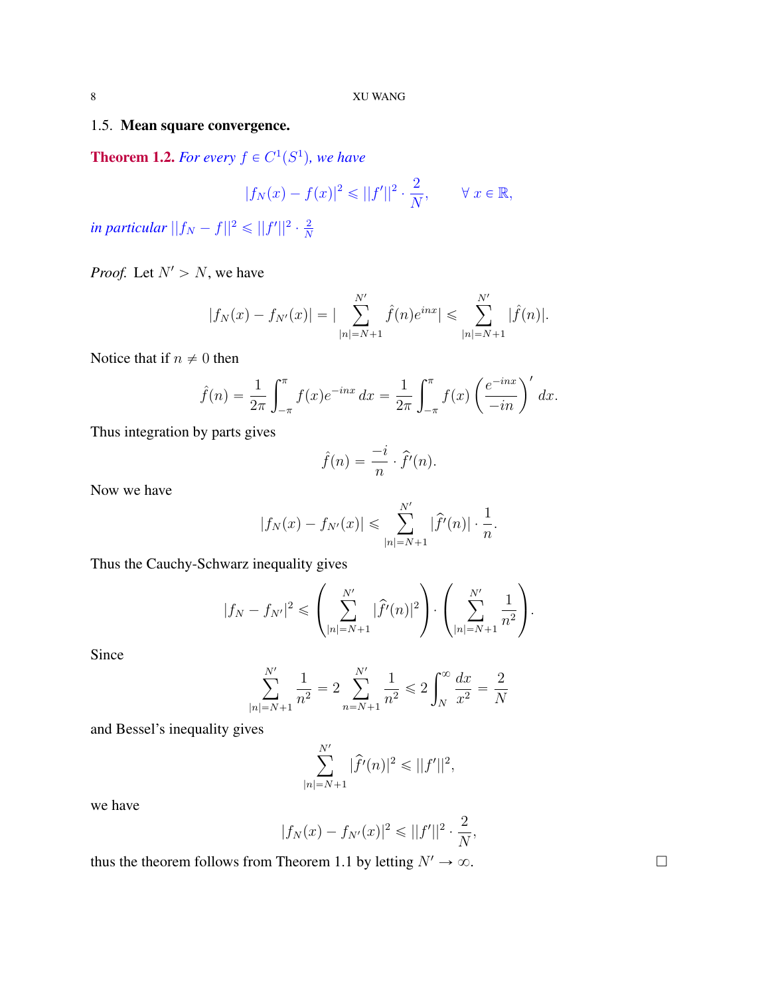# 1.5. Mean square convergence.

**Theorem 1.2.** For every  $f \in C^1(S^1)$ , we have

$$
|f_N(x) - f(x)|^2 \le ||f'||^2 \cdot \frac{2}{N}, \qquad \forall x \in \mathbb{R},
$$

in particular  $||f_N - f||^2 \leqslant ||f'||^2 \cdot \frac{2}{N}$ N

*Proof.* Let  $N' > N$ , we have

$$
|f_N(x) - f_{N'}(x)| = |\sum_{|n|=N+1}^{N'} \hat{f}(n)e^{inx}| \leq \sum_{|n|=N+1}^{N'} |\hat{f}(n)|.
$$

Notice that if  $n \neq 0$  then

$$
\hat{f}(n) = \frac{1}{2\pi} \int_{-\pi}^{\pi} f(x)e^{-inx} dx = \frac{1}{2\pi} \int_{-\pi}^{\pi} f(x) \left(\frac{e^{-inx}}{-in}\right)' dx.
$$

Thus integration by parts gives

$$
\hat{f}(n) = \frac{-i}{n} \cdot \hat{f}'(n).
$$

Now we have

$$
|f_N(x) - f_{N'}(x)| \le \sum_{|n|=N+1}^{N'} |\hat{f}'(n)| \cdot \frac{1}{n}.
$$

Thus the Cauchy-Schwarz inequality gives

$$
|f_N - f_{N'}|^2 \leqslant \left(\sum_{|n|=N+1}^{N'} |\hat{f}'(n)|^2\right) \cdot \left(\sum_{|n|=N+1}^{N'} \frac{1}{n^2}\right).
$$

Since

$$
\sum_{|n|=N+1}^{N'} \frac{1}{n^2} = 2 \sum_{n=N+1}^{N'} \frac{1}{n^2} \le 2 \int_N^{\infty} \frac{dx}{x^2} = \frac{2}{N}
$$

and Bessel's inequality gives

$$
\sum_{|n|=N+1}^{N'} |\hat{f}'(n)|^2 \leq ||f'||^2,
$$

we have

$$
|f_N(x) - f_{N'}(x)|^2 \leq ||f'||^2 \cdot \frac{2}{N},
$$

thus the theorem follows from Theorem 1.1 by letting  $N' \to \infty$ .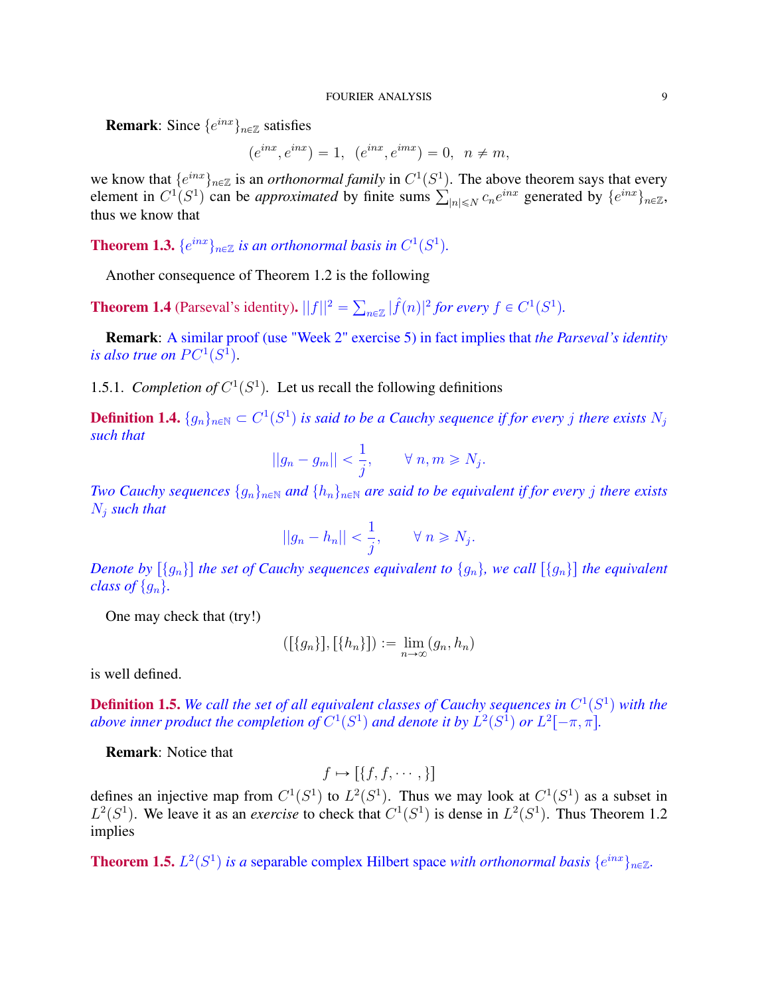**Remark**: Since  $\{e^{inx}\}_{n\in\mathbb{Z}}$  satisfies

$$
(e^{inx}, e^{inx}) = 1, (e^{inx}, e^{imx}) = 0, n \neq m,
$$

we know that  $\{e^{inx}\}_{n\in\mathbb{Z}}$  is an *orthonormal family* in  $C^1(S^1)$ . The above theorem says that every we know that  $\{e^{inx}\}_{n\in\mathbb{Z}}$  is an *orthonormal family* in  $C^1(S^1)$ . The above theorem says that every element in  $C^1(S^1)$  can be *approximated* by finite sums  $\sum_{|n| \le N} c_n e^{inx}$  generated by  $\{e^{inx}\}_{n\in\mathbb{Z}}$ , thus we know that

**Theorem 1.3.**  $\{e^{inx}\}_{n\in\mathbb{Z}}$  is an orthonormal basis in  $C^1(S^1)$ .

Another consequence of Theorem 1.2 is the following

**Theorem 1.4** (Parseval's identity).  $||f||^2 =$  $_{n\in\mathbb{Z}}$   $|\hat{f}(n)|^2$  for every  $f \in C^1(S^1)$ .

Remark: A similar proof (use "Week 2" exercise 5) in fact implies that *the Parseval's identity* is also true on  $PC^1(S^1)$ .

1.5.1. *Completion of*  $C^1(S^1)$ . Let us recall the following definitions

**Definition 1.4.**  $\{g_n\}_{n\in\mathbb{N}} \subset C^1(S^1)$  is said to be a Cauchy sequence if for every j there exists  $N_j$ *such that*

$$
||g_n - g_m|| < \frac{1}{j}, \qquad \forall \ n, m \ge N_j.
$$

*Two Cauchy sequences*  $\{g_n\}_{n\in\mathbb{N}}$  *and*  $\{h_n\}_{n\in\mathbb{N}}$  *are said to be equivalent if for every j there exists* N<sup>j</sup> *such that*

$$
||g_n - h_n|| < \frac{1}{j}, \qquad \forall \ n \ge N_j.
$$

*Denote by*  $\{g_n\}$  *the set of Cauchy sequences equivalent to*  $\{g_n\}$ *, we call*  $\{\{g_n\}$  *the equivalent class of*  $\{g_n\}$ *.* 

One may check that (try!)

$$
([\{g_n\}], [\{h_n\}]) := \lim_{n \to \infty} (g_n, h_n)
$$

is well defined.

**Definition 1.5.** We call the set of all equivalent classes of Cauchy sequences in  $C^1(S^1)$  with the *above inner product the completion of*  $C^1(S^1)$  *and denote it by*  $L^2(S^1)$  *or*  $L^2[-\pi, \pi]$ *.* 

Remark: Notice that

$$
f \mapsto [\{f, f, \cdots, \}]
$$

defines an injective map from  $C^1(S^1)$  to  $L^2(S^1)$ . Thus we may look at  $C^1(S^1)$  as a subset in  $L^2(S^1)$ . We leave it as an *exercise* to check that  $C^1(S^1)$  is dense in  $L^2(S^1)$ . Thus Theorem 1.2 implies

**Theorem 1.5.**  $L^2(S^1)$  is a separable complex Hilbert space *with orthonormal basis*  $\{e^{inx}\}_{n\in\mathbb{Z}}$ .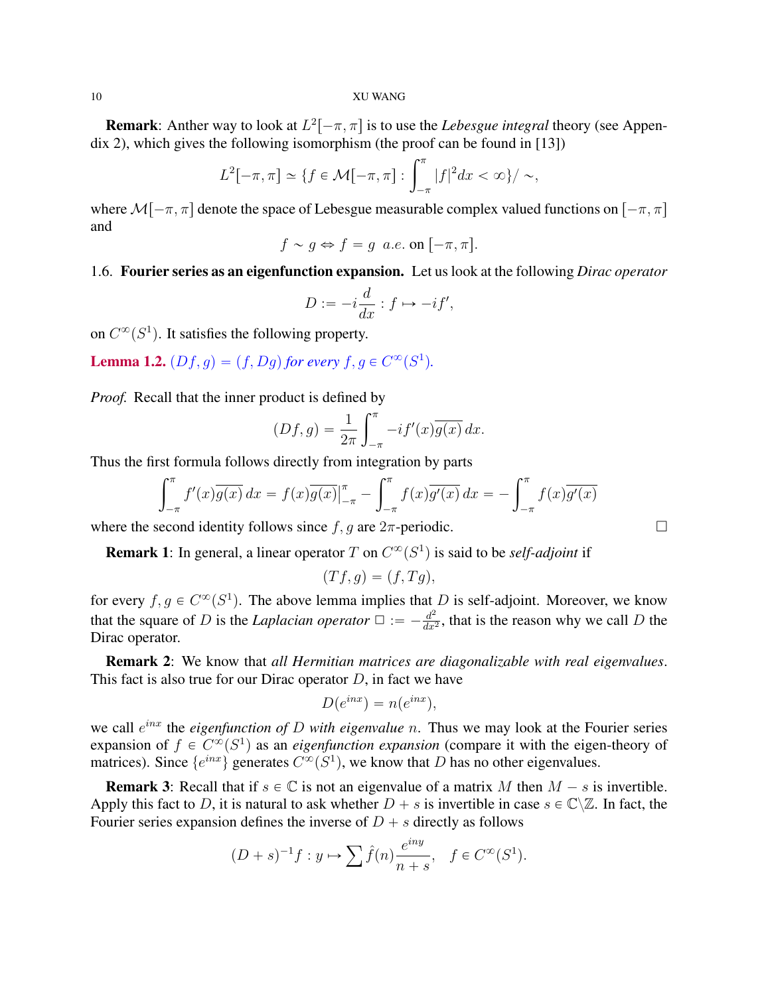**Remark**: Anther way to look at  $L^2[-\pi, \pi]$  is to use the *Lebesgue integral* theory (see Appendix 2), which gives the following isomorphism (the proof can be found in [13])

$$
L^{2}[-\pi,\pi] \simeq \{f \in \mathcal{M}[-\pi,\pi] : \int_{-\pi}^{\pi} |f|^{2} dx < \infty\}/\sim,
$$

where  $\mathcal{M}[-\pi, \pi]$  denote the space of Lebesgue measurable complex valued functions on  $[-\pi, \pi]$ and

$$
f \sim g \Leftrightarrow f = g \ a.e. \text{ on } [-\pi, \pi].
$$

## 1.6. Fourier series as an eigenfunction expansion. Let us look at the following *Dirac operator*

$$
D:=-i\frac{d}{dx}:f\mapsto -if',
$$

on  $C^{\infty}(S^1)$ . It satisfies the following property.

**Lemma 1.2.**  $(Df, g) = (f, Dg)$  for every  $f, g \in C^{\infty}(S^1)$ .

*Proof.* Recall that the inner product is defined by  $\int_1^{\pi}$ 

$$
(Df,g) = \frac{1}{2\pi} \int_{-\pi}^{\pi} -if'(x)\overline{g(x)} dx.
$$

Thus the first formula follows directly from integration by parts<br> $\int_{\pi}^{\pi}$ 

$$
\int_{-\pi}^{\pi} f'(x)\overline{g(x)} dx = f(x)\overline{g(x)}\Big|_{-\pi}^{\pi} - \int_{-\pi}^{\pi} f(x)\overline{g'(x)} dx = -\int_{-\pi}^{\pi} f(x)\overline{g'(x)}
$$

where the second identity follows since  $f, g$  are  $2\pi$ -periodic.

**Remark 1**: In general, a linear operator T on  $C^{\infty}(S^1)$  is said to be *self-adjoint* if

$$
(Tf,g)=(f,Tg),
$$

for every  $f, g \in C^{\infty}(S^1)$ . The above lemma implies that D is self-adjoint. Moreover, we know that the square of D is the *Laplacian operator*  $\Box := -\frac{d^2}{dx^2}$  $\frac{d^2}{dx^2}$ , that is the reason why we call D the Dirac operator.

Remark 2: We know that *all Hermitian matrices are diagonalizable with real eigenvalues*. This fact is also true for our Dirac operator  $D$ , in fact we have

$$
D(e^{inx}) = n(e^{inx}),
$$

we call  $e^{inx}$  the *eigenfunction of* D with *eigenvalue* n. Thus we may look at the Fourier series expansion of  $f \in C^{\infty}(S^1)$  as an *eigenfunction expansion* (compare it with the eigen-theory of matrices). Since  $\{e^{inx}\}$  generates  $C^{\infty}(S^1)$ , we know that D has no other eigenvalues.

**Remark 3:** Recall that if  $s \in \mathbb{C}$  is not an eigenvalue of a matrix M then  $M - s$  is invertible. Apply this fact to D, it is natural to ask whether  $D + s$  is invertible in case  $s \in \mathbb{C} \setminus \mathbb{Z}$ . In fact, the Fourier series expansion defines the inverse of  $D + s$  directly as follows

$$
(D + s)^{-1}f : y \mapsto \sum \hat{f}(n) \frac{e^{iny}}{n+s}, \quad f \in C^{\infty}(S^1).
$$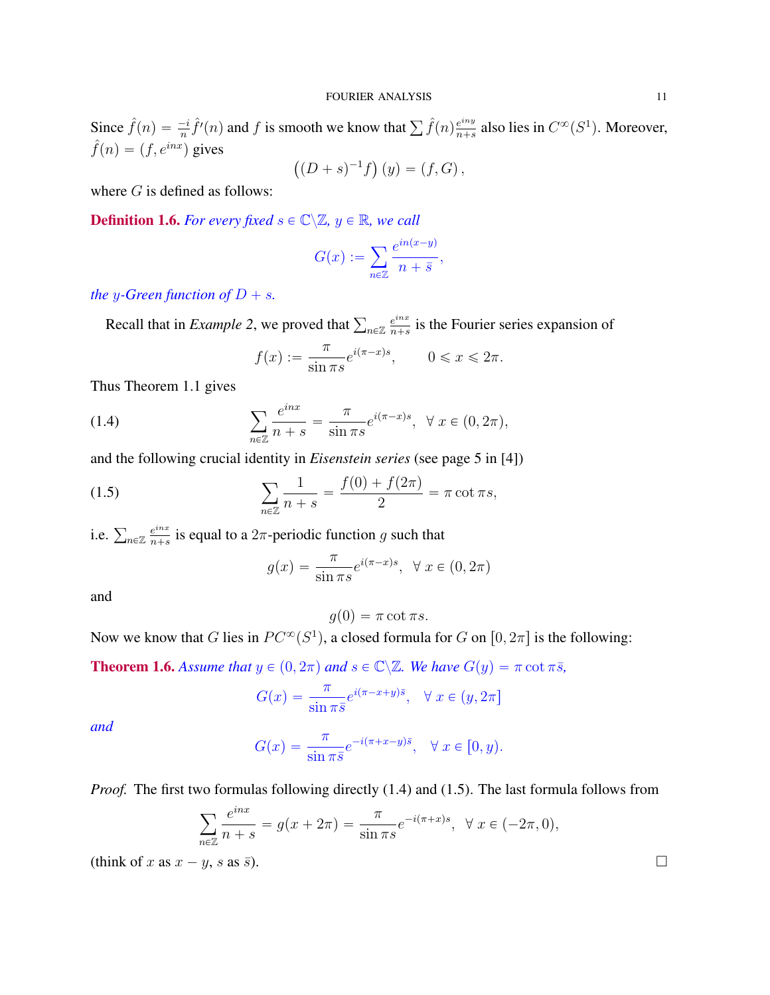Since  $\hat{f}(n) = \frac{-i}{n} \hat{f}'(n)$  and f is smooth we know that  $\sum \hat{f}(n) \frac{e^{iny}}{n+s}$  $\frac{e^{iny}}{n+s}$  also lies in  $C^{\infty}(S^1)$ . Moreover,  $\hat{f}(n) = (f, e^{inx})$  gives

$$
((D + s)^{-1}f)(y) = (f, G),
$$

where  $G$  is defined as follows:

**Definition 1.6.** *For every fixed*  $s \in \mathbb{C} \setminus \mathbb{Z}, y \in \mathbb{R}$ *, we call* 

$$
G(x) := \sum_{n \in \mathbb{Z}} \frac{e^{in(x-y)}}{n+\overline{s}},
$$

*the* y-Green function of  $D + s$ .

Recall that in *Example 2*, we proved that  $\sum_{n \in \mathbb{Z}} \frac{e^{inx}}{n+s}$  $\frac{e^{inx}}{n+s}$  is the Fourier series expansion of

$$
f(x) := \frac{\pi}{\sin \pi s} e^{i(\pi - x)s}, \qquad 0 \leq x \leq 2\pi.
$$

Thus Theorem 1.1 gives

(1.4) 
$$
\sum_{n \in \mathbb{Z}} \frac{e^{inx}}{n+s} = \frac{\pi}{\sin \pi s} e^{i(\pi - x)s}, \ \ \forall \ x \in (0, 2\pi),
$$

and the following crucial identity in *Eisenstein series* (see page 5 in [4])

(1.5) 
$$
\sum_{n \in \mathbb{Z}} \frac{1}{n+s} = \frac{f(0) + f(2\pi)}{2} = \pi \cot \pi s,
$$

i.e.  $\sum_{n\in\mathbb{Z}}\frac{e^{inx}}{n+s}$  $\frac{e^{inx}}{n+s}$  is equal to a  $2\pi$ -periodic function g such that

$$
g(x) = \frac{\pi}{\sin \pi s} e^{i(\pi - x)s}, \quad \forall x \in (0, 2\pi)
$$

and

$$
g(0) = \pi \cot \pi s.
$$

Now we know that G lies in  $PC^{\infty}(S^1)$ , a closed formula for G on  $[0, 2\pi]$  is the following:

**Theorem 1.6.** *Assume that*  $y \in (0, 2\pi)$  *and*  $s \in \mathbb{C} \setminus \mathbb{Z}$ *. We have*  $G(y) = \pi \cot \pi \bar{s}$ *,* 

$$
G(x) = \frac{\pi}{\sin \pi \bar{s}} e^{i(\pi - x + y)\bar{s}}, \quad \forall x \in (y, 2\pi]
$$

*and*

$$
G(x) = \frac{\pi}{\sin \pi \bar{s}} e^{-i(\pi + x - y)\bar{s}}, \quad \forall x \in [0, y).
$$

*Proof.* The first two formulas following directly (1.4) and (1.5). The last formula follows from

$$
\sum_{n \in \mathbb{Z}} \frac{e^{inx}}{n+s} = g(x+2\pi) = \frac{\pi}{\sin \pi s} e^{-i(\pi+x)s}, \ \ \forall \ x \in (-2\pi, 0),
$$

(think of x as  $x - y$ , s as  $\overline{s}$ ).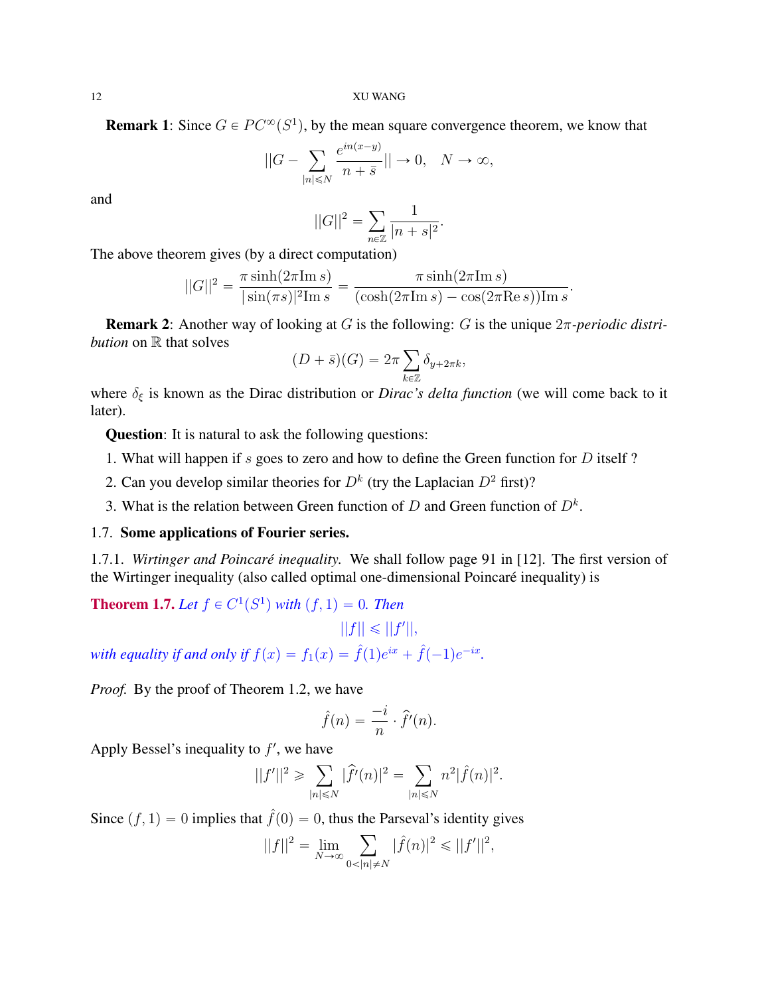**Remark 1**: Since  $G \in PC^{\infty}(S^1)$ , by the mean square convergence theorem, we know that

$$
||G - \sum_{|n| \le N} \frac{e^{in(x-y)}}{n+\bar{s}}|| \to 0, \quad N \to \infty,
$$

and

$$
||G||^2 = \sum_{n \in \mathbb{Z}} \frac{1}{|n+s|^2}.
$$

The above theorem gives (by a direct computation)

$$
||G||2 = \frac{\pi \sinh(2\pi \text{Im } s)}{|\sin(\pi s)|^2 \text{Im } s} = \frac{\pi \sinh(2\pi \text{Im } s)}{(\cosh(2\pi \text{Im } s) - \cos(2\pi \text{Re } s)) \text{Im } s}.
$$

Remark 2: Another way of looking at G is the following: G is the unique 2π*-periodic distribution* on  $\mathbb R$  that solves

$$
(D+\bar{s})(G) = 2\pi \sum_{k \in \mathbb{Z}} \delta_{y+2\pi k},
$$

where  $\delta_{\xi}$  is known as the Dirac distribution or *Dirac's delta function* (we will come back to it later).

Question: It is natural to ask the following questions:

- 1. What will happen if s goes to zero and how to define the Green function for D itself ?
- 2. Can you develop similar theories for  $D^k$  (try the Laplacian  $D^2$  first)?
- 3. What is the relation between Green function of  $D$  and Green function of  $D<sup>k</sup>$ .

# 1.7. Some applications of Fourier series.

1.7.1. *Wirtinger and Poincaré inequality.* We shall follow page 91 in [12]. The first version of the Wirtinger inequality (also called optimal one-dimensional Poincaré inequality) is

**Theorem 1.7.** Let  $f \in C^1(S^1)$  with  $(f, 1) = 0$ . Then

$$
||f|| \leq ||f'||,
$$

*with equality if and only if*  $f(x) = f_1(x) = \hat{f}(1)e^{ix} + \hat{f}(-1)e^{-ix}$ .

*Proof.* By the proof of Theorem 1.2, we have

$$
\hat{f}(n) = \frac{-i}{n} \cdot \hat{f}'(n).
$$

Apply Bessel's inequality to  $f'$ , we have

$$
||f'||^2 \geqslant \sum_{|n| \leqslant N} |\hat{f}'(n)|^2 = \sum_{|n| \leqslant N} n^2 |\hat{f}(n)|^2.
$$

Since  $(f, 1) = 0$  implies that  $\hat{f}(0) = 0$ , thus the Parseval's identity gives

$$
||f||^2 = \lim_{N \to \infty} \sum_{0 < |n| \neq N} |\hat{f}(n)|^2 \leq ||f'||^2,
$$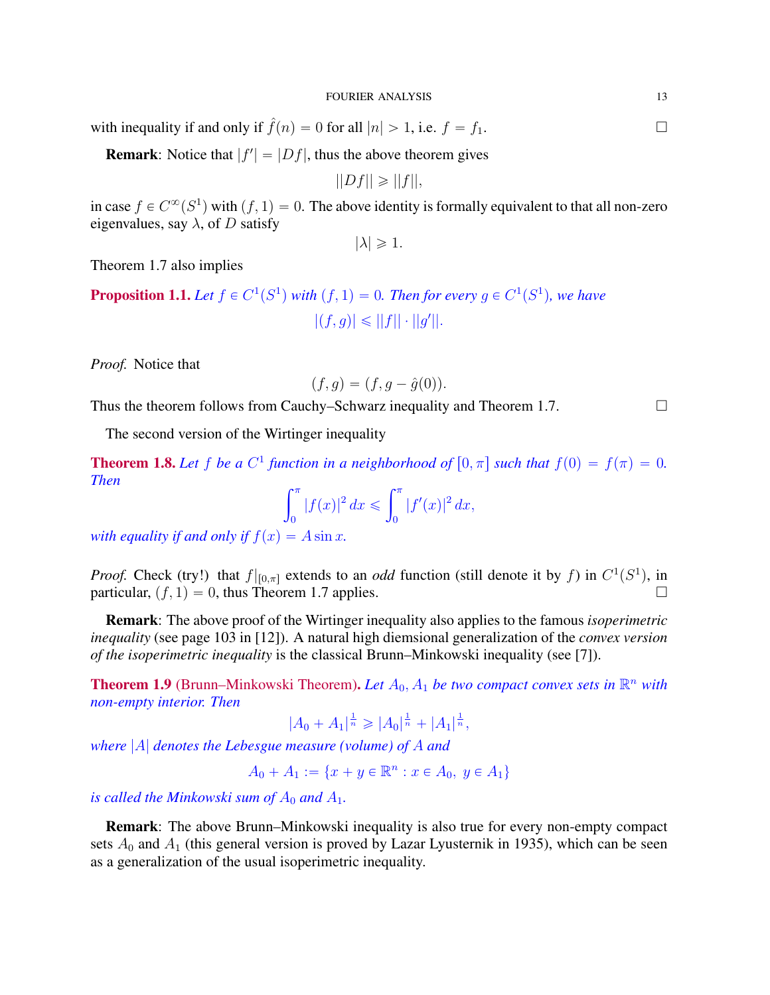with inequality if and only if  $\hat{f}(n) = 0$  for all  $|n| > 1$ , i.e.  $f = f_1$ .

**Remark**: Notice that  $|f'| = |Df|$ , thus the above theorem gives

$$
||Df|| \geq ||f||,
$$

in case  $f \in C^{\infty}(S^1)$  with  $(f, 1) = 0$ . The above identity is formally equivalent to that all non-zero eigenvalues, say  $\lambda$ , of D satisfy

 $|\lambda| \geqslant 1$ .

Theorem 1.7 also implies

**Proposition 1.1.** Let  $f \in C^1(S^1)$  with  $(f, 1) = 0$ . Then for every  $g \in C^1(S^1)$ , we have  $|(f, g)| \leq ||f|| \cdot ||g'||.$ 

*Proof.* Notice that

$$
(f, g) = (f, g - \hat{g}(0)).
$$

Thus the theorem follows from Cauchy–Schwarz inequality and Theorem 1.7.  $\Box$ 

The second version of the Wirtinger inequality

**Theorem 1.8.** Let f be a  $C^1$  function in a neighborhood of  $[0, \pi]$  such that  $f(0) = f(\pi) = 0$ . *Then*  $\int_0^\pi$  $\int_0^\pi$ 

$$
\int_0^{\pi} |f(x)|^2 dx \leq \int_0^{\pi} |f'(x)|^2 dx,
$$

*with equality if and only if*  $f(x) = A \sin x$ *.* 

*Proof.* Check (try!) that  $f|_{[0,\pi]}$  extends to an *odd* function (still denote it by f) in  $C^1(S^1)$ , in particular,  $(f, 1) = 0$ , thus Theorem 1.7 applies.

Remark: The above proof of the Wirtinger inequality also applies to the famous *isoperimetric inequality* (see page 103 in [12]). A natural high diemsional generalization of the *convex version of the isoperimetric inequality* is the classical Brunn–Minkowski inequality (see [7]).

**Theorem 1.9** (Brunn–Minkowski Theorem). Let  $A_0$ ,  $A_1$  be two compact convex sets in  $\mathbb{R}^n$  with *non-empty interior. Then*

$$
|A_0 + A_1|^{\frac{1}{n}} \geq |A_0|^{\frac{1}{n}} + |A_1|^{\frac{1}{n}},
$$

*where* |A| *denotes the Lebesgue measure (volume) of* A *and*

 $A_0 + A_1 := \{x + y \in \mathbb{R}^n : x \in A_0, y \in A_1\}$ 

*is called the Minkowski sum of*  $A_0$  *and*  $A_1$ *.* 

Remark: The above Brunn–Minkowski inequality is also true for every non-empty compact sets  $A_0$  and  $A_1$  (this general version is proved by Lazar Lyusternik in 1935), which can be seen as a generalization of the usual isoperimetric inequality.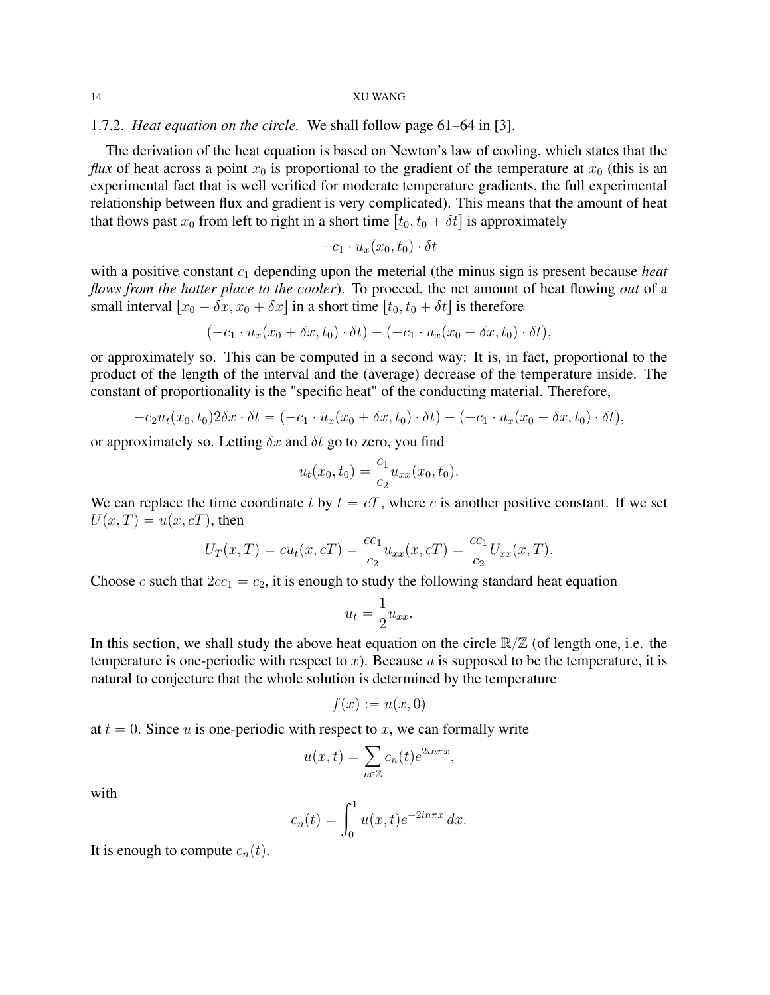# 1.7.2. *Heat equation on the circle.* We shall follow page 61–64 in [3].

The derivation of the heat equation is based on Newton's law of cooling, which states that the *flux* of heat across a point  $x_0$  is proportional to the gradient of the temperature at  $x_0$  (this is an experimental fact that is well verified for moderate temperature gradients, the full experimental relationship between flux and gradient is very complicated). This means that the amount of heat that flows past  $x_0$  from left to right in a short time  $[t_0, t_0 + \delta t]$  is approximately

$$
-c_1 \cdot u_x(x_0,t_0) \cdot \delta t
$$

with a positive constant  $c_1$  depending upon the meterial (the minus sign is present because *heat flows from the hotter place to the cooler*). To proceed, the net amount of heat flowing *out* of a small interval  $[x_0 - \delta x, x_0 + \delta x]$  in a short time  $[t_0, t_0 + \delta t]$  is therefore

$$
(-c_1 \cdot u_x(x_0 + \delta x, t_0) \cdot \delta t) - (-c_1 \cdot u_x(x_0 - \delta x, t_0) \cdot \delta t),
$$

or approximately so. This can be computed in a second way: It is, in fact, proportional to the product of the length of the interval and the (average) decrease of the temperature inside. The constant of proportionality is the "specific heat" of the conducting material. Therefore,

$$
-c_2u_t(x_0,t_0)2\delta x\cdot \delta t=(-c_1\cdot u_x(x_0+\delta x,t_0)\cdot \delta t)-(-c_1\cdot u_x(x_0-\delta x,t_0)\cdot \delta t),
$$

or approximately so. Letting  $\delta x$  and  $\delta t$  go to zero, you find

$$
u_t(x_0, t_0) = \frac{c_1}{c_2} u_{xx}(x_0, t_0).
$$

We can replace the time coordinate t by  $t = cT$ , where c is another positive constant. If we set  $U(x, T) = u(x, cT)$ , then

$$
U_T(x,T) = cu_t(x,cT) = \frac{cc_1}{c_2}u_{xx}(x,cT) = \frac{cc_1}{c_2}U_{xx}(x,T).
$$

Choose c such that  $2cc_1 = c_2$ , it is enough to study the following standard heat equation

$$
u_t = \frac{1}{2} u_{xx}.
$$

In this section, we shall study the above heat equation on the circle  $\mathbb{R}/\mathbb{Z}$  (of length one, i.e. the temperature is one-periodic with respect to x). Because u is supposed to be the temperature, it is natural to conjecture that the whole solution is determined by the temperature

$$
f(x) := u(x,0)
$$

at  $t = 0$ . Since u is one-periodic with respect to x, we can formally write<br>  $u(x, t) = \sum_i c_n(t) e^{2in\pi x}$ ,

$$
u(x,t) = \sum_{n \in \mathbb{Z}} c_n(t) e^{2in\pi x},
$$

with

$$
c_n(t) = \int_0^1 u(x,t)e^{-2in\pi x} dx.
$$

It is enough to compute  $c_n(t)$ .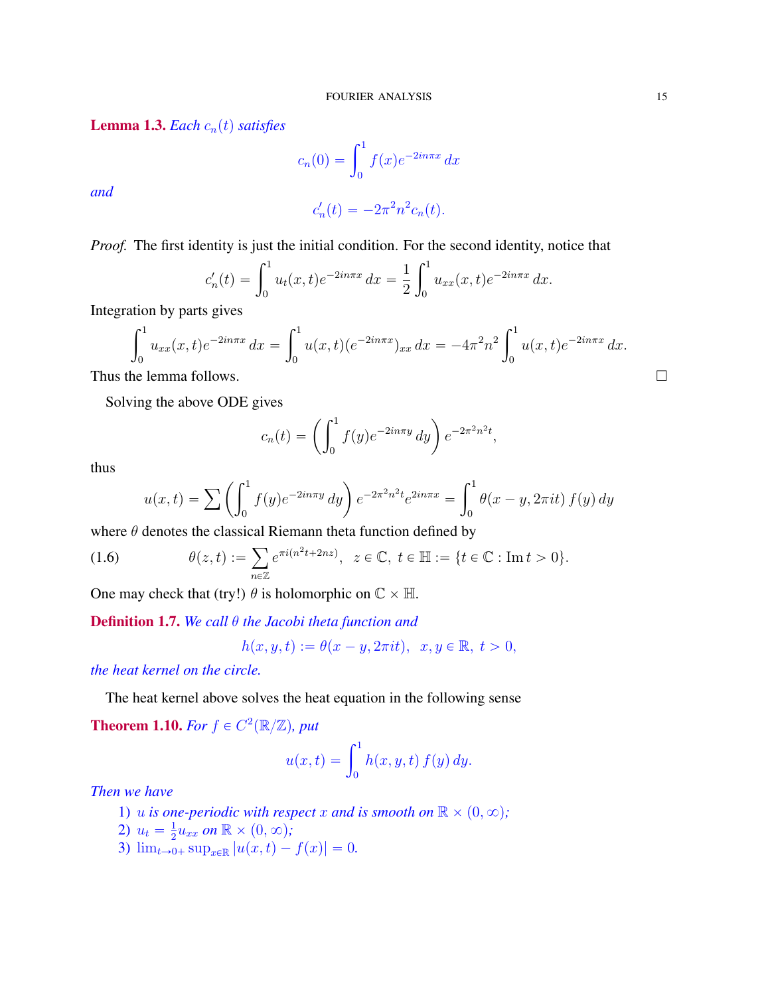**Lemma 1.3.** *Each*  $c_n(t)$  *satisfies* 

$$
c_n(0) = \int_0^1 f(x)e^{-2in\pi x} dx
$$

*and*

$$
c_n'(t) = -2\pi^2 n^2 c_n(t).
$$

*Proof.* The first identity is just the initial condition. For the second identity, notice that

$$
c'_{n}(t) = \int_{0}^{1} u_{t}(x,t)e^{-2in\pi x} dx = \frac{1}{2} \int_{0}^{1} u_{xx}(x,t)e^{-2in\pi x} dx.
$$

Integration by parts gives

$$
\int_0^1 u_{xx}(x,t)e^{-2in\pi x} dx = \int_0^1 u(x,t)(e^{-2in\pi x})_{xx} dx = -4\pi^2 n^2 \int_0^1 u(x,t)e^{-2in\pi x} dx.
$$
  
Thus the lemma follows.

Solving the above ODE gives

$$
c_n(t) = \left(\int_0^1 f(y)e^{-2in\pi y} dy\right) e^{-2\pi^2 n^2 t},
$$

thus

$$
u(x,t) = \sum \left( \int_0^1 f(y)e^{-2in\pi y} dy \right) e^{-2\pi^2 n^2 t} e^{2in\pi x} = \int_0^1 \theta(x - y, 2\pi i t) f(y) dy
$$

where  $\theta$  denotes the classical Riemann theta function defined by

(1.6) 
$$
\theta(z,t) := \sum_{n \in \mathbb{Z}} e^{\pi i (n^2 t + 2nz)}, \ \ z \in \mathbb{C}, \ t \in \mathbb{H} := \{t \in \mathbb{C} : \text{Im} \ t > 0\}.
$$

One may check that (try!)  $\theta$  is holomorphic on  $\mathbb{C} \times \mathbb{H}$ .

Definition 1.7. *We call* θ *the Jacobi theta function and*

$$
h(x, y, t) := \theta(x - y, 2\pi i t), \quad x, y \in \mathbb{R}, \ t > 0,
$$

*the heat kernel on the circle.*

The heat kernel above solves the heat equation in the following sense

**Theorem 1.10.** For  $f \in C^2(\mathbb{R}/\mathbb{Z})$ , put

$$
u(x,t) = \int_0^1 h(x, y, t) f(y) dy.
$$

*Then we have*

- 1) u *is one-periodic with respect* x and *is smooth on*  $\mathbb{R} \times (0, \infty)$ ;
- 2)  $u_t = \frac{1}{2}$  $\frac{1}{2}u_{xx}$  on  $\mathbb{R}\times (0,\infty)$ ;
- 3)  $\lim_{t\to 0+} \sup_{x\in\mathbb{R}} |u(x, t) f(x)| = 0.$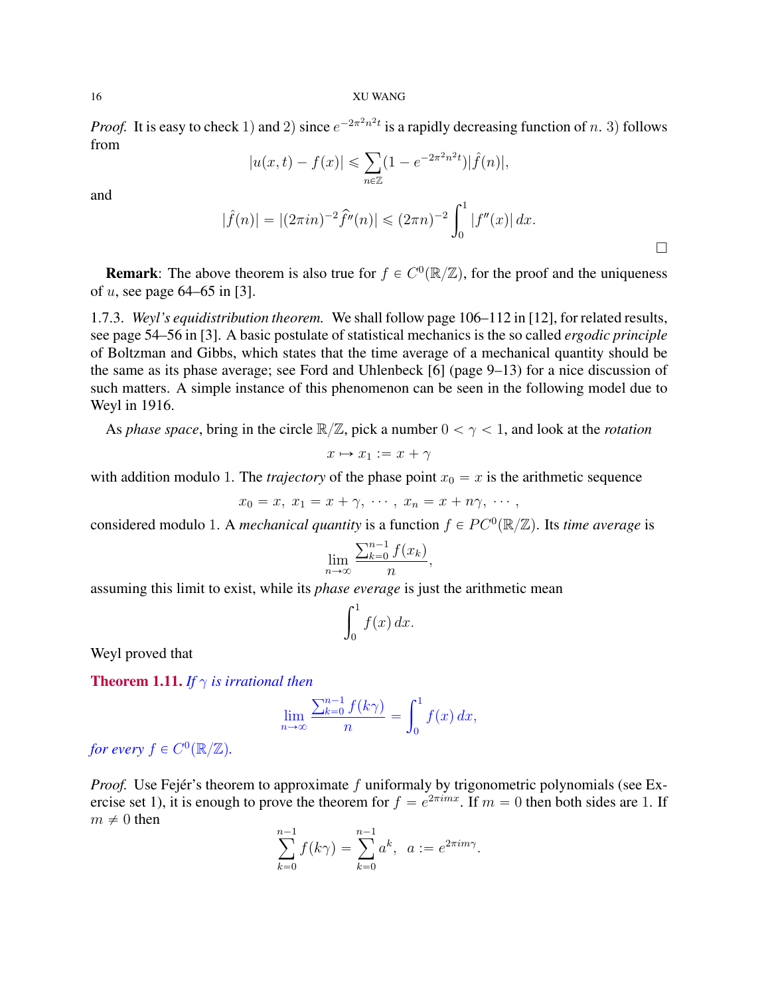*Proof.* It is easy to check 1) and 2) since  $e^{-2\pi^2 n^2 t}$  is a rapidly decreasing function of n. 3) follows from

$$
|u(x,t) - f(x)| \leq \sum_{n \in \mathbb{Z}} (1 - e^{-2\pi^2 n^2 t}) |\hat{f}(n)|,
$$

and

$$
|\widehat{f}(n)| = |(2\pi i n)^{-2} \widehat{f}''(n)| \leq (2\pi n)^{-2} \int_0^1 |f''(x)| dx.
$$

 $\Box$ 

**Remark**: The above theorem is also true for  $f \in C^0(\mathbb{R}/\mathbb{Z})$ , for the proof and the uniqueness of u, see page  $64-65$  in [3].

1.7.3. *Weyl's equidistribution theorem.* We shall follow page 106–112 in [12], for related results, see page 54–56 in [3]. A basic postulate of statistical mechanics is the so called *ergodic principle* of Boltzman and Gibbs, which states that the time average of a mechanical quantity should be the same as its phase average; see Ford and Uhlenbeck [6] (page 9–13) for a nice discussion of such matters. A simple instance of this phenomenon can be seen in the following model due to Weyl in 1916.

As *phase space*, bring in the circle  $\mathbb{R}/\mathbb{Z}$ , pick a number  $0 < \gamma < 1$ , and look at the *rotation* 

$$
x \mapsto x_1 := x + \gamma
$$

with addition modulo 1. The *trajectory* of the phase point  $x_0 = x$  is the arithmetic sequence

$$
x_0 = x, x_1 = x + \gamma, \cdots, x_n = x + n\gamma, \cdots,
$$

considered modulo 1. A *mechanical quantity* is a function  $f \in PC^0(\mathbb{R}/\mathbb{Z})$ . Its *time average* is

$$
\lim_{n \to \infty} \frac{\sum_{k=0}^{n-1} f(x_k)}{n},
$$

assuming this limit to exist, while its *phase everage* is just the arithmetic mean

$$
\int_0^1 f(x) \, dx.
$$

Weyl proved that

**Theorem 1.11.** *If*  $\gamma$  *is irrational then* 

$$
\lim_{n \to \infty} \frac{\sum_{k=0}^{n-1} f(k\gamma)}{n} = \int_0^1 f(x) \, dx,
$$

for every  $f \in C^0(\mathbb{R}/\mathbb{Z})$ .

*Proof.* Use Fejér's theorem to approximate f uniformaly by trigonometric polynomials (see Exercise set 1), it is enough to prove the theorem for  $f = e^{2\pi imx}$ . If  $m = 0$  then both sides are 1. If  $m \neq 0$  then

$$
\sum_{k=0}^{n-1} f(k\gamma) = \sum_{k=0}^{n-1} a^k, \ \ a := e^{2\pi i m \gamma}.
$$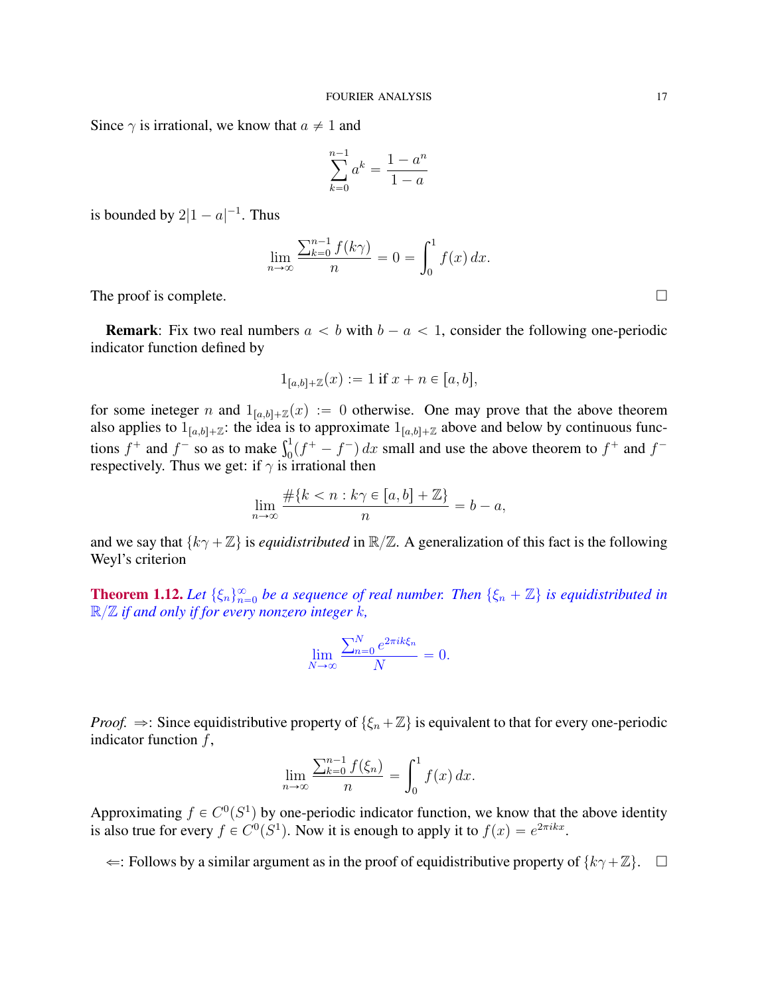Since  $\gamma$  is irrational, we know that  $a \neq 1$  and

$$
\sum_{k=0}^{n-1} a^k = \frac{1 - a^n}{1 - a}
$$

is bounded by  $2|1 - a|^{-1}$ . Thus

$$
\lim_{n \to \infty} \frac{\sum_{k=0}^{n-1} f(k\gamma)}{n} = 0 = \int_0^1 f(x) \, dx.
$$

The proof is complete.  $\Box$ 

**Remark:** Fix two real numbers  $a < b$  with  $b - a < 1$ , consider the following one-periodic indicator function defined by

$$
1_{[a,b]+{\mathbb Z}}(x) := 1 \text{ if } x + n \in [a,b],
$$

for some ineteger n and  $1_{[a,b]+ \mathbb{Z}}(x) := 0$  otherwise. One may prove that the above theorem also applies to  $1_{[a,b]+Z}$ : the idea is to approximate  $1_{[a,b]+Z}$  above and below by continuous funcalso applies to  $I_{[a,b]+{\mathbb Z}}$ : the idea is to approximate  $I_{[a,b]+{\mathbb Z}}$  above and below by continuous functions  $f^+$  and  $f^-$  so as to make  $\int_0^1 (f^+ - f^-) dx$  small and use the above theorem to  $f^+$  and  $f^$ respectively. Thus we get: if  $\gamma$  is irrational then

$$
\lim_{n \to \infty} \frac{\#\{k < n : k\gamma \in [a, b] + \mathbb{Z}\}}{n} = b - a,
$$

and we say that  $\{k\gamma + \mathbb{Z}\}\$ is *equidistributed* in  $\mathbb{R}/\mathbb{Z}$ . A generalization of this fact is the following Weyl's criterion

**Theorem 1.12.** Let  $\{\xi_n\}_{n=0}^{\infty}$  be a sequence of real number. Then  $\{\xi_n + \mathbb{Z}\}$  is equidistributed in R{Z *if and only if for every nonzero integer* k*,*

$$
\lim_{N \to \infty} \frac{\sum_{n=0}^{N} e^{2\pi i k \xi_n}}{N} = 0.
$$

*Proof.*  $\Rightarrow$ : Since equidistributive property of  $\{\xi_n + \mathbb{Z}\}\$ is equivalent to that for every one-periodic indicator function  $f$ ,

$$
\lim_{n \to \infty} \frac{\sum_{k=0}^{n-1} f(\xi_n)}{n} = \int_0^1 f(x) dx.
$$

Approximating  $f \in C^0(S^1)$  by one-periodic indicator function, we know that the above identity is also true for every  $f \in C^0(S^1)$ . Now it is enough to apply it to  $f(x) = e^{2\pi i kx}$ .

 $\Leftarrow$ : Follows by a similar argument as in the proof of equidistributive property of  $\{k\gamma+\mathbb{Z}\}$ . □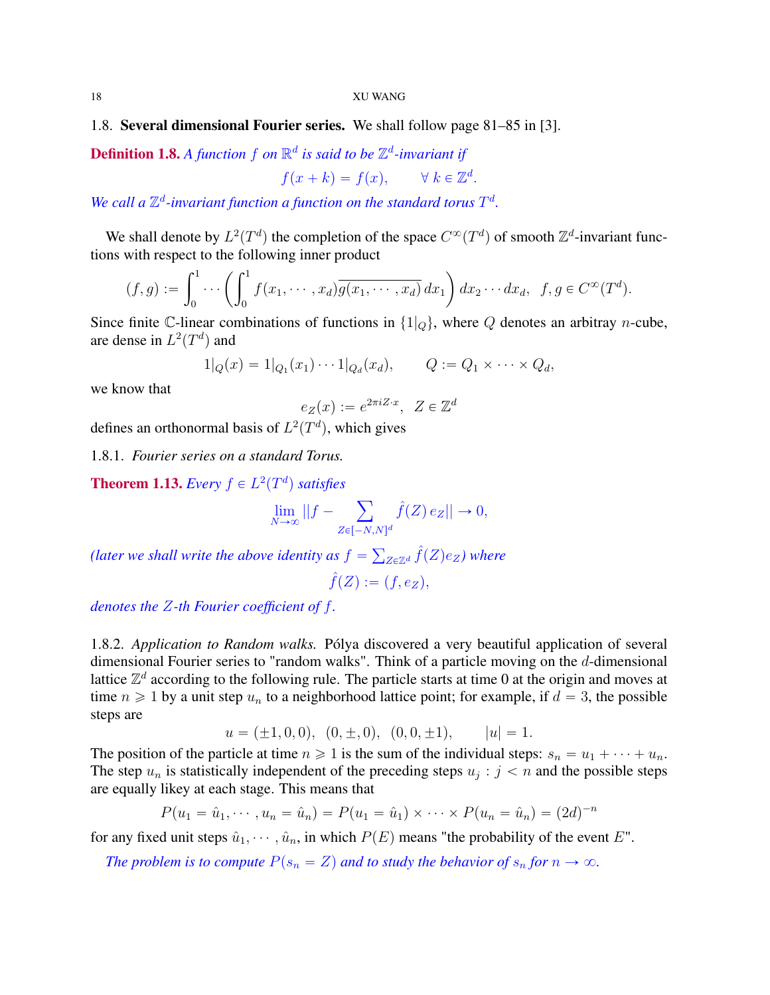# 1.8. Several dimensional Fourier series. We shall follow page 81–85 in [3].

**Definition 1.8.** A function  $f$  on  $\mathbb{R}^d$  is said to be  $\mathbb{Z}^d$ -invariant if

$$
f(x+k) = f(x), \qquad \forall \ k \in \mathbb{Z}^d.
$$

We call a  $\mathbb{Z}^d$ -invariant function a function on the standard torus  $T^d$ .

We shall denote by  $L^2(T^d)$  the completion of the space  $C^{\infty}(T^d)$  of smooth  $\mathbb{Z}^d$ -invariant functions with respect to the following inner product ˙

$$
(f,g) := \int_0^1 \cdots \left( \int_0^1 f(x_1, \cdots, x_d) \overline{g(x_1, \cdots, x_d)} dx_1 \right) dx_2 \cdots dx_d, \ \ f, g \in C^\infty(T^d).
$$

Since finite C-linear combinations of functions in  $\{1|_Q\}$ , where Q denotes an arbitray *n*-cube, are dense in  $L^2(T^d)$  and

$$
1|_{Q}(x) = 1|_{Q_1}(x_1) \cdots 1|_{Q_d}(x_d), \qquad Q := Q_1 \times \cdots \times Q_d,
$$

we know that

$$
e_Z(x) := e^{2\pi i Z \cdot x}, \ Z \in \mathbb{Z}^d
$$

defines an orthonormal basis of  $L^2(T^d)$ , which gives

1.8.1. *Fourier series on a standard Torus.*

**Theorem 1.13.** *Every*  $f \in L^2(T^d)$  *satisfies* 

$$
\lim_{N \to \infty} ||f - \sum_{Z \in [-N,N]^d} \hat{f}(Z) e_Z || \to 0,
$$

*(later we shall write the above identity as*  $f =$  $_{Z\in\mathbb{Z}^d}\hat{f}(Z)e_Z$ ) where  $\hat{f}(Z) := (f, e_Z),$ 

*denotes the* Z*-th Fourier coefficient of* f*.*

1.8.2. *Application to Random walks.* Pólya discovered a very beautiful application of several dimensional Fourier series to "random walks". Think of a particle moving on the d-dimensional lattice  $\mathbb{Z}^d$  according to the following rule. The particle starts at time 0 at the origin and moves at time  $n \geq 1$  by a unit step  $u_n$  to a neighborhood lattice point; for example, if  $d = 3$ , the possible steps are

$$
u = (\pm 1, 0, 0), (0, \pm, 0), (0, 0, \pm 1), |u| = 1.
$$

The position of the particle at time  $n \geq 1$  is the sum of the individual steps:  $s_n = u_1 + \cdots + u_n$ . The step  $u_n$  is statistically independent of the preceding steps  $u_j : j < n$  and the possible steps are equally likey at each stage. This means that

$$
P(u_1 = \hat{u}_1, \dots, u_n = \hat{u}_n) = P(u_1 = \hat{u}_1) \times \dots \times P(u_n = \hat{u}_n) = (2d)^{-n}
$$

for any fixed unit steps  $\hat{u}_1, \dots, \hat{u}_n$ , in which  $P(E)$  means "the probability of the event E".

*The problem is to compute*  $P(s_n = Z)$  *and to study the behavior of*  $s_n$  *for*  $n \to \infty$ *.*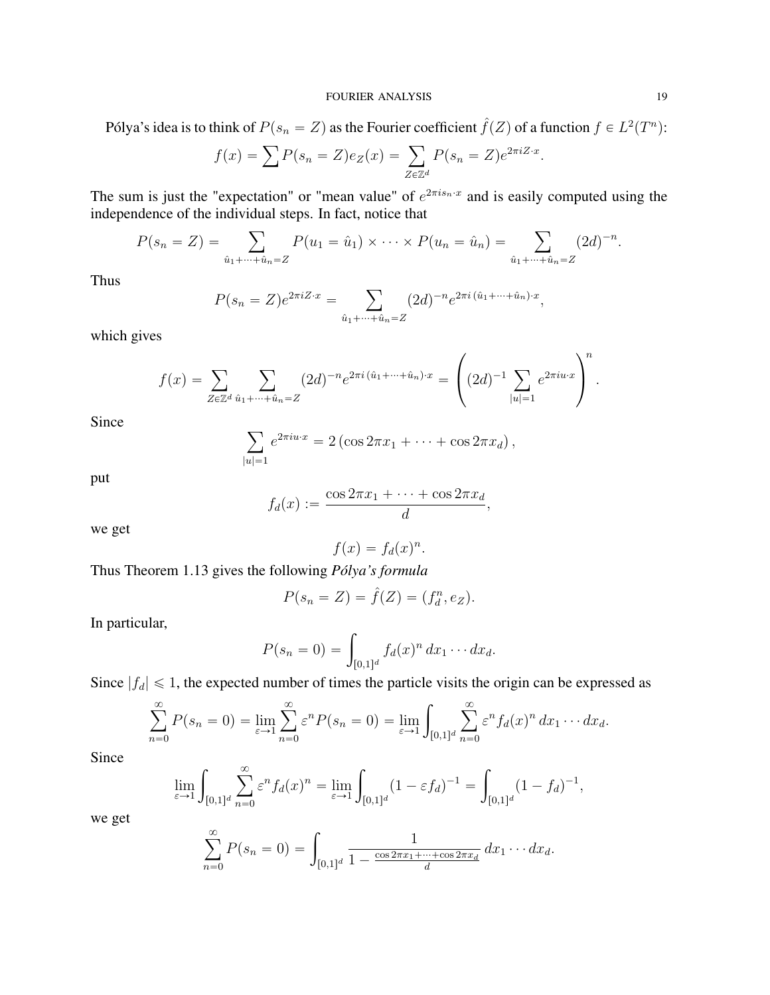### FOURIER ANALYSIS 19

Pólya's idea is to think of  $P(s_n = Z)$  as the Fourier coefficient  $\hat{f}(Z)$  of a function  $f \in L^2(T^n)$ :

$$
f(x) = \sum P(s_n = Z)e_Z(x) = \sum_{Z \in \mathbb{Z}^d} P(s_n = Z)e^{2\pi i Z \cdot x}.
$$

The sum is just the "expectation" or "mean value" of  $e^{2\pi i s_n \cdot x}$  and is easily computed using the

independence of the individual steps. In fact, notice that  
\n
$$
P(s_n = Z) = \sum_{\hat{u}_1 + \dots + \hat{u}_n = Z} P(u_1 = \hat{u}_1) \times \dots \times P(u_n = \hat{u}_n) = \sum_{\hat{u}_1 + \dots + \hat{u}_n = Z} (2d)^{-n}.
$$

Thus

$$
P(s_n = Z)e^{2\pi i Z \cdot x} = \sum_{\hat{u}_1 + \dots + \hat{u}_n = Z} (2d)^{-n} e^{2\pi i (\hat{u}_1 + \dots + \hat{u}_n) \cdot x},
$$

which gives

$$
f(x) = \sum_{Z \in \mathbb{Z}^d} \sum_{\hat{u}_1 + \dots + \hat{u}_n = Z} (2d)^{-n} e^{2\pi i (\hat{u}_1 + \dots + \hat{u}_n) \cdot x} = \left( (2d)^{-1} \sum_{|u|=1} e^{2\pi i u \cdot x} \right)^n.
$$

Since

$$
\sum_{|u|=1} e^{2\pi i u \cdot x} = 2 (\cos 2\pi x_1 + \dots + \cos 2\pi x_d),
$$

put

$$
f_d(x) := \frac{\cos 2\pi x_1 + \dots + \cos 2\pi x_d}{d},
$$

we get

$$
f(x) = f_d(x)^n.
$$

Thus Theorem 1.13 gives the following *Pólya's formula*

$$
P(s_n = Z) = \hat{f}(Z) = (f_d^n, e_Z).
$$

In particular,

$$
P(s_n = 0) = \int_{[0,1]^d} f_d(x)^n dx_1 \cdots dx_d.
$$

Since  $|f_d| \leq 1$ , the expected number of times the particle visits the origin can be expressed as

$$
\sum_{n=0}^{\infty} P(s_n = 0) = \lim_{\varepsilon \to 1} \sum_{n=0}^{\infty} \varepsilon^n P(s_n = 0) = \lim_{\varepsilon \to 1} \int_{[0,1]^d} \sum_{n=0}^{\infty} \varepsilon^n f_d(x)^n dx_1 \cdots dx_d.
$$

Since

$$
\lim_{\varepsilon \to 1} \int_{[0,1]^d} \sum_{n=0}^{\infty} \varepsilon^n f_d(x)^n = \lim_{\varepsilon \to 1} \int_{[0,1]^d} (1 - \varepsilon f_d)^{-1} = \int_{[0,1]^d} (1 - f_d)^{-1},
$$

we get

$$
\sum_{n=0}^{\infty} P(s_n = 0) = \int_{[0,1]^d} \frac{1}{1 - \frac{\cos 2\pi x_1 + \dots + \cos 2\pi x_d}{d}} dx_1 \dots dx_d.
$$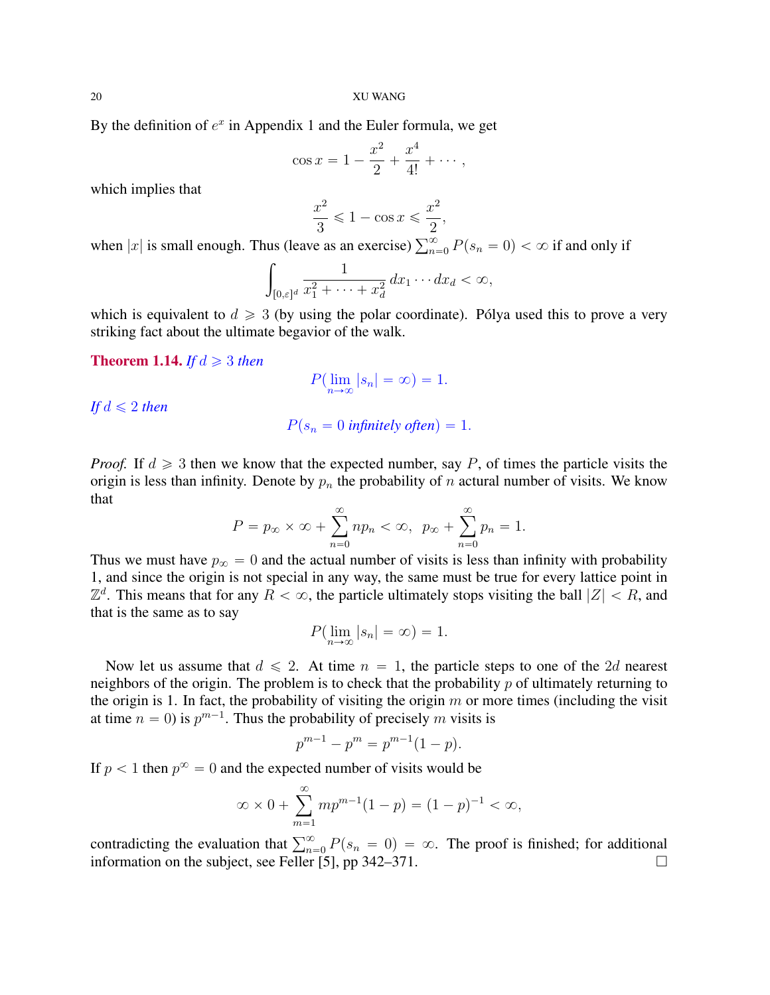By the definition of  $e^x$  in Appendix 1 and the Euler formula, we get

$$
\cos x = 1 - \frac{x^2}{2} + \frac{x^4}{4!} + \cdots,
$$

which implies that

$$
\frac{x^2}{3} \leqslant 1 - \cos x \leqslant \frac{x^2}{2},
$$

when |x| is small enough. Thus (leave as an exercise)  $\sum_{n=0}^{\infty} P(s_n = 0) < \infty$  if and only if

$$
\int_{[0,\varepsilon]^d} \frac{1}{x_1^2 + \dots + x_d^2} \, dx_1 \dots dx_d < \infty,
$$

which is equivalent to  $d \geq 3$  (by using the polar coordinate). Pólya used this to prove a very striking fact about the ultimate begavior of the walk.

## **Theorem 1.14.** *If*  $d \geq 3$  *then*

$$
P(\lim_{n \to \infty} |s_n| = \infty) = 1.
$$

*If*  $d \leq 2$  *then* 

$$
P(s_n = 0 \text{ infinitely often}) = 1.
$$

*Proof.* If  $d \geq 3$  then we know that the expected number, say P, of times the particle visits the origin is less than infinity. Denote by  $p_n$  the probability of n actural number of visits. We know that

$$
P = p_{\infty} \times \infty + \sum_{n=0}^{\infty} n p_n < \infty, \ \ p_{\infty} + \sum_{n=0}^{\infty} p_n = 1.
$$

Thus we must have  $p_{\infty} = 0$  and the actual number of visits is less than infinity with probability 1, and since the origin is not special in any way, the same must be true for every lattice point in  $\mathbb{Z}^d$ . This means that for any  $R < \infty$ , the particle ultimately stops visiting the ball  $|Z| < R$ , and that is the same as to say

$$
P(\lim_{n\to\infty}|s_n|=\infty)=1.
$$

Now let us assume that  $d \le 2$ . At time  $n = 1$ , the particle steps to one of the 2d nearest neighbors of the origin. The problem is to check that the probability  $p$  of ultimately returning to the origin is 1. In fact, the probability of visiting the origin  $m$  or more times (including the visit at time  $n = 0$ ) is  $p^{m-1}$ . Thus the probability of precisely m visits is

$$
p^{m-1} - p^m = p^{m-1}(1 - p).
$$

If  $p < 1$  then  $p^{\infty} = 0$  and the expected number of visits would be

$$
\infty \times 0 + \sum_{m=1}^{\infty} m p^{m-1} (1-p) = (1-p)^{-1} < \infty,
$$

contradicting the evaluation that  $\sum_{n=0}^{\infty} P(s_n = 0) = \infty$ . The proof is finished; for additional information on the subject, see Feller [5], pp  $342-371$ .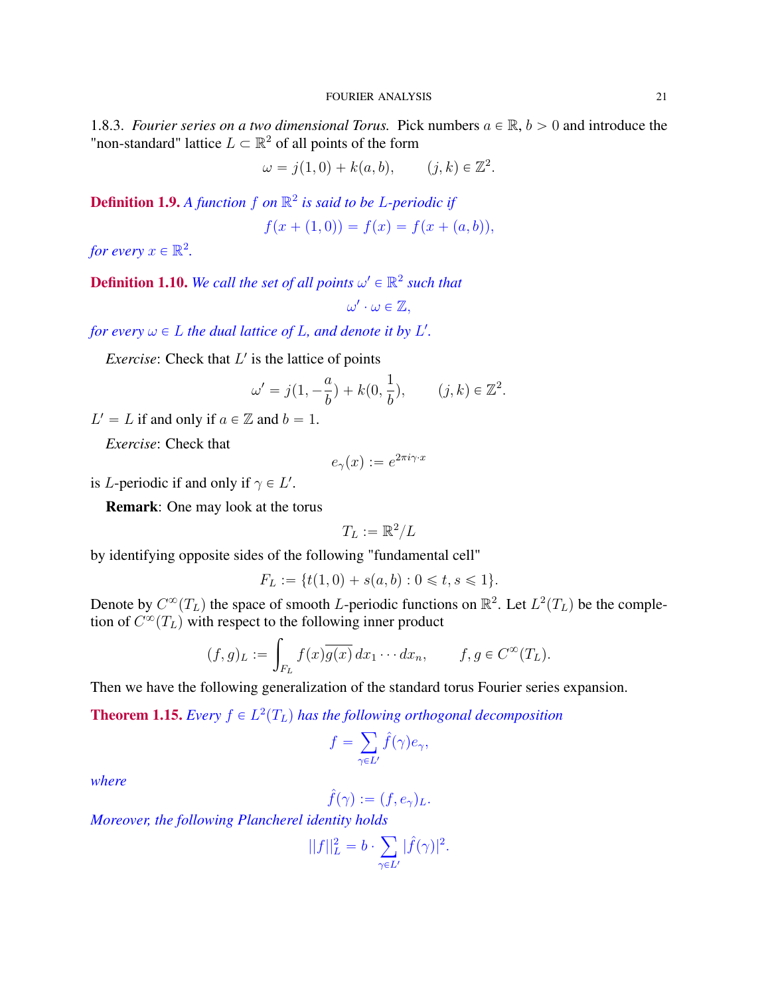1.8.3. *Fourier series on a two dimensional Torus.* Pick numbers  $a \in \mathbb{R}$ ,  $b > 0$  and introduce the "non-standard" lattice  $L \subset \mathbb{R}^2$  of all points of the form

$$
\omega = j(1,0) + k(a,b), \qquad (j,k) \in \mathbb{Z}^2.
$$

Definition 1.9. *A function* f *on* R 2 *is said to be* L*-periodic if*

$$
f(x + (1,0)) = f(x) = f(x + (a,b)),
$$

*for every*  $x \in \mathbb{R}^2$ .

**Definition 1.10.** We call the set of all points  $\omega' \in \mathbb{R}^2$  such that

 $\omega'\cdot\omega\in\mathbb{Z},$ 

*for every*  $\omega \in L$  *the dual lattice of L, and denote it by L'.* 

*Exercise*: Check that  $L'$  is the lattice of points

$$
\omega'=j\big(1,-\frac{a}{b}\big)+k\big(0,\frac{1}{b}\big),\qquad(j,k)\in\mathbb{Z}^2.
$$

 $L' = L$  if and only if  $a \in \mathbb{Z}$  and  $b = 1$ .

*Exercise*: Check that

$$
e_{\gamma}(x) := e^{2\pi i \gamma \cdot x}
$$

is *L*-periodic if and only if  $\gamma \in L'$ .

Remark: One may look at the torus

$$
T_L:=\mathbb{R}^2/L
$$

by identifying opposite sides of the following "fundamental cell"

$$
F_L := \{ t(1,0) + s(a,b) : 0 \leq t, s \leq 1 \}.
$$

Denote by  $C^{\infty}(T_L)$  the space of smooth L-periodic functions on  $\mathbb{R}^2$ . Let  $L^2(T_L)$  be the completion of  $C^{\infty}(T_L)$  with respect to the following inner product

$$
(f,g)_L := \int_{F_L} f(x) \overline{g(x)} dx_1 \cdots dx_n, \qquad f, g \in C^{\infty}(T_L).
$$

Then we have the following generalization of the standard torus Fourier series expansion.

**Theorem 1.15.** *Every*  $f \in L^2(T_L)$  *has the following orthogonal decomposition* 

$$
f=\sum_{\gamma\in L'}\widehat{f}(\gamma)e_\gamma,
$$

*where*

$$
\hat{f}(\gamma) := (f, e_\gamma)_L.
$$

*Moreover, the following Plancherel identity holds* ÿ

$$
||f||_L^2 = b \cdot \sum_{\gamma \in L'} |\hat{f}(\gamma)|^2.
$$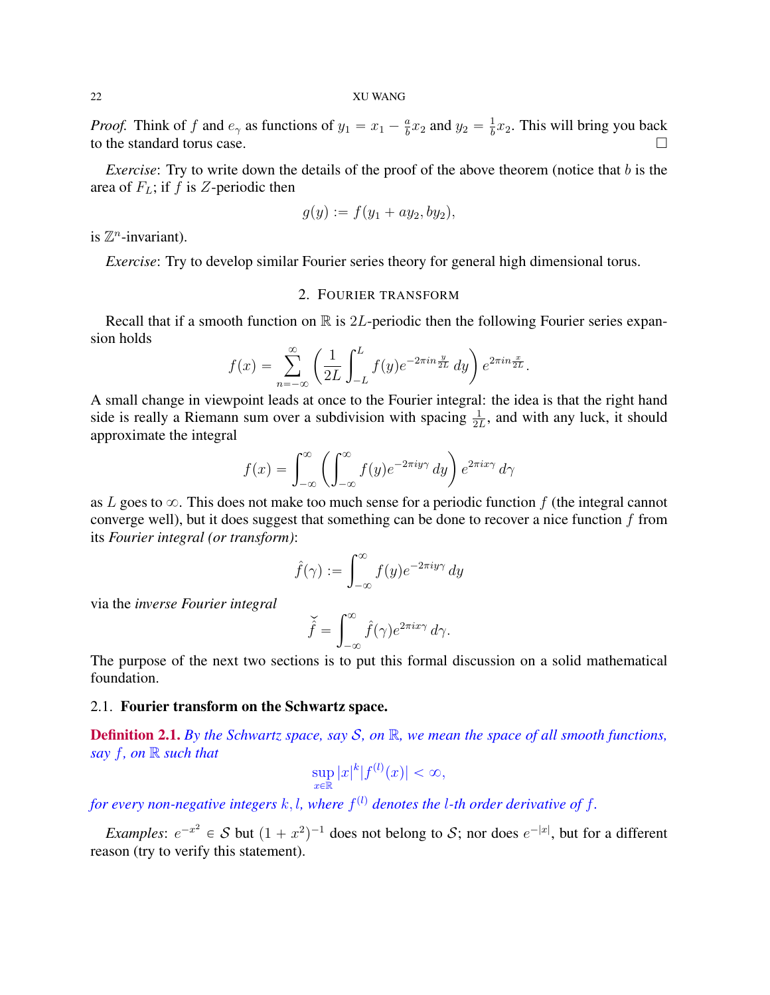*Proof.* Think of f and  $e_\gamma$  as functions of  $y_1 = x_1 - \frac{a}{b}$  $\frac{a}{b}x_2$  and  $y_2 = \frac{1}{b}$  $\frac{1}{b}x_2$ . This will bring you back to the standard torus case.

*Exercise*: Try to write down the details of the proof of the above theorem (notice that b is the area of  $F_L$ ; if f is Z-periodic then

$$
g(y) := f(y_1 + ay_2, by_2),
$$

is  $\mathbb{Z}^n$ -invariant).

*Exercise*: Try to develop similar Fourier series theory for general high dimensional torus.

### 2. FOURIER TRANSFORM

Recall that if a smooth function on  $\mathbb R$  is 2L-periodic then the following Fourier series expansion holds ˆ  $\mathcal{L}^L$ 

$$
f(x) = \sum_{n=-\infty}^{\infty} \left( \frac{1}{2L} \int_{-L}^{L} f(y) e^{-2\pi i n \frac{y}{2L}} dy \right) e^{2\pi i n \frac{x}{2L}}.
$$

A small change in viewpoint leads at once to the Fourier integral: the idea is that the right hand side is really a Riemann sum over a subdivision with spacing  $\frac{1}{2L}$ , and with any luck, it should approximate the integral

$$
f(x) = \int_{-\infty}^{\infty} \left( \int_{-\infty}^{\infty} f(y) e^{-2\pi i y \gamma} dy \right) e^{2\pi i x \gamma} d\gamma
$$

as L goes to  $\infty$ . This does not make too much sense for a periodic function f (the integral cannot converge well), but it does suggest that something can be done to recover a nice function  $f$  from its *Fourier integral (or transform)*:

$$
\hat{f}(\gamma) := \int_{-\infty}^{\infty} f(y)e^{-2\pi iy\gamma} dy
$$

via the *inverse Fourier integral*

$$
\check{\hat{f}} = \int_{-\infty}^{\infty} \hat{f}(\gamma) e^{2\pi i x \gamma} d\gamma.
$$

The purpose of the next two sections is to put this formal discussion on a solid mathematical foundation.

## 2.1. Fourier transform on the Schwartz space.

Definition 2.1. *By the Schwartz space, say* S*, on* R*, we mean the space of all smooth functions, say* f*, on* R *such that*

$$
\sup_{x \in \mathbb{R}} |x|^k |f^{(l)}(x)| < \infty,
$$

for every non-negative integers  $k, l$ , where  $f^{(l)}$  denotes the *l*-th order derivative of f.

*Examples*:  $e^{-x^2} \in S$  but  $(1 + x^2)^{-1}$  does not belong to S; nor does  $e^{-|x|}$ , but for a different reason (try to verify this statement).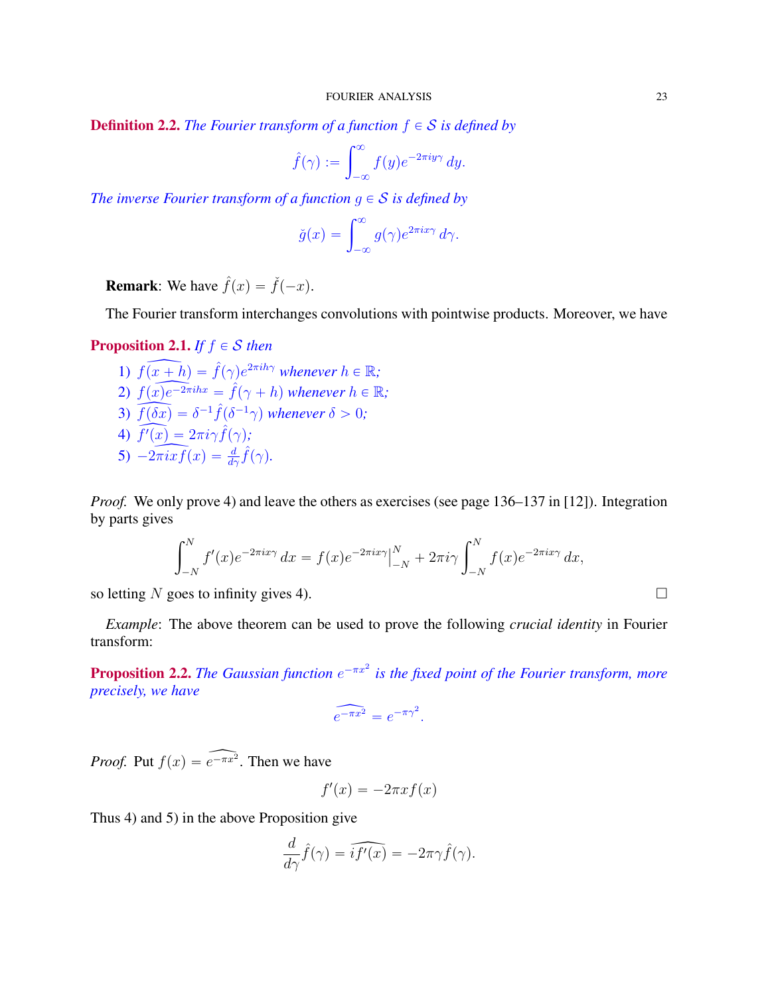**Definition 2.2.** *The Fourier transform of a function*  $f \in S$  *is defined by* 

$$
\hat{f}(\gamma) := \int_{-\infty}^{\infty} f(y) e^{-2\pi i y \gamma} dy.
$$

*The inverse Fourier transform of a function*  $g \in S$  *is defined by* 

$$
\check{g}(x) = \int_{-\infty}^{\infty} g(\gamma) e^{2\pi i x \gamma} d\gamma.
$$

**Remark:** We have  $\hat{f}(x) = \check{f}(-x)$ .

The Fourier transform interchanges convolutions with pointwise products. Moreover, we have

# **Proposition 2.1.** *If*  $f \in S$  *then*

1)  $f(x+h) = \hat{f}(\gamma)e^{2\pi i h\gamma}$  whenever  $h \in \mathbb{R}$ ; 2)  $f(x)e^{-2\pi i hx} = \hat{f}(\gamma + h)$  whenever  $h \in \mathbb{R}$ ; 3)  $\overline{f(\delta x)} = \delta^{-1} \hat{f}(\delta^{-1} \gamma)$  whenever  $\delta > 0$ ;  $\overrightarrow{f'(x)} = 2\pi i \gamma \hat{f}(\gamma);$  $\overbrace{5}$ )  $-2\pi i \overline{x} f(x) = \frac{d}{d\gamma} \hat{f}(\gamma).$ 

*Proof.* We only prove 4) and leave the others as exercises (see page 136–137 in [12]). Integration by parts gives

$$
\int_{-N}^{N} f'(x)e^{-2\pi ix\gamma} dx = f(x)e^{-2\pi ix\gamma}\Big|_{-N}^{N} + 2\pi i\gamma \int_{-N}^{N} f(x)e^{-2\pi ix\gamma} dx,
$$

so letting N goes to infinity gives 4).

*Example*: The above theorem can be used to prove the following *crucial identity* in Fourier transform:

**Proposition 2.2.** The Gaussian function  $e^{-\pi x^2}$  is the fixed point of the Fourier transform, more *precisely, we have*

$$
\widehat{e^{-\pi x^2}} = e^{-\pi \gamma^2}.
$$

*Proof.* Put  $f(x) = \widehat{e^{-\pi x^2}}$ . Then we have

$$
f'(x) = -2\pi x f(x)
$$

Thus 4) and 5) in the above Proposition give

$$
\frac{d}{d\gamma}\hat{f}(\gamma) = \widehat{i f'(x)} = -2\pi\gamma \hat{f}(\gamma).
$$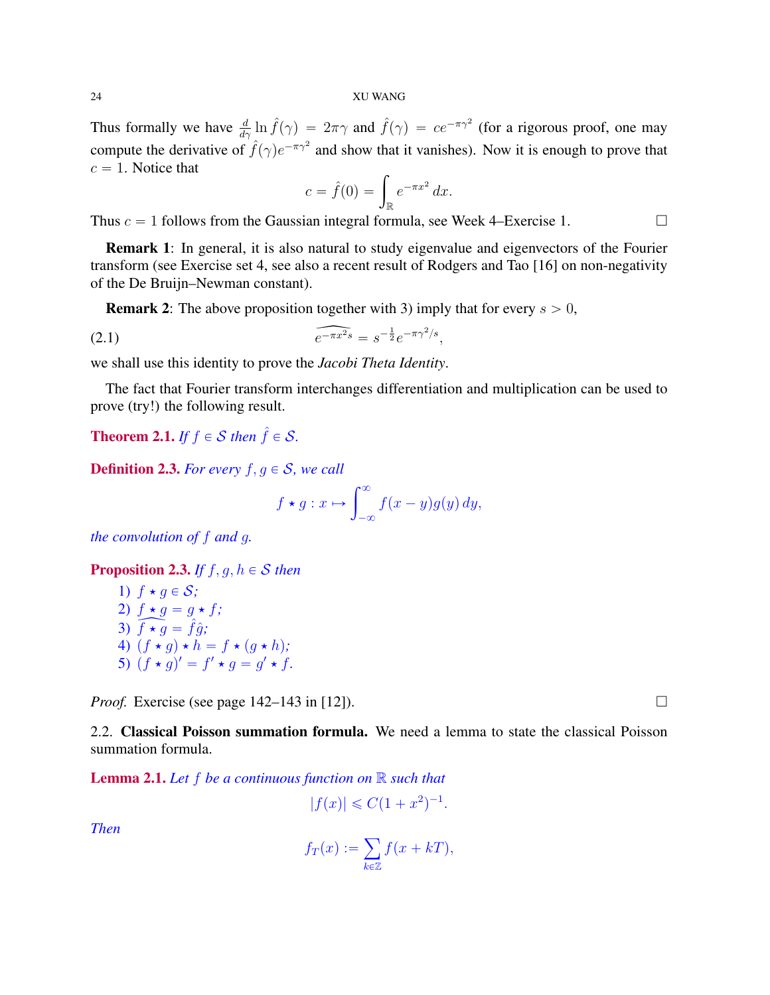Thus formally we have  $\frac{d}{d\gamma} \ln \hat{f}(\gamma) = 2\pi\gamma$  and  $\hat{f}(\gamma) = ce^{-\pi\gamma^2}$  (for a rigorous proof, one may compute the derivative of  $\hat{f}(\gamma)e^{-\pi\gamma^2}$  and show that it vanishes). Now it is enough to prove that  $c = 1$ . Notice that

$$
c = \hat{f}(0) = \int_{\mathbb{R}} e^{-\pi x^2} dx.
$$

Thus  $c = 1$  follows from the Gaussian integral formula, see Week 4–Exercise 1.

Remark 1: In general, it is also natural to study eigenvalue and eigenvectors of the Fourier transform (see Exercise set 4, see also a recent result of Rodgers and Tao [16] on non-negativity of the De Bruijn–Newman constant).

**Remark 2:** The above proposition together with 3) imply that for every  $s > 0$ ,

(2.1) 
$$
\widehat{e^{-\pi x^2 s}} = s^{-\frac{1}{2}} e^{-\pi \gamma^2/s},
$$

we shall use this identity to prove the *Jacobi Theta Identity*.

The fact that Fourier transform interchanges differentiation and multiplication can be used to prove (try!) the following result.

**Theorem 2.1.** *If*  $f \in S$  *then*  $\hat{f} \in S$ *.* 

**Definition 2.3.** *For every*  $f, g \in S$ *, we call* 

$$
f \star g: x \mapsto \int_{-\infty}^{\infty} f(x - y)g(y) dy,
$$

*the convolution of* f *and* g*.*

**Proposition 2.3.** *If*  $f, g, h \in S$  *then* 

1) 
$$
f \star g \in S
$$
;  
\n2)  $f \star g = g \star f$ ;  
\n3)  $\overline{f \star g} = \hat{f}\hat{g}$ ;  
\n4)  $(f \star g) \star h = f \star (g \star h)$ ;  
\n5)  $(f \star g)' = f' \star g = g' \star f$ .

*Proof.* Exercise (see page 142–143 in [12]).

2.2. Classical Poisson summation formula. We need a lemma to state the classical Poisson summation formula.

Lemma 2.1. *Let* f *be a continuous function on* R *such that*

$$
|f(x)| \leq C(1+x^2)^{-1}.
$$

*Then*

$$
f_T(x) := \sum_{k \in \mathbb{Z}} f(x + kT),
$$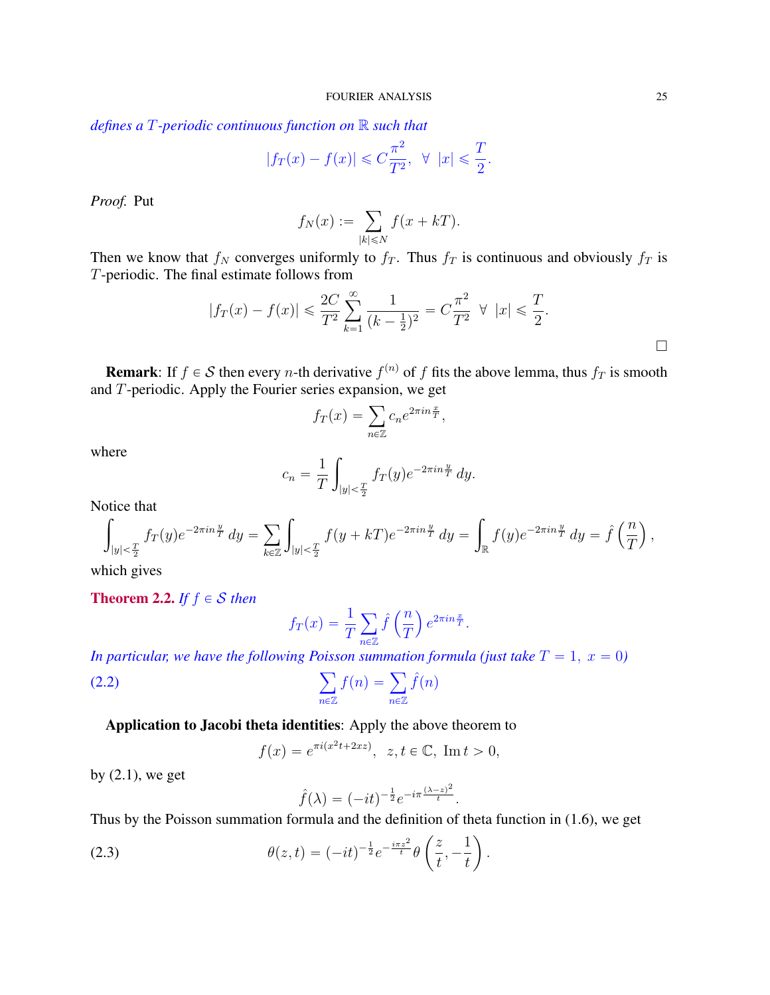*defines a* T*-periodic continuous function on* R *such that*

$$
|f_T(x) - f(x)| \leq C \frac{\pi^2}{T^2}, \quad \forall \ |x| \leq \frac{T}{2}.
$$

*Proof.* Put

$$
f_N(x) := \sum_{|k| \le N} f(x + kT).
$$

Then we know that  $f_N$  converges uniformly to  $f_T$ . Thus  $f_T$  is continuous and obviously  $f_T$  is T-periodic. The final estimate follows from

$$
|f_T(x) - f(x)| \le \frac{2C}{T^2} \sum_{k=1}^{\infty} \frac{1}{(k - \frac{1}{2})^2} = C \frac{\pi^2}{T^2} \quad \forall \ |x| \le \frac{T}{2}.
$$

**Remark**: If  $f \in S$  then every *n*-th derivative  $f^{(n)}$  of f fits the above lemma, thus  $f_T$  is smooth and T-periodic. Apply the Fourier series expansion, we get<br>  $f_T(x) = \sum_i c_n e^{2\pi i n \frac{x}{T}},$ 

$$
f_T(x) = \sum_{n \in \mathbb{Z}} c_n e^{2\pi i n \frac{x}{T}},
$$

where

$$
c_n = \frac{1}{T} \int_{|y| < \frac{T}{2}} f_T(y) e^{-2\pi i n \frac{y}{T}} \, dy.
$$

Notice that

$$
\int_{|y| < \frac{T}{2}} f_T(y) e^{-2\pi i n \frac{y}{T}} \, dy = \sum_{k \in \mathbb{Z}} \int_{|y| < \frac{T}{2}} f(y + kT) e^{-2\pi i n \frac{y}{T}} \, dy = \int_{\mathbb{R}} f(y) e^{-2\pi i n \frac{y}{T}} \, dy = \hat{f} \left( \frac{n}{T} \right),
$$

which gives

**Theorem 2.2.** *If*  $f \in S$  *then* 

$$
f_T(x) = \frac{1}{T} \sum_{n \in \mathbb{Z}} \hat{f}\left(\frac{n}{T}\right) e^{2\pi i n \frac{x}{T}}.
$$

*In particular, we have the following Poisson summation formula (just take*  $T = 1$ ,  $x = 0$ )<br>
(2.2)  $\sum_{n=0}^{n} f(n) = \sum_{n=0}^{n} \hat{f}(n)$ 

(2.2) 
$$
\sum_{n\in\mathbb{Z}}f(n)=\sum_{n\in\mathbb{Z}}\hat{f}(n)
$$

Application to Jacobi theta identities: Apply the above theorem to

$$
f(x) = e^{\pi i(x^2t + 2xz)}
$$
,  $z, t \in \mathbb{C}$ , Im  $t > 0$ ,

by  $(2.1)$ , we get

$$
\hat{f}(\lambda) = (-it)^{-\frac{1}{2}} e^{-i\pi \frac{(\lambda - z)^2}{t}}.
$$

Thus by the Poisson summation formula and the definition of theta function in  $(1.6)$ , we get

(2.3) 
$$
\theta(z,t) = (-it)^{-\frac{1}{2}} e^{-\frac{i\pi z^2}{t}} \theta\left(\frac{z}{t}, -\frac{1}{t}\right).
$$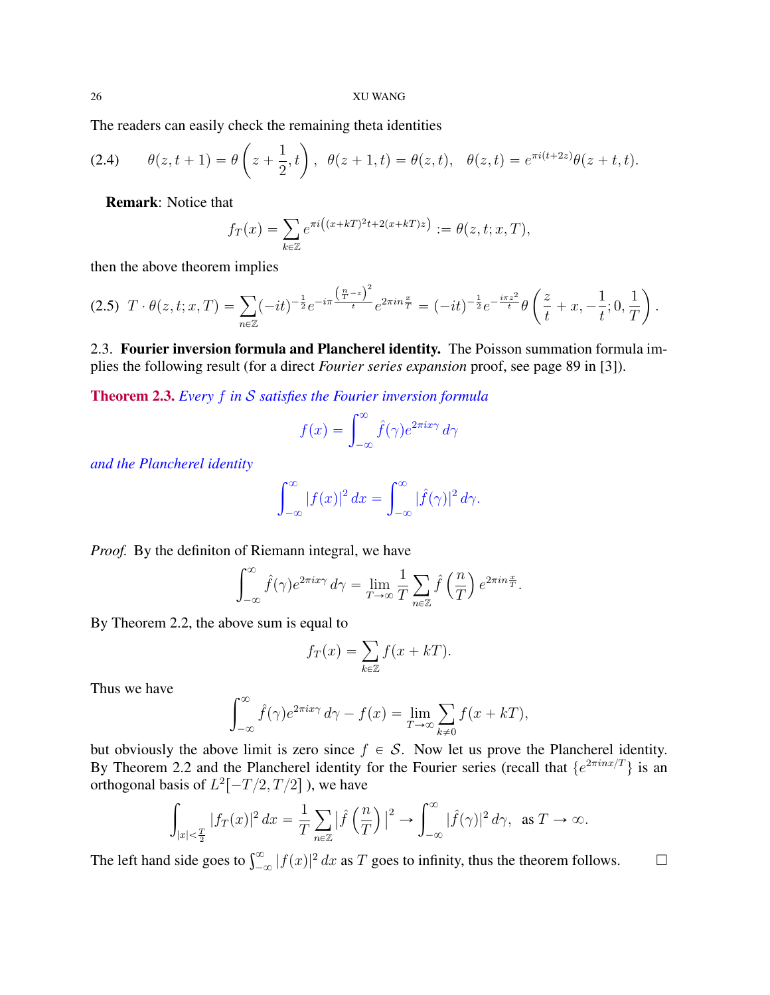The readers can easily check the remaining theta identities  
\n(2.4) 
$$
\theta(z, t+1) = \theta\left(z + \frac{1}{2}, t\right), \ \theta(z + 1, t) = \theta(z, t), \ \theta(z, t) = e^{\pi i (t+2z)} \theta(z + t, t).
$$

Remark: Notice that

$$
f_T(x) = \sum_{k \in \mathbb{Z}} e^{\pi i ((x + kT)^2 t + 2(x + kT)z)} := \theta(z, t; x, T),
$$

then the above theorem implies

$$
(2.5) \ T \cdot \theta(z, t; x, T) = \sum_{n \in \mathbb{Z}} (-it)^{-\frac{1}{2}} e^{-i\pi \frac{\left(\frac{n}{T} - z\right)^2}{t}} e^{2\pi i n \frac{x}{T}} = (-it)^{-\frac{1}{2}} e^{-\frac{i\pi z^2}{t}} \theta\left(\frac{z}{t} + x, -\frac{1}{t}; 0, \frac{1}{T}\right).
$$

2.3. Fourier inversion formula and Plancherel identity. The Poisson summation formula implies the following result (for a direct *Fourier series expansion* proof, see page 89 in [3]).

Theorem 2.3. *Every* f *in* S *satisfies the Fourier inversion formula*

$$
f(x) = \int_{-\infty}^{\infty} \hat{f}(\gamma) e^{2\pi i x \gamma} d\gamma
$$

*and the Plancherel identity*

$$
\int_{-\infty}^{\infty} |f(x)|^2 dx = \int_{-\infty}^{\infty} |\hat{f}(\gamma)|^2 d\gamma.
$$

*Proof.* By the definiton of Riemann integral, we have

$$
\int_{-\infty}^{\infty} \hat{f}(\gamma) e^{2\pi i x \gamma} d\gamma = \lim_{T \to \infty} \frac{1}{T} \sum_{n \in \mathbb{Z}} \hat{f}\left(\frac{n}{T}\right) e^{2\pi i n \frac{x}{T}}.
$$

By Theorem 2.2, the above sum is equal to

$$
f_T(x) = \sum_{k \in \mathbb{Z}} f(x + kT).
$$

Thus we have

$$
\int_{-\infty}^{\infty} \hat{f}(\gamma) e^{2\pi i x \gamma} d\gamma - f(x) = \lim_{T \to \infty} \sum_{k \neq 0} f(x + kT),
$$

but obviously the above limit is zero since  $f \in S$ . Now let us prove the Plancherel identity. By Theorem 2.2 and the Plancherel identity for the Fourier series (recall that  $\{e^{2\pi i nx/T}\}\)$  is an orthogonal basis of  $L^2[-T/2, T/2]$  ), we have<br> $\int_{-1}^{\infty} \frac{1}{(T-1)^2} \int_{-1}^{2} \frac{1}{(T-1)^2} \int_{-1}^{\infty} \int_{-1}^{\infty}$ 

$$
\int_{|x|<\frac{T}{2}}|f_T(x)|^2\,dx=\frac{1}{T}\sum_{n\in\mathbb{Z}}|\widehat{f}\left(\frac{n}{T}\right)|^2\to\int_{-\infty}^{\infty}|\widehat{f}(\gamma)|^2\,d\gamma,\text{ as }T\to\infty.
$$

The left hand side goes to  $\int_{-\infty}^{\infty} |f(x)|^2 dx$  as T goes to infinity, thus the theorem follows.  $\square$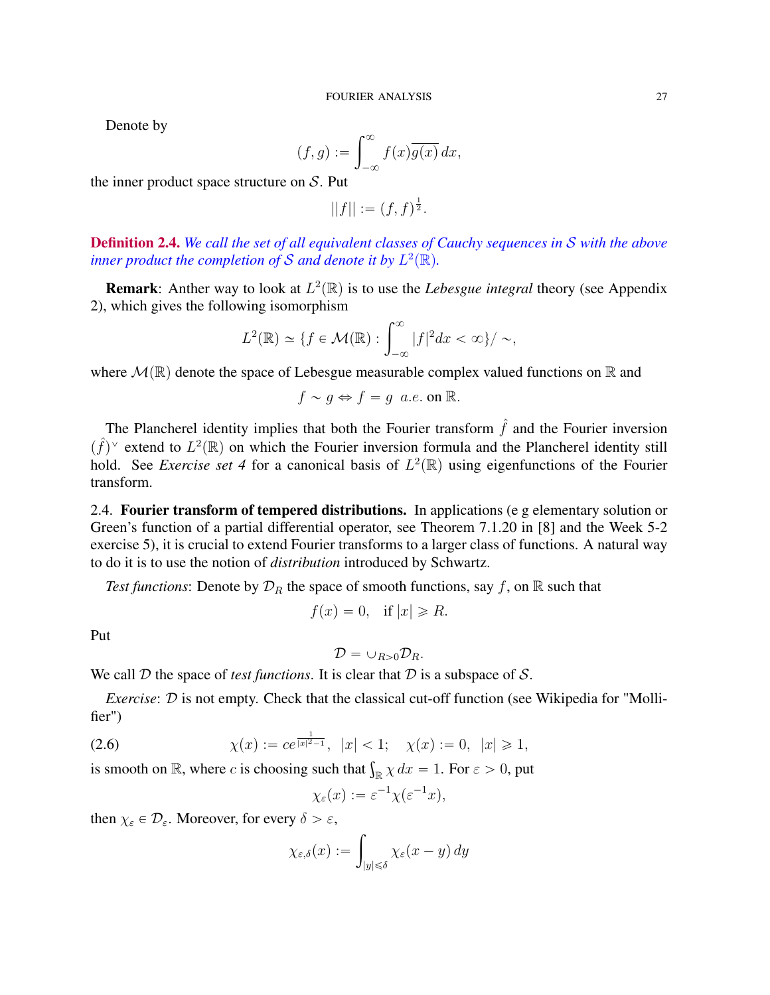Denote by

$$
(f,g) := \int_{-\infty}^{\infty} f(x) \overline{g(x)} \, dx,
$$

the inner product space structure on  $S$ . Put

 $||f|| := (f, f)^{\frac{1}{2}}.$ 

**Definition 2.4.** We call the set of all equivalent classes of Cauchy sequences in S with the above inner product the completion of S and denote it by  $L^2(\mathbb{R})$ .

**Remark**: Anther way to look at  $L^2(\mathbb{R})$  is to use the *Lebesgue integral* theory (see Appendix 2), which gives the following isomorphism

$$
L^{2}(\mathbb{R}) \simeq \{f \in \mathcal{M}(\mathbb{R}) : \int_{-\infty}^{\infty} |f|^{2} dx < \infty\}/\sim,
$$

where  $\mathcal{M}(\mathbb{R})$  denote the space of Lebesgue measurable complex valued functions on R and

$$
f \sim g \Leftrightarrow f = g \ a.e.
$$
 on R.

The Plancherel identity implies that both the Fourier transform  $\hat{f}$  and the Fourier inversion  $(\hat{f})^{\vee}$  extend to  $L^2(\mathbb{R})$  on which the Fourier inversion formula and the Plancherel identity still hold. See *Exercise set 4* for a canonical basis of  $L^2(\mathbb{R})$  using eigenfunctions of the Fourier transform.

2.4. Fourier transform of tempered distributions. In applications (e g elementary solution or Green's function of a partial differential operator, see Theorem 7.1.20 in [8] and the Week 5-2 exercise 5), it is crucial to extend Fourier transforms to a larger class of functions. A natural way to do it is to use the notion of *distribution* introduced by Schwartz.

*Test functions*: Denote by  $\mathcal{D}_R$  the space of smooth functions, say f, on R such that

$$
f(x) = 0, \quad \text{if } |x| \ge R.
$$

Put

$$
\mathcal{D}=\cup_{R>0}\mathcal{D}_R.
$$

We call  $D$  the space of *test functions*. It is clear that  $D$  is a subspace of  $S$ .

*Exercise:*  $D$  is not empty. Check that the classical cut-off function (see Wikipedia for "Mollifier")

(2.6) 
$$
\chi(x) := ce^{\frac{1}{|x|^2 - 1}}
$$
,  $|x| < 1$ ;  $\chi(x) := 0$ ,  $|x| \ge 1$ , is smooth on  $\mathbb{R}$ , where  $c$  is choosing such that  $\int_{\mathbb{R}} \chi \, dx = 1$ . For  $\varepsilon > 0$ , put

$$
\chi_{\varepsilon}(x) := \varepsilon^{-1} \chi(\varepsilon^{-1} x),
$$

then  $\chi_{\varepsilon} \in \mathcal{D}_{\varepsilon}$ . Moreover, for every  $\delta > \varepsilon$ ,

$$
\chi_{\varepsilon,\delta}(x) := \int_{|y| \leq \delta} \chi_{\varepsilon}(x - y) \, dy
$$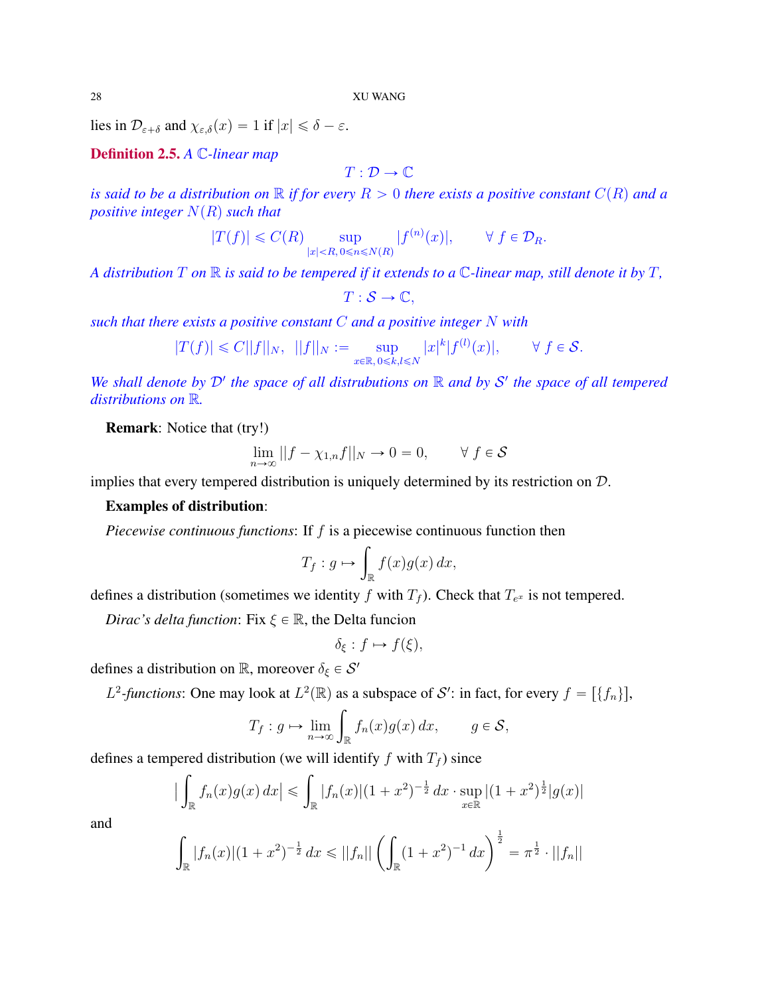lies in  $\mathcal{D}_{\varepsilon+\delta}$  and  $\chi_{\varepsilon,\delta}(x) = 1$  if  $|x| \le \delta - \varepsilon$ .

Definition 2.5. *A* C*-linear map*

$$
T:\mathcal{D}\rightarrow\mathbb{C}
$$

*is said to be a distribution on*  $\mathbb R$  *if for every*  $R > 0$  *there exists a positive constant*  $C(R)$  *and a positive integer*  $N(R)$  *such that* 

$$
|T(f)| \leqslant C(R) \sup_{|x| < R, 0 \leqslant n \leqslant N(R)} |f^{(n)}(x)|, \qquad \forall \ f \in \mathcal{D}_R.
$$

*A distribution* T *on* R *is said to be tempered if it extends to a* C*-linear map, still denote it by* T*,*

$$
T:\mathcal{S}\rightarrow\mathbb{C},
$$

*such that there exists a positive constant* C *and a positive integer* N *with*

$$
|T(f)| \leq C||f||_N, \quad ||f||_N := \sup_{x \in \mathbb{R}, 0 \leq k, l \leq N} |x|^k |f^{(l)}(x)|, \qquad \forall f \in \mathcal{S}.
$$

We shall denote by  $D'$  the space of all distrubutions on  $\mathbb R$  and by  $S'$  the space of all tempered *distributions on* R*.*

Remark: Notice that (try!)

$$
\lim_{n \to \infty} ||f - \chi_{1,n}f||_N \to 0 = 0, \qquad \forall f \in \mathcal{S}
$$

implies that every tempered distribution is uniquely determined by its restriction on  $D$ .

# Examples of distribution:

*Piecewise continuous functions*: If f is a piecewise continuous function then

$$
T_f: g \mapsto \int_{\mathbb{R}} f(x)g(x) \, dx,
$$

defines a distribution (sometimes we identity f with  $T_f$ ). Check that  $T_{e^x}$  is not tempered.

*Dirac's delta function*: Fix  $\xi \in \mathbb{R}$ , the Delta funcion

$$
\delta_{\xi}: f \mapsto f(\xi),
$$

defines a distribution on  $\mathbb{R}$ , moreover  $\delta_{\xi} \in \mathcal{S}'$ 

*L*<sup>2</sup>-functions: One may look at *L*<sup>2</sup>(
$$
\mathbb{R}
$$
) as a subspace of *S'*: in fact, for every  $f = [\{f_n\}]$ ,  
\n
$$
T_f : g \mapsto \lim_{n \to \infty} \int_{\mathbb{R}} f_n(x)g(x) dx, \qquad g \in S,
$$

defines a tempered distribution (we will identify  $f$  with  $T_f$ ) since

$$
\left| \int_{\mathbb{R}} f_n(x) g(x) \, dx \right| \leq \int_{\mathbb{R}} |f_n(x)| (1+x^2)^{-\frac{1}{2}} \, dx \cdot \sup_{x \in \mathbb{R}} |(1+x^2)^{\frac{1}{2}} |g(x)|
$$

and

$$
\int_{\mathbb{R}} |f_n(x)| (1+x^2)^{-\frac{1}{2}} dx \le ||f_n|| \left( \int_{\mathbb{R}} (1+x^2)^{-1} dx \right)^{\frac{1}{2}} = \pi^{\frac{1}{2}} \cdot ||f_n||
$$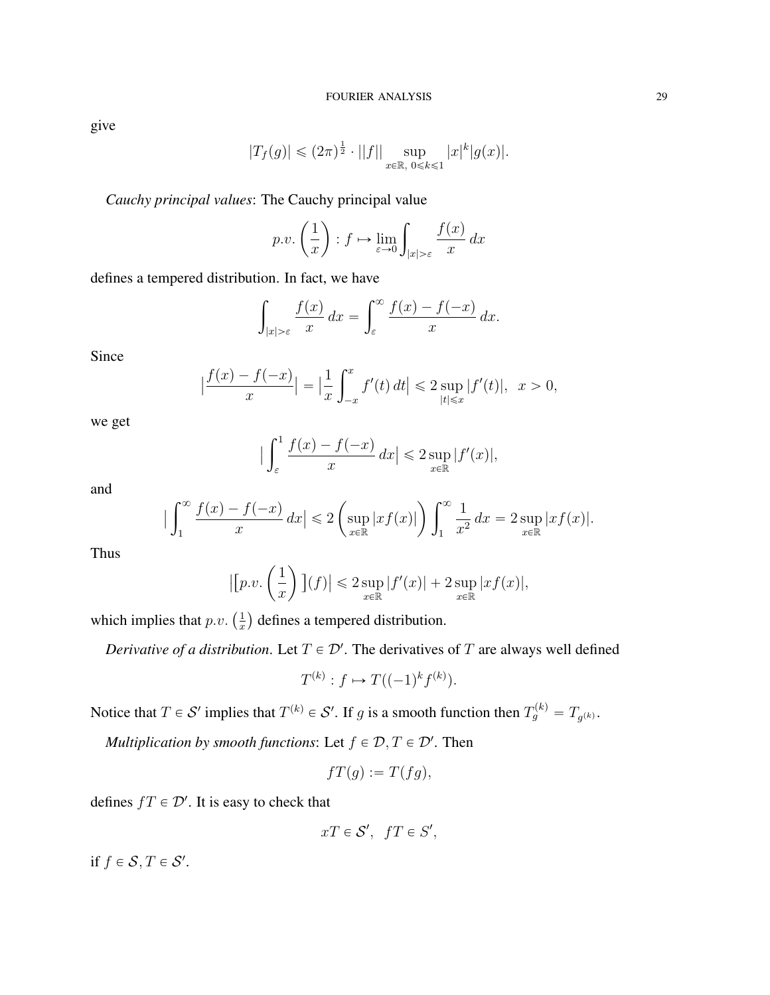give

$$
|T_f(g)| \leq (2\pi)^{\frac{1}{2}} \cdot ||f|| \sup_{x \in \mathbb{R}, \ 0 \leq k \leq 1} |x|^k |g(x)|.
$$

*Cauchy principal values*: The Cauchy principal value ˙

$$
p.v. \left(\frac{1}{x}\right) : f \mapsto \lim_{\varepsilon \to 0} \int_{|x| > \varepsilon} \frac{f(x)}{x} dx
$$

defines a tempered distribution. In fact, we have

$$
\int_{|x|>\varepsilon} \frac{f(x)}{x} dx = \int_{\varepsilon}^{\infty} \frac{f(x) - f(-x)}{x} dx.
$$

Since

$$
\left|\frac{f(x) - f(-x)}{x}\right| = \left|\frac{1}{x}\int_{-x}^{x} f'(t) dt\right| \leq 2 \sup_{|t| \leq x} |f'(t)|, \ \ x > 0,
$$

we get

$$
\Big|\int_{\varepsilon}^{1} \frac{f(x) - f(-x)}{x} dx\Big| \leq 2 \sup_{x \in \mathbb{R}} |f'(x)|,
$$

and

$$
\Big|\int_1^\infty \frac{f(x) - f(-x)}{x} dx\Big| \leq 2 \left( \sup_{x \in \mathbb{R}} |xf(x)| \right) \int_1^\infty \frac{1}{x^2} dx = 2 \sup_{x \in \mathbb{R}} |xf(x)|.
$$

Thus

$$
\left| \left[ p.v.\left(\frac{1}{x}\right) \right] (f) \right| \leqslant 2 \sup_{x \in \mathbb{R}} |f'(x)| + 2 \sup_{x \in \mathbb{R}} |xf(x)|,
$$

which implies that  $p.v.$   $\left(\frac{1}{r}\right)$ x defines a tempered distribution.

˙

*Derivative of a distribution.* Let  $T \in \mathcal{D}'$ . The derivatives of T are always well defined

$$
T^{(k)}: f \mapsto T((-1)^k f^{(k)}).
$$

Notice that  $T \in \mathcal{S}'$  implies that  $T^{(k)} \in \mathcal{S}'$ . If g is a smooth function then  $T_g^{(k)} = T_{g^{(k)}}$ .

*Multiplication by smooth functions:* Let  $f \in \mathcal{D}, T \in \mathcal{D}'$ . Then

$$
fT(g) := T(fg),
$$

defines  $fT \in \mathcal{D}'$ . It is easy to check that

$$
xT\in \mathcal{S}',\;\;fT\in S',
$$

if  $f \in \mathcal{S}, T \in \mathcal{S}'$ .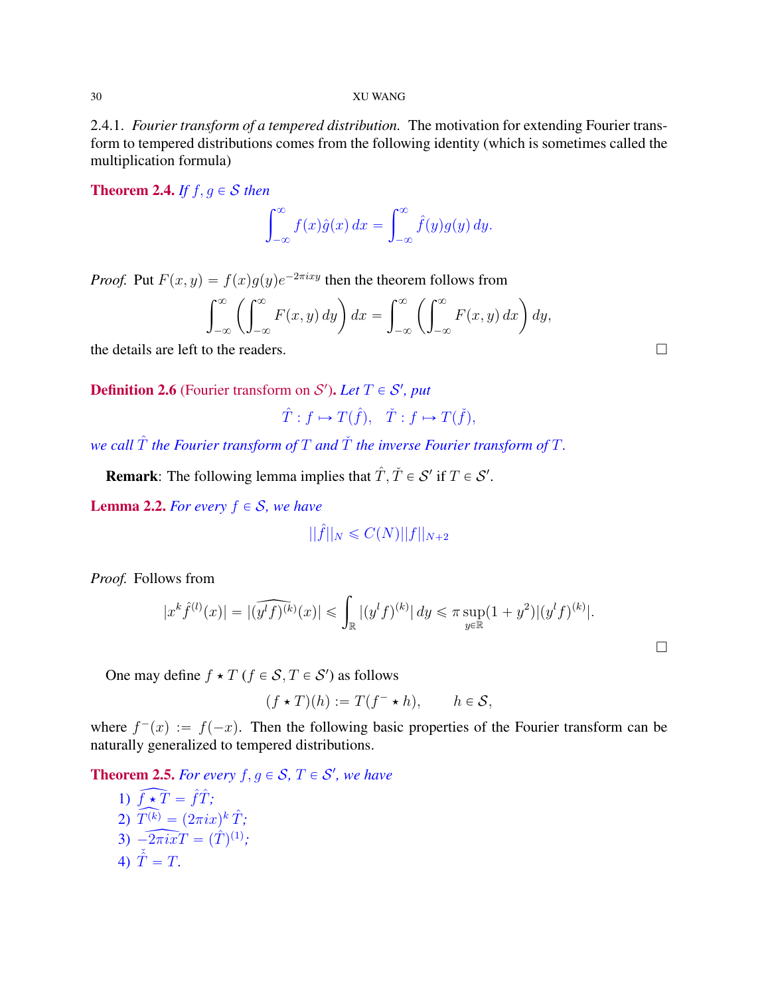2.4.1. *Fourier transform of a tempered distribution.* The motivation for extending Fourier transform to tempered distributions comes from the following identity (which is sometimes called the multiplication formula)

**Theorem 2.4.** *If*  $f, g \in S$  *then* 

$$
\int_{-\infty}^{\infty} f(x)\hat{g}(x) dx = \int_{-\infty}^{\infty} \hat{f}(y)g(y) dy.
$$

*Proof.* Put  $F(x, y) = f(x)g(y)e^{-2\pi i xy}$  then the theorem follows from

$$
\int_{-\infty}^{\infty} \left( \int_{-\infty}^{\infty} F(x, y) dy \right) dx = \int_{-\infty}^{\infty} \left( \int_{-\infty}^{\infty} F(x, y) dx \right) dy,
$$

the details are left to the readers.

**Definition 2.6** (Fourier transform on  $\mathcal{S}'$ ). Let  $T \in \mathcal{S}'$ , put

$$
\hat{T}: f \mapsto T(\hat{f}), \quad \check{T}: f \mapsto T(\check{f}),
$$

*we call*  $\hat{T}$  *the Fourier transform of*  $T$  *and*  $\check{T}$  *the inverse Fourier transform of*  $T$ *.* 

**Remark:** The following lemma implies that  $\hat{T}$ ,  $\check{T} \in \mathcal{S}'$  if  $T \in \mathcal{S}'$ .

**Lemma 2.2.** *For every*  $f \in S$ *, we have* 

$$
||\hat{f}||_N \leq C(N) ||f||_{N+2}
$$

*Proof.* Follows from

$$
|x^{k}\hat{f}^{(l)}(x)| = |(\widehat{y^{l}f)^{(k)}}(x)| \leq \int_{\mathbb{R}} |(y^{l}f)^{(k)}| dy \leq \pi \sup_{y \in \mathbb{R}} (1+y^{2})|(y^{l}f)^{(k)}|.
$$

One may define  $f \star T$  ( $f \in S, T \in S'$ ) as follows

$$
(f \star T)(h) := T(f^- \star h), \qquad h \in \mathcal{S},
$$

where  $f^{-}(x) := f(-x)$ . Then the following basic properties of the Fourier transform can be naturally generalized to tempered distributions.

**Theorem 2.5.** For every  $f, g \in S$ ,  $T \in S'$ , we have

1) 
$$
\widehat{f \star T} = \hat{f}\hat{T};
$$
  
\n2) 
$$
\widehat{T^{(k)}} = (2\pi ix)^k \hat{T};
$$
  
\n3) 
$$
-2\pi ixT = (\hat{T})^{(1)};
$$
  
\n4) 
$$
\tilde{T} = T.
$$

 $\Box$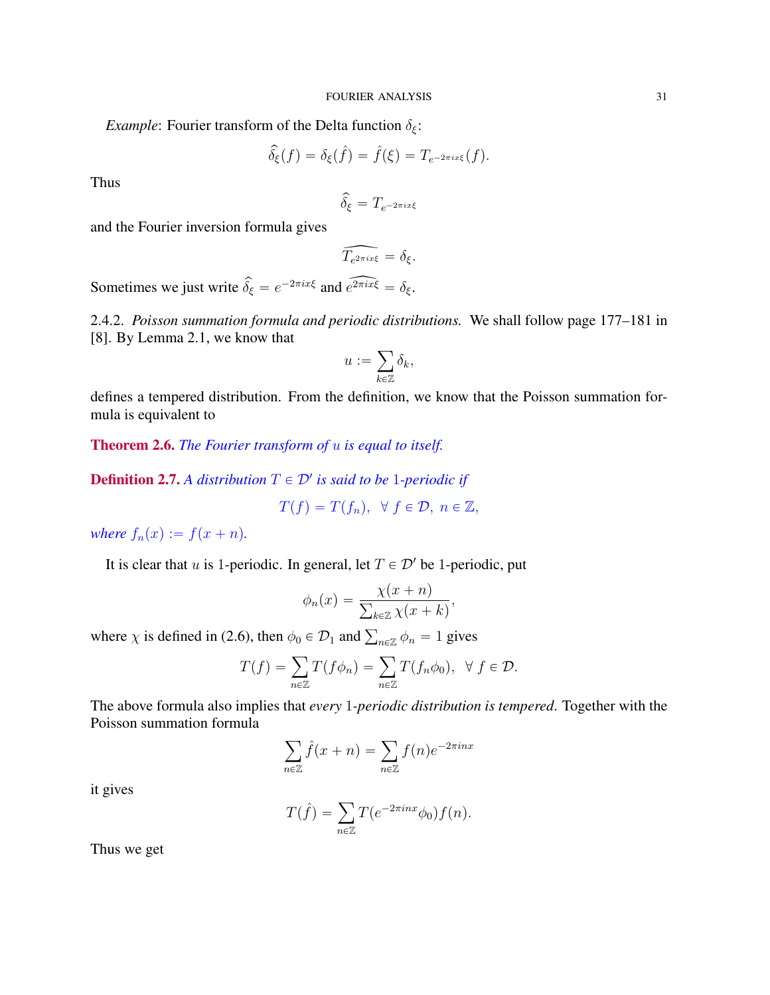*Example*: Fourier transform of the Delta function  $\delta_{\xi}$ :

$$
\widehat{\delta}_{\xi}(f) = \delta_{\xi}(\widehat{f}) = \widehat{f}(\xi) = T_{e^{-2\pi ix\xi}}(f).
$$

Thus

$$
\widehat{\delta_{\xi}}=T_{e^{-2\pi i x\xi}}
$$

and the Fourier inversion formula gives

$$
\widehat{T_{e^{2\pi ix\xi}}} = \delta_{\xi}.
$$

Sometimes we just write  $\hat{\delta}_{\xi} = e^{-2\pi i x \xi}$  and  $\hat{e^{2\pi i x \xi}} = \delta_{\xi}$ .

2.4.2. *Poisson summation formula and periodic distributions.* We shall follow page 177–181 in [8]. By Lemma 2.1, we know that

$$
u:=\sum_{k\in\mathbb{Z}}\delta_k,
$$

defines a tempered distribution. From the definition, we know that the Poisson summation formula is equivalent to

Theorem 2.6. *The Fourier transform of* u *is equal to itself.*

**Definition 2.7.** A distribution  $T \in \mathcal{D}'$  is said to be 1-periodic if

$$
T(f) = T(f_n), \ \ \forall \ f \in \mathcal{D}, \ n \in \mathbb{Z},
$$

*where*  $f_n(x) := f(x + n)$ *.* 

It is clear that u is 1-periodic. In general, let  $T \in \mathcal{D}'$  be 1-periodic, put

$$
\phi_n(x) = \frac{\chi(x+n)}{\sum_{k \in \mathbb{Z}} \chi(x+k)},
$$

where  $\chi$  is defined in (2.6), then  $\phi_0 \in \mathcal{D}_1$  and  $\sum_{n \in \mathbb{Z}} \phi_n = 1$  gives

$$
T(f) = \sum_{n \in \mathbb{Z}} T(f \phi_n) = \sum_{n \in \mathbb{Z}} T(f_n \phi_0), \ \ \forall \ f \in \mathcal{D}.
$$

The above formula also implies that *every* 1*-periodic distribution is tempered*. Together with the Poisson summation formula

$$
\sum_{n \in \mathbb{Z}} \hat{f}(x+n) = \sum_{n \in \mathbb{Z}} f(n) e^{-2\pi i nx}
$$

it gives

$$
T(\hat{f}) = \sum_{n \in \mathbb{Z}} T(e^{-2\pi inx} \phi_0) f(n).
$$

Thus we get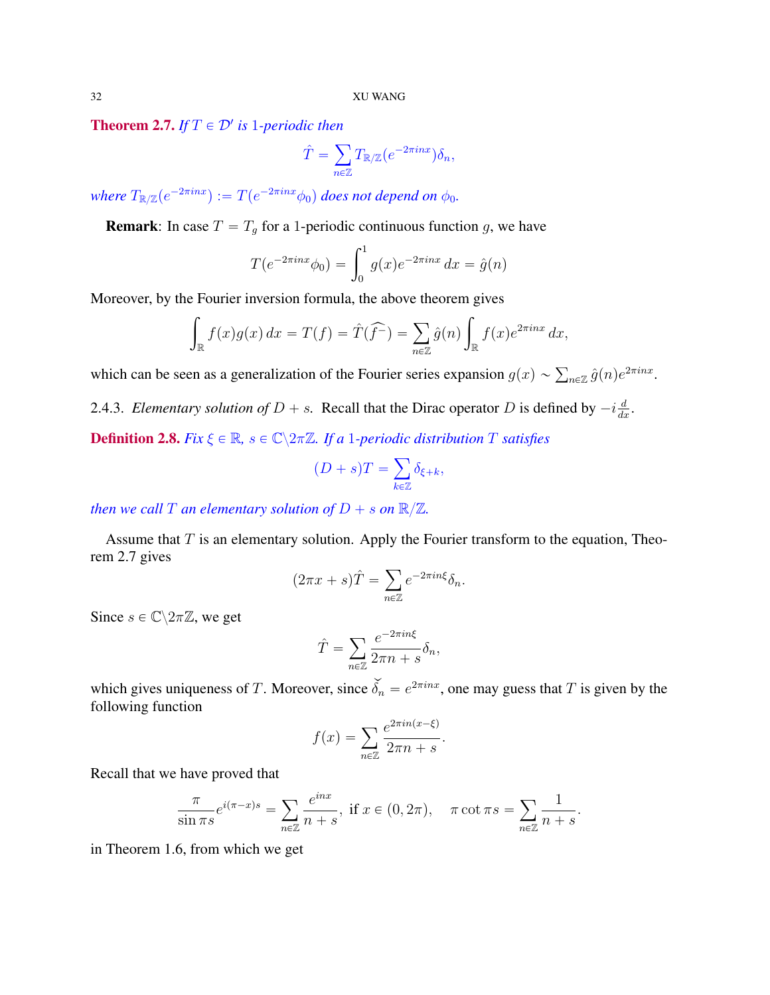**Theorem 2.7.** If  $T \in \mathcal{D}'$  is 1-periodic then ÿ

$$
\hat{T} = \sum_{n \in \mathbb{Z}} T_{\mathbb{R}/\mathbb{Z}} (e^{-2\pi i n x}) \delta_n,
$$

where  $T_{\mathbb{R}/\mathbb{Z}}(e^{-2\pi i n x}):=T(e^{-2\pi i n x}\phi_0)$  does not depend on  $\phi_0$ .

**Remark:** In case  $T = T<sub>g</sub>$  for a 1-periodic continuous function g, we have

$$
T(e^{-2\pi inx}\phi_0) = \int_0^1 g(x)e^{-2\pi inx} dx = \hat{g}(n)
$$

Moreover, by the Fourier inversion formula, the above theorem gives z i odne mycholní formála, ale do le dicorem

$$
\int_{\mathbb{R}} f(x)g(x) dx = T(f) = \hat{T}(\hat{f}^{-}) = \sum_{n \in \mathbb{Z}} \hat{g}(n) \int_{\mathbb{R}} f(x)e^{2\pi i n x} dx,
$$

which can be seen as a generalization of the Fourier series expansion  $g(x) \sim \sum_{n \in \mathbb{Z}} \hat{g}(n) e^{2\pi i nx}$ .

2.4.3. *Elementary solution of*  $D + s$ . Recall that the Dirac operator D is defined by  $-i\frac{d}{dx}$ .

**Definition 2.8.** *Fix*  $\xi \in \mathbb{R}$ ,  $s \in \mathbb{C} \backslash 2\pi \mathbb{Z}$ *. If a* 1*-periodic distribution* T *satisfies* 

$$
(D + s)T = \sum_{k \in \mathbb{Z}} \delta_{\xi + k},
$$

*then we call*  $T$  *an elementary solution of*  $D + s$  *on*  $\mathbb{R}/\mathbb{Z}$ *.* 

Assume that  $T$  is an elementary solution. Apply the Fourier transform to the equation, Theorem 2.7 gives

$$
(2\pi x + s)\hat{T} = \sum_{n \in \mathbb{Z}} e^{-2\pi i n \xi} \delta_n.
$$

Since  $s \in \mathbb{C} \backslash 2\pi \mathbb{Z}$ , we get

$$
\hat{T} = \sum_{n \in \mathbb{Z}} \frac{e^{-2\pi i n \xi}}{2\pi n + s} \delta_n,
$$

which gives uniqueness of T. Moreover, since  $\widetilde{\delta_n} = e^{2\pi i nx}$ , one may guess that T is given by the following function

$$
f(x) = \sum_{n \in \mathbb{Z}} \frac{e^{2\pi i n(x-\xi)}}{2\pi n + s}.
$$

Recall that we have proved that

$$
\frac{\pi}{\sin \pi s} e^{i(\pi - x)s} = \sum_{n \in \mathbb{Z}} \frac{e^{inx}}{n+s}, \text{ if } x \in (0, 2\pi), \quad \pi \cot \pi s = \sum_{n \in \mathbb{Z}} \frac{1}{n+s}.
$$

in Theorem 1.6, from which we get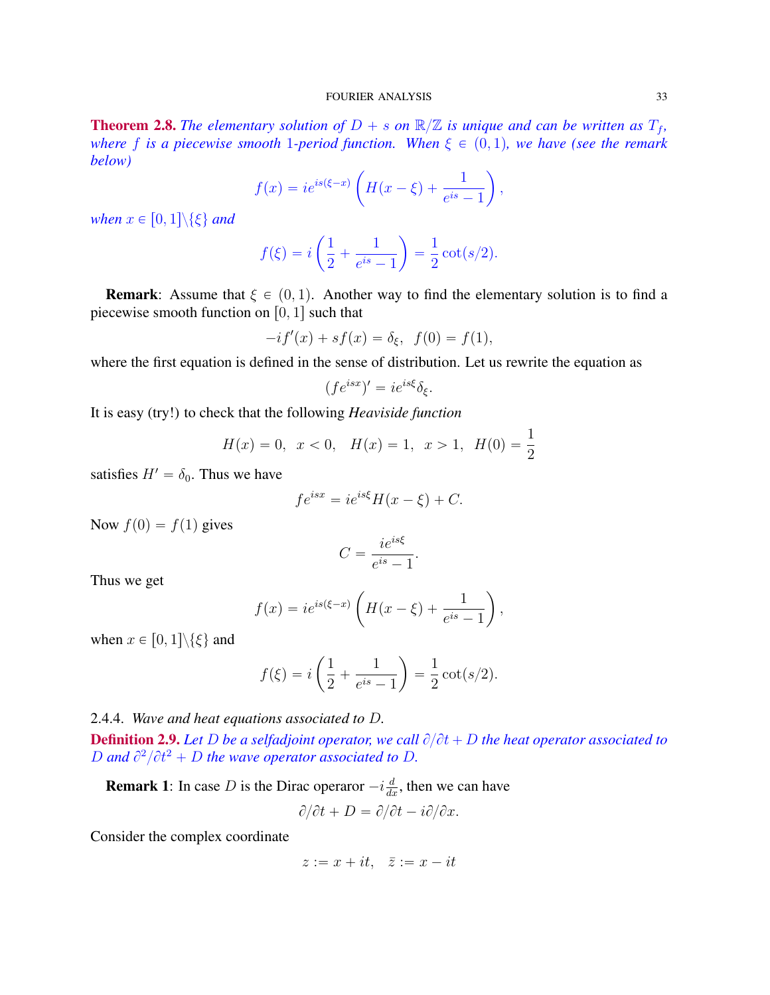### FOURIER ANALYSIS 33

**Theorem 2.8.** The elementary solution of  $D + s$  on  $\mathbb{R}/\mathbb{Z}$  is unique and can be written as  $T_f$ , *where f is a piecewise smooth* 1*-period function. When*  $\xi \in (0, 1)$ *, we have (see the remark below)* ˆ

$$
f(x) = ie^{is(\xi - x)} \left( H(x - \xi) + \frac{1}{e^{is} - 1} \right),
$$

*when*  $x \in [0, 1] \setminus \{\xi\}$  *and* 

$$
f(\xi) = i\left(\frac{1}{2} + \frac{1}{e^{is} - 1}\right) = \frac{1}{2}\cot(s/2).
$$

**Remark:** Assume that  $\xi \in (0, 1)$ . Another way to find the elementary solution is to find a piecewise smooth function on  $[0, 1]$  such that

$$
-if'(x) + sf(x) = \delta_{\xi}, \ \ f(0) = f(1),
$$

where the first equation is defined in the sense of distribution. Let us rewrite the equation as

$$
(fe^{isx})' = ie^{is\xi}\delta_{\xi}.
$$

It is easy (try!) to check that the following *Heaviside function*

$$
H(x) = 0, \ x < 0, \ H(x) = 1, \ x > 1, \ H(0) = \frac{1}{2}
$$

satisfies  $H' = \delta_0$ . Thus we have

$$
fe^{isx} = ie^{is\xi}H(x-\xi) + C.
$$

Now  $f(0) = f(1)$  gives

$$
C = \frac{ie^{is\xi}}{e^{is} - 1}
$$

.

Thus we get

$$
f(x) = ie^{is(\xi - x)} \left( H(x - \xi) + \frac{1}{e^{is} - 1} \right),
$$

when  $x \in [0, 1] \setminus \{\xi\}$  and

$$
f(\xi) = i\left(\frac{1}{2} + \frac{1}{e^{is} - 1}\right) = \frac{1}{2}\cot(s/2).
$$

˙

2.4.4. *Wave and heat equations associated to* D*.*

**Definition 2.9.** Let D be a selfadjoint operator, we call  $\partial/\partial t + D$  the heat operator associated to D and  $\partial^2/\partial t^2 + D$  the wave operator associated to D.

**Remark 1**: In case D is the Dirac operaror  $-i\frac{d}{dx}$ , then we can have

ˆ

$$
\partial/\partial t + D = \partial/\partial t - i\partial/\partial x.
$$

Consider the complex coordinate

$$
z := x + it, \quad \bar{z} := x - it
$$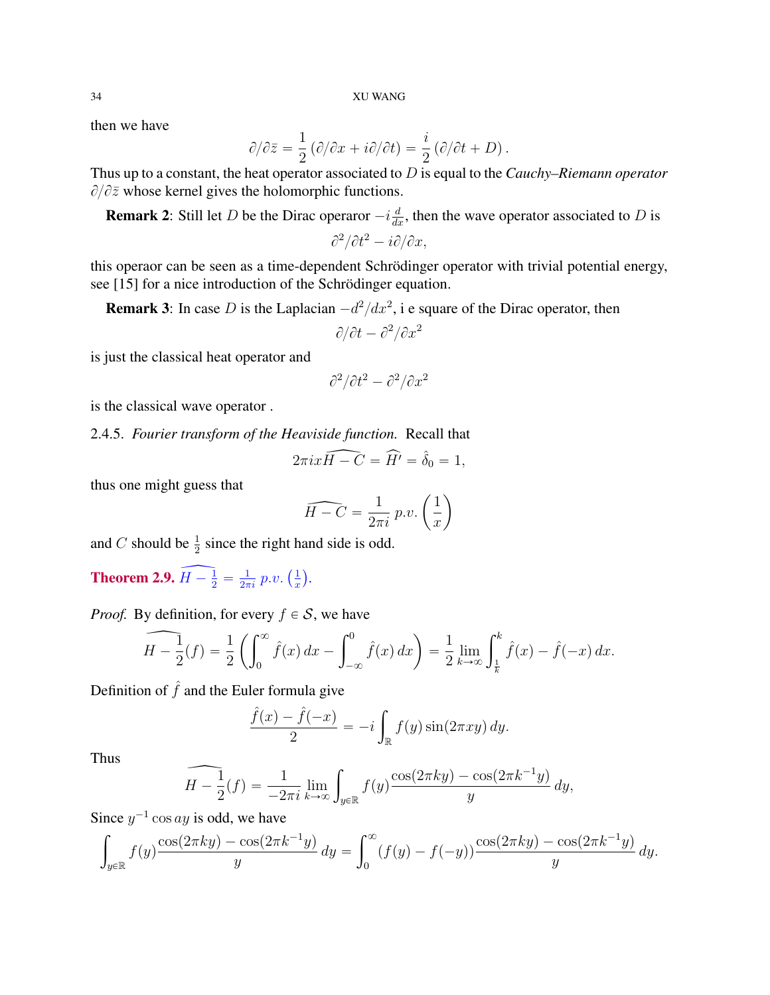then we have

$$
\partial/\partial \bar{z} = \frac{1}{2} \left( \partial/\partial x + i \partial/\partial t \right) = \frac{i}{2} \left( \partial/\partial t + D \right).
$$

Thus up to a constant, the heat operator associated to D is equal to the *Cauchy–Riemann operator*  $\partial/\partial \overline{z}$  whose kernel gives the holomorphic functions.

**Remark 2:** Still let D be the Dirac operaror  $-i\frac{d}{dx}$ , then the wave operator associated to D is

$$
\partial^2/\partial t^2 - i \partial/\partial x,
$$

this operaor can be seen as a time-dependent Schrödinger operator with trivial potential energy, see [15] for a nice introduction of the Schrödinger equation.

**Remark 3**: In case D is the Laplacian  $-d^2/dx^2$ , i e square of the Dirac operator, then

$$
\partial/\partial t - \partial^2/\partial x^2
$$

is just the classical heat operator and

$$
\partial^2/\partial t^2 - \partial^2/\partial x^2
$$

is the classical wave operator .

2.4.5. *Fourier transform of the Heaviside function.* Recall that

$$
2\pi i x \widehat{H - C} = \widehat{H'} = \widehat{\delta}_0 = 1,
$$

thus one might guess that

$$
\widehat{H-C} = \frac{1}{2\pi i} p.v. \left(\frac{1}{x}\right)
$$

and C should be  $\frac{1}{2}$  since the right hand side is odd.

**Theorem 2.9.**  $\widehat{H - \frac{1}{2}} = \frac{1}{2\pi}$  $\frac{1}{2\pi i} p.v.$  ( 1 x *.*

*Proof.* By definition, for every  $f \in S$ , we have

$$
\widehat{H - \frac{1}{2}}(f) = \frac{1}{2} \left( \int_0^\infty \hat{f}(x) \, dx - \int_{-\infty}^0 \hat{f}(x) \, dx \right) = \frac{1}{2} \lim_{k \to \infty} \int_{\frac{1}{k}}^k \hat{f}(x) - \hat{f}(-x) \, dx.
$$

Definition of  $\hat{f}$  and the Euler formula give

$$
\frac{\hat{f}(x) - \hat{f}(-x)}{2} = -i \int_{\mathbb{R}} f(y) \sin(2\pi xy) dy.
$$

Thus

$$
\widehat{H - \frac{1}{2}}(f) = \frac{1}{-2\pi i} \lim_{k \to \infty} \int_{y \in \mathbb{R}} f(y) \frac{\cos(2\pi k y) - \cos(2\pi k^{-1} y)}{y} \, dy,
$$

Since  $y^{-1}$  cos ay is odd, we have

$$
\int_{y \in \mathbb{R}} f(y) \frac{\cos(2\pi ky) - \cos(2\pi k^{-1}y)}{y} dy = \int_0^\infty (f(y) - f(-y)) \frac{\cos(2\pi ky) - \cos(2\pi k^{-1}y)}{y} dy.
$$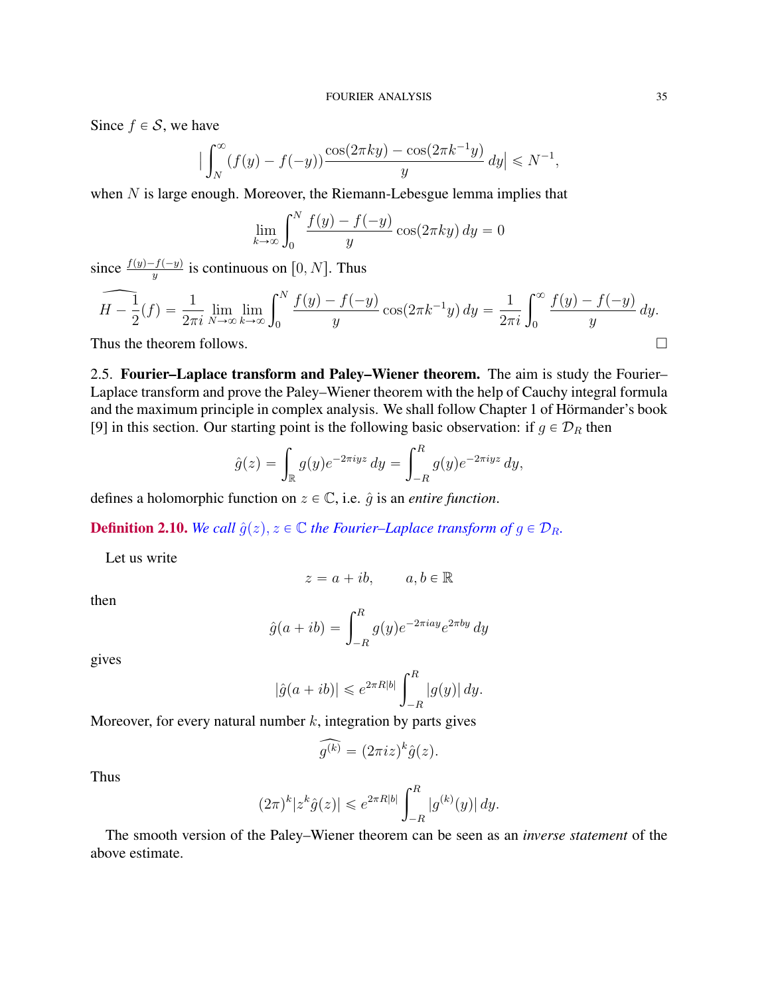Since  $f \in S$ , we have

$$
\left| \int_{N}^{\infty} (f(y) - f(-y)) \frac{\cos(2\pi k y) - \cos(2\pi k^{-1} y)}{y} dy \right| \le N^{-1}
$$

when  $N$  is large enough. Moreover, the Riemann-Lebesgue lemma implies that

$$
\lim_{k \to \infty} \int_0^N \frac{f(y) - f(-y)}{y} \cos(2\pi k y) dy = 0
$$

since  $\frac{f(y)-f(-y)}{y}$  is continuous on [0, N]. Thus

$$
\widehat{H - \frac{1}{2}}(f) = \frac{1}{2\pi i} \lim_{N \to \infty} \lim_{k \to \infty} \int_0^N \frac{f(y) - f(-y)}{y} \cos(2\pi k^{-1}y) dy = \frac{1}{2\pi i} \int_0^\infty \frac{f(y) - f(-y)}{y} dy.
$$
\nThus the theorem follows.

2.5. Fourier–Laplace transform and Paley–Wiener theorem. The aim is study the Fourier– Laplace transform and prove the Paley–Wiener theorem with the help of Cauchy integral formula and the maximum principle in complex analysis. We shall follow Chapter 1 of Hörmander's book [9] in this section. Our starting point is the following basic observation: if  $g \in \mathcal{D}_R$  then

$$
\hat{g}(z) = \int_{\mathbb{R}} g(y)e^{-2\pi i yz} dy = \int_{-R}^{R} g(y)e^{-2\pi i yz} dy,
$$

defines a holomorphic function on  $z \in \mathbb{C}$ , i.e.  $\hat{q}$  is an *entire function*.

**Definition 2.10.** *We call*  $\hat{g}(z)$ ,  $z \in \mathbb{C}$  *the Fourier–Laplace transform of*  $g \in \mathcal{D}_R$ *.* 

Let us write

$$
z = a + ib, \qquad a, b \in \mathbb{R}
$$

then

$$
\hat{g}(a+ib) = \int_{-R}^{R} g(y)e^{-2\pi iay}e^{2\pi by} dy
$$

gives

$$
|\hat{g}(a+ib)| \leq e^{2\pi R|b|} \int_{-R}^{R} |g(y)| dy.
$$

Moreover, for every natural number  $k$ , integration by parts gives

$$
\widehat{g^{(k)}} = (2\pi i z)^k \widehat{g}(z).
$$

Thus

$$
(2\pi)^k |z^k \hat{g}(z)| \leq e^{2\pi R|b|} \int_{-R}^R |g^{(k)}(y)| dy.
$$

The smooth version of the Paley–Wiener theorem can be seen as an *inverse statement* of the above estimate.

,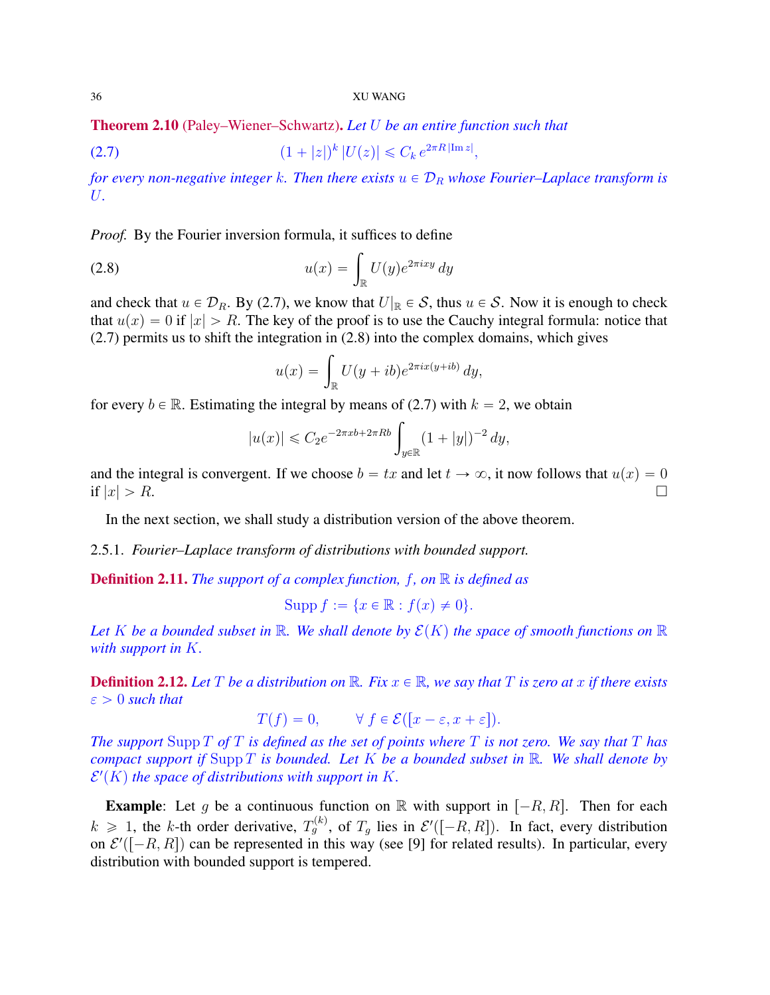Theorem 2.10 (Paley–Wiener–Schwartz). *Let* U *be an entire function such that*

(2.7) 
$$
(1+|z|)^k |U(z)| \leq C_k e^{2\pi R |\text{Im } z|},
$$

*for every non-negative integer* k. Then there exists  $u \in \mathcal{D}_R$  *whose Fourier–Laplace transform is* U*.*

*Proof.* By the Fourier inversion formula, it suffices to define

(2.8) 
$$
u(x) = \int_{\mathbb{R}} U(y)e^{2\pi ixy} dy
$$

and check that  $u \in \mathcal{D}_R$ . By (2.7), we know that  $U|_{\mathbb{R}} \in \mathcal{S}$ , thus  $u \in \mathcal{S}$ . Now it is enough to check that  $u(x) = 0$  if  $|x| > R$ . The key of the proof is to use the Cauchy integral formula: notice that (2.7) permits us to shift the integration in (2.8) into the complex domains, which gives<br>  $u(x) = \int U(y + ib)e^{2\pi i x(y + ib)} dy$ ,

$$
u(x) = \int_{\mathbb{R}} U(y+ib)e^{2\pi ix(y+ib)} dy,
$$

for every  $b \in \mathbb{R}$ . Estimating the integral by means of (2.7) with  $k = 2$ , we obtain

$$
|u(x)| \leq C_2 e^{-2\pi x b + 2\pi R b} \int_{y \in \mathbb{R}} (1 + |y|)^{-2} dy,
$$

and the integral is convergent. If we choose  $b = tx$  and let  $t \to \infty$ , it now follows that  $u(x) = 0$ if  $|x| > R$ .

In the next section, we shall study a distribution version of the above theorem.

2.5.1. *Fourier–Laplace transform of distributions with bounded support.*

Definition 2.11. *The support of a complex function,* f*, on* R *is defined as*

$$
Supp f := \{x \in \mathbb{R} : f(x) \neq 0\}.
$$

Let K be a bounded subset in R. We shall denote by  $\mathcal{E}(K)$  the space of smooth functions on R *with support in* K*.*

**Definition 2.12.** Let T be a distribution on  $\mathbb{R}$ . Fix  $x \in \mathbb{R}$ , we say that T is zero at x if there exists  $\varepsilon > 0$  *such that* 

$$
T(f) = 0, \qquad \forall f \in \mathcal{E}([x - \varepsilon, x + \varepsilon]).
$$

*The support* Supp T *of* T *is defined as the set of points where* T *is not zero. We say that* T *has compact support if* Supp T *is bounded. Let* K *be a bounded subset in* R*. We shall denote by*  $\mathcal{E}'(K)$  the space of distributions with support in K.

**Example:** Let g be a continuous function on R with support in  $[-R, R]$ . Then for each  $k \geq 1$ , the k-th order derivative,  $T_g^{(k)}$ , of  $T_g$  lies in  $\mathcal{E}'([-R, R])$ . In fact, every distribution on  $\mathcal{E}'([-R, R])$  can be represented in this way (see [9] for related results). In particular, every distribution with bounded support is tempered.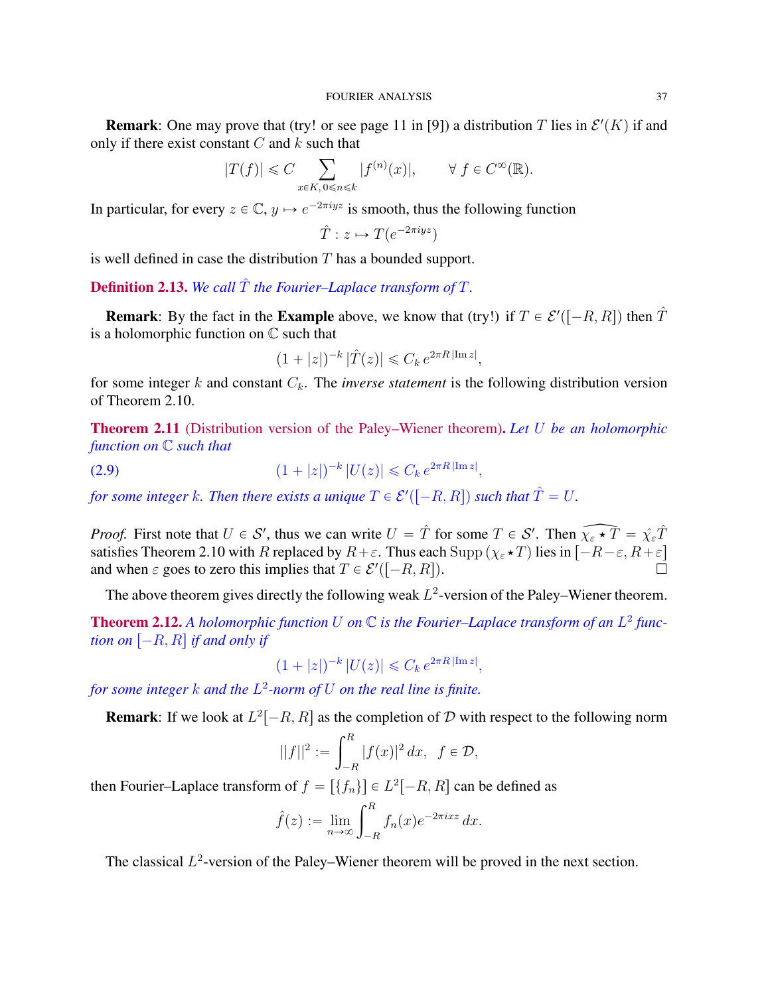**Remark**: One may prove that (try! or see page 11 in [9]) a distribution T lies in  $\mathcal{E}'(K)$  if and only if there exist constant  $C$  and  $k$  such that

$$
|T(f)| \leq C \sum_{x \in K, 0 \leq n \leq k} |f^{(n)}(x)|, \qquad \forall f \in C^{\infty}(\mathbb{R}).
$$

In particular, for every  $z \in \mathbb{C}$ ,  $y \mapsto e^{-2\pi i yz}$  is smooth, thus the following function

$$
\hat{T}: z \mapsto T(e^{-2\pi iyz})
$$

is well defined in case the distribution  $T$  has a bounded support.

**Definition 2.13.** We call  $\hat{T}$  the Fourier–Laplace transform of  $T$ .

**Remark**: By the fact in the **Example** above, we know that (try!) if  $T \in \mathcal{E}'([-R, R])$  then  $\hat{T}$ is a holomorphic function on  $\mathbb C$  such that

$$
(1+|z|)^{-k} |\hat{T}(z)| \leq C_k e^{2\pi R |\text{Im } z|},
$$

for some integer  $k$  and constant  $C_k$ . The *inverse statement* is the following distribution version of Theorem 2.10.

Theorem 2.11 (Distribution version of the Paley–Wiener theorem). *Let* U *be an holomorphic function on* C *such that*

(2.9)  $(1+|z|)^{-k} |U(z)| \leq C_k e^{2\pi R |\text{Im } z|},$ 

for some integer  $k$ . Then there exists a unique  $T \in \mathcal{E}'([-R, R])$  such that  $\hat{T} = U.$ 

*Proof.* First note that  $U \in S'$ , thus we can write  $U = \hat{T}$  for some  $T \in S'$ . Then  $\widehat{\chi_{\varepsilon} \star T} = \widehat{\chi_{\varepsilon} T}$ satisfies Theorem 2.10 with R replaced by  $R+\varepsilon$ . Thus each Supp  $(\chi_{\varepsilon} \star T)$  lies in  $\widetilde{[-R-\varepsilon, R+\varepsilon]}$ and when  $\varepsilon$  goes to zero this implies that  $T \in \mathcal{E}'([-R, R]).$ 

The above theorem gives directly the following weak  $L^2$ -version of the Paley–Wiener theorem.

**Theorem 2.12.** A holomorphic function U on  $\mathbb C$  is the Fourier–Laplace transform of an  $L^2$  func*tion on*  $[-R, R]$  *if and only if* 

$$
(1+|z|)^{-k} |U(z)| \leq C_k e^{2\pi R|\text{Im }z|},
$$

*for some integer* k *and the* L 2 *-norm of* U *on the real line is finite.*

**Remark**: If we look at  $L^2[-R, R]$  as the completion of D with respect to the following norm

$$
||f||^{2} := \int_{-R}^{R} |f(x)|^{2} dx, \ \ f \in \mathcal{D},
$$

then Fourier–Laplace transform of  $f = [\{f_n\}] \in L^2[-R, R]$  can be defined as

$$
\hat{f}(z) := \lim_{n \to \infty} \int_{-R}^{R} f_n(x) e^{-2\pi i x z} dx.
$$

The classical  $L^2$ -version of the Paley–Wiener theorem will be proved in the next section.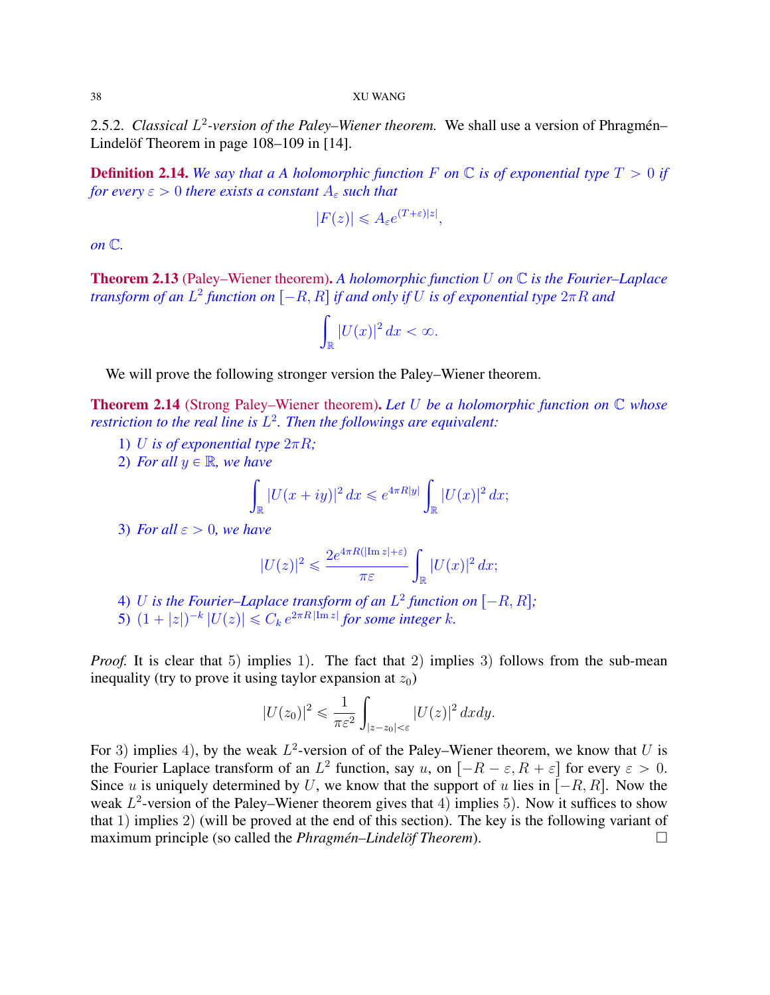2.5.2. *Classical* L 2 *-version of the Paley–Wiener theorem.* We shall use a version of Phragmén– Lindelöf Theorem in page 108–109 in [14].

**Definition 2.14.** We say that a A holomorphic function F on  $\mathbb C$  is of exponential type  $T > 0$  if *for every*  $\epsilon > 0$  *there exists a constant*  $A_{\epsilon}$  *such that* 

$$
|F(z)| \leq A_{\varepsilon} e^{(T+\varepsilon)|z|},
$$

*on* C*.*

Theorem 2.13 (Paley–Wiener theorem). *A holomorphic function* U *on* C *is the Fourier–Laplace transform of an*  $L^2$  *function on*  $[-R, R]$  *if and only if*  $U$  *is of exponential type*  $2\pi R$  *and* 

$$
\int_{\mathbb{R}} |U(x)|^2 dx < \infty.
$$

We will prove the following stronger version the Paley–Wiener theorem.

Theorem 2.14 (Strong Paley–Wiener theorem). *Let* U *be a holomorphic function on* C *whose restriction to the real line is* L 2 *. Then the followings are equivalent:*

- 1) U is of exponential type  $2\pi R$ ;
- 2) For all  $y \in \mathbb{R}$ , we have

$$
\int_{\mathbb{R}} |U(x+iy)|^2 dx \leqslant e^{4\pi R|y|} \int_{\mathbb{R}} |U(x)|^2 dx;
$$

3) *For all*  $\varepsilon > 0$ *, we have* 

$$
|U(z)|^2 \leqslant \frac{2e^{4\pi R(|\text{Im }z|+\varepsilon)}}{\pi \varepsilon} \int_{\mathbb{R}} |U(x)|^2 dx;
$$

- 4) U is the Fourier–Laplace transform of an  $L^2$  function on  $[-R, R]$ ;
- 5)  $(1+|z|)^{-k} |U(z)| \leq C_k e^{2\pi R |\text{Im } z|}$  for some integer k.

*Proof.* It is clear that 5) implies 1). The fact that 2) implies 3) follows from the sub-mean inequality (try to prove it using taylor expansion at  $z_0$ )

$$
|U(z_0)|^2 \leq \frac{1}{\pi \varepsilon^2} \int_{|z-z_0|<\varepsilon} |U(z)|^2 \, dxdy.
$$

For 3) implies 4), by the weak  $L^2$ -version of of the Paley–Wiener theorem, we know that U is the Fourier Laplace transform of an  $L^2$  function, say u, on  $[-R - \varepsilon, R + \varepsilon]$  for every  $\varepsilon > 0$ . Since u is uniquely determined by U, we know that the support of u lies in  $\overline{[-R, R]}$ . Now the weak  $L^2$ -version of the Paley–Wiener theorem gives that 4) implies 5). Now it suffices to show that 1) implies 2) (will be proved at the end of this section). The key is the following variant of maximum principle (so called the *Phragmén–Lindelöf Theorem*).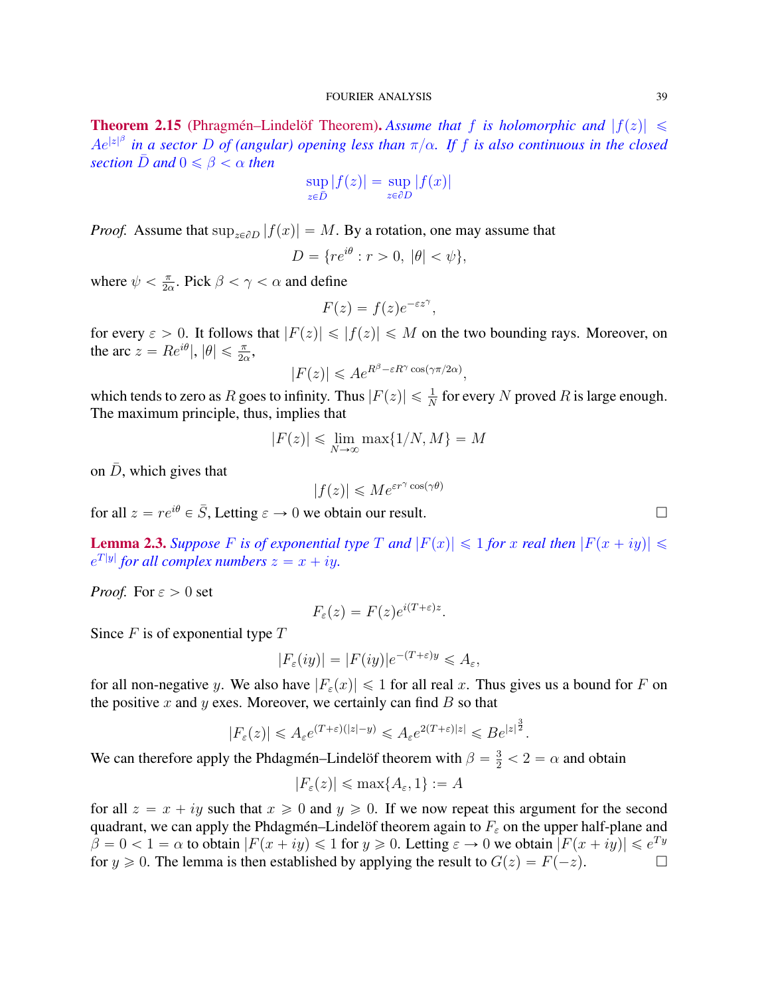**Theorem 2.15** (Phragmén–Lindelöf Theorem). Assume that f is holomorphic and  $|f(z)| \leq$  $Ae^{|z|^\beta}$  in a sector D of (angular) opening less than  $\pi/\alpha$ . If f is also continuous in the closed *section*  $\bar{D}$  *and*  $0 \le \beta < \alpha$  *then* 

$$
\sup_{z \in \bar{D}} |f(z)| = \sup_{z \in \partial D} |f(x)|
$$

*Proof.* Assume that  $\sup_{z \in \partial D} |f(x)| = M$ . By a rotation, one may assume that

$$
D = \{ re^{i\theta} : r > 0, \ |\theta| < \psi \},
$$

where  $\psi < \frac{\pi}{2}$  $\frac{\pi}{2\alpha}$ . Pick  $\beta < \gamma < \alpha$  and define

$$
F(z) = f(z)e^{-\varepsilon z^{\gamma}},
$$

for every  $\varepsilon > 0$ . It follows that  $|F(z)| \leq |f(z)| \leq M$  on the two bounding rays. Moreover, on the arc  $z = Re^{i\theta}$ ,  $|\theta| \le \frac{\pi}{2\alpha}$ ,

$$
|F(z)| \leqslant A e^{R^{\beta} - \varepsilon R^{\gamma} \cos(\gamma \pi / 2\alpha)},
$$

which tends to zero as R goes to infinity. Thus  $|F(z)| \leq \frac{1}{N}$  for every N proved R is large enough. The maximum principle, thus, implies that

$$
|F(z)| \le \lim_{N \to \infty} \max\{1/N, M\} = M
$$

on  $\bar{D}$ , which gives that

$$
|f(z)| \leqslant Me^{\varepsilon r^{\gamma} \cos(\gamma \theta)}
$$

for all  $z = re^{i\theta} \in \overline{S}$ , Letting  $\varepsilon \to 0$  we obtain our result.

**Lemma 2.3.** Suppose F is of exponential type T and  $|F(x)| \leq 1$  for x real then  $|F(x + iy)| \leq$  $e^{T|y|}$  for all complex numbers  $z = x + iy$ .

*Proof.* For  $\varepsilon > 0$  set

$$
F_{\varepsilon}(z) = F(z)e^{i(T+\varepsilon)z}.
$$

Since  $F$  is of exponential type  $T$ 

$$
|F_{\varepsilon}(iy)| = |F(iy)|e^{-(T+\varepsilon)y} \leq A_{\varepsilon},
$$

for all non-negative y. We also have  $|F_{\varepsilon}(x)| \leq 1$  for all real x. Thus gives us a bound for F on the positive x and y exes. Moreover, we certainly can find  $B$  so that

$$
|F_{\varepsilon}(z)| \leq A_{\varepsilon} e^{(T+\varepsilon)(|z|-y)} \leq A_{\varepsilon} e^{2(T+\varepsilon)|z|} \leq B e^{|z|^{\frac{\varepsilon}{2}}}.
$$

 $\overline{2}$ 

We can therefore apply the Phdagmén–Lindelöf theorem with  $\beta = \frac{3}{2} < 2 = \alpha$  and obtain

$$
|F_{\varepsilon}(z)| \le \max\{A_{\varepsilon}, 1\} := A
$$

for all  $z = x + iy$  such that  $x \ge 0$  and  $y \ge 0$ . If we now repeat this argument for the second quadrant, we can apply the Phdagmén–Lindelöf theorem again to  $F_{\varepsilon}$  on the upper half-plane and  $\beta = 0 < 1 = \alpha$  to obtain  $|F(x + iy)| \le 1$  for  $y \ge 0$ . Letting  $\varepsilon \to 0$  we obtain  $|F(x + iy)| \le e^{Ty}$ for  $y \ge 0$ . The lemma is then established by applying the result to  $G(z) = F(-z)$ .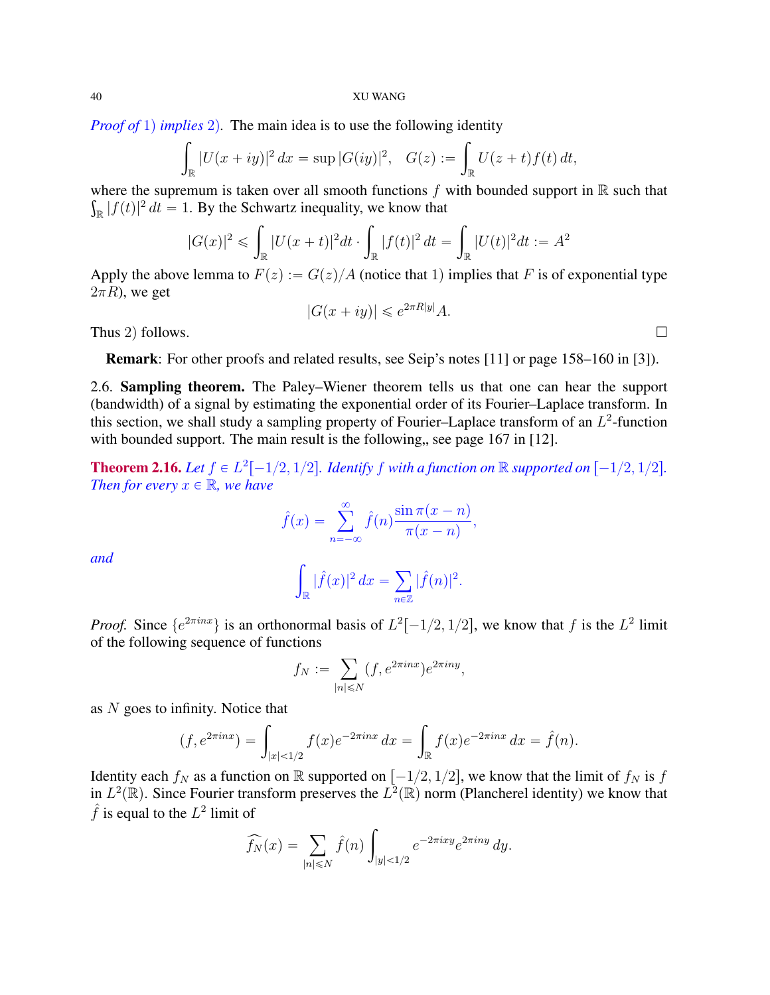*Proof of* 1) *implies* 2). The main idea is to use the following identity

$$
\int_{\mathbb{R}} |U(x+iy)|^2 dx = \sup |G(iy)|^2, \quad G(z) := \int_{\mathbb{R}} U(z+t)f(t) dt,
$$

where the supremum is taken over all smooth functions  $f$  with bounded support in  $\mathbb R$  such that  $\int_{\mathbb{R}} |f(t)|^2 dt = 1$ . By the Schwartz inequality, we know that

$$
|G(x)|^2 \leq \int_{\mathbb{R}} |U(x+t)|^2 dt \cdot \int_{\mathbb{R}} |f(t)|^2 dt = \int_{\mathbb{R}} |U(t)|^2 dt := A^2
$$

Apply the above lemma to  $F(z) := G(z)/A$  (notice that 1) implies that F is of exponential type  $2\pi R$ ), we get

$$
|G(x+iy)| \le e^{2\pi R|y|}A.
$$

Thus 2) follows.  $\square$ 

Remark: For other proofs and related results, see Seip's notes [11] or page 158–160 in [3]).

2.6. Sampling theorem. The Paley–Wiener theorem tells us that one can hear the support (bandwidth) of a signal by estimating the exponential order of its Fourier–Laplace transform. In this section, we shall study a sampling property of Fourier-Laplace transform of an  $L^2$ -function with bounded support. The main result is the following, see page  $167$  in [12].

**Theorem 2.16.** Let  $f \in L^2[-1/2, 1/2]$ . Identify f with a function on  $\mathbb{R}$  supported on  $[-1/2, 1/2]$ . *Then for every*  $x \in \mathbb{R}$ *, we have* 

$$
\hat{f}(x) = \sum_{n = -\infty}^{\infty} \hat{f}(n) \frac{\sin \pi (x - n)}{\pi (x - n)},
$$

*and*

$$
\int_{\mathbb{R}} |\hat{f}(x)|^2 dx = \sum_{n \in \mathbb{Z}} |\hat{f}(n)|^2.
$$

*Proof.* Since  $\{e^{2\pi i n x}\}\$ is an orthonormal basis of  $L^2[-1/2, 1/2]$ , we know that f is the  $L^2$  limit of the following sequence of functions

$$
f_N := \sum_{|n| \le N} (f, e^{2\pi i n x}) e^{2\pi i n y},
$$

as N goes to infinity. Notice that  
\n
$$
(f, e^{2\pi i nx}) = \int_{|x| < 1/2} f(x)e^{-2\pi i nx} dx = \int_{\mathbb{R}} f(x)e^{-2\pi i nx} dx = \hat{f}(n).
$$

Identity each  $f_N$  as a function on R supported on  $[-1/2, 1/2]$ , we know that the limit of  $f_N$  is f in  $L^2(\mathbb{R})$ . Since Fourier transform preserves the  $L^2(\mathbb{R})$  norm (Plancherel identity) we know that  $\hat{f}$  is equal to the  $L^2$  limit of

$$
\widehat{f_N}(x) = \sum_{|n| \le N} \widehat{f}(n) \int_{|y| < 1/2} e^{-2\pi i x y} e^{2\pi i n y} \, dy.
$$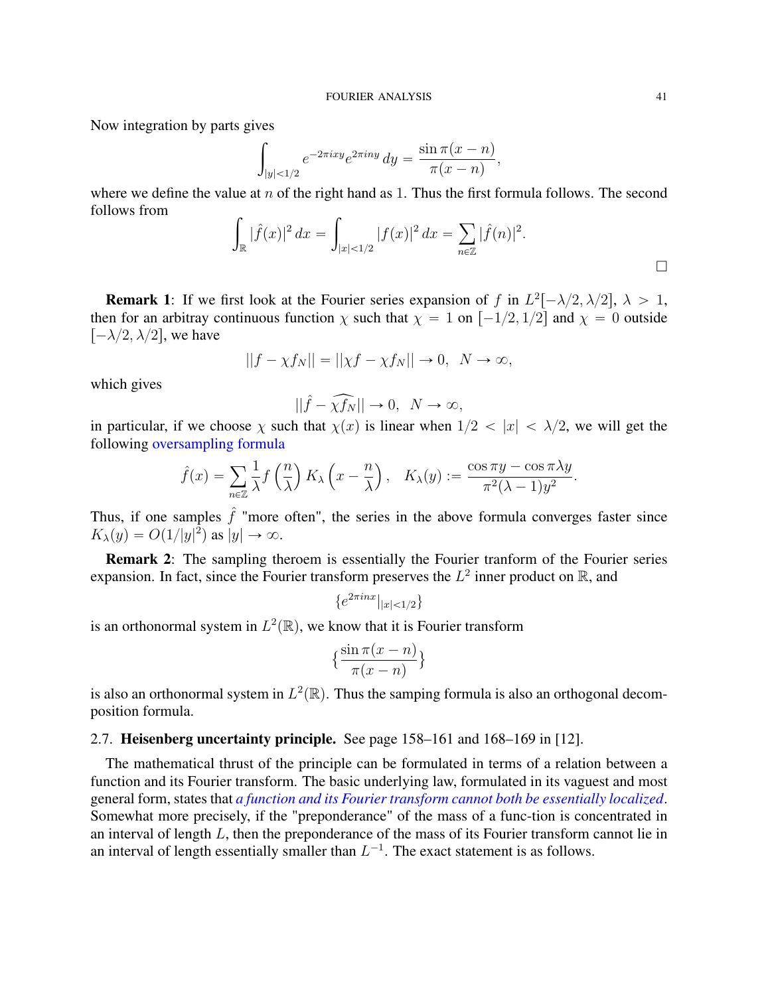Now integration by parts gives ż

$$
\int_{|y| < 1/2} e^{-2\pi i x y} e^{2\pi i n y} \, dy = \frac{\sin \pi (x - n)}{\pi (x - n)},
$$

where we define the value at  $n$  of the right hand as 1. Thus the first formula follows. The second follows from

$$
\int_{\mathbb{R}} |\hat{f}(x)|^2 dx = \int_{|x| < 1/2} |f(x)|^2 dx = \sum_{n \in \mathbb{Z}} |\hat{f}(n)|^2.
$$

**Remark 1:** If we first look at the Fourier series expansion of f in  $L^2[-\lambda/2, \lambda/2], \lambda > 1$ , then for an arbitray continuous function  $\chi$  such that  $\chi = 1$  on  $[-1/2, 1/2]$  and  $\chi = 0$  outside  $[-\lambda/2, \lambda/2]$ , we have

$$
||f - \chi f_N|| = ||\chi f - \chi f_N|| \to 0, \ \ N \to \infty,
$$

which gives

$$
||\hat{f} - \widehat{\chi f_N}|| \to 0, \ N \to \infty,
$$

in particular, if we choose  $\chi$  such that  $\chi(x)$  is linear when  $1/2 < |x| < \lambda/2$ , we will get the following oversampling formula

$$
\hat{f}(x) = \sum_{n \in \mathbb{Z}} \frac{1}{\lambda} f\left(\frac{n}{\lambda}\right) K_{\lambda} \left(x - \frac{n}{\lambda}\right), \quad K_{\lambda}(y) := \frac{\cos \pi y - \cos \pi \lambda y}{\pi^2 (\lambda - 1) y^2}.
$$

Thus, if one samples  $\hat{f}$  "more often", the series in the above formula converges faster since  $K_{\lambda}(y) = O(1/|y|^2)$  as  $|y| \to \infty$ .

Remark 2: The sampling theroem is essentially the Fourier tranform of the Fourier series expansion. In fact, since the Fourier transform preserves the  $L^2$  inner product on  $\mathbb{R}$ , and

$$
\{e^{2\pi i nx}|_{|x|<1/2}\}
$$

is an orthonormal system in  $L^2(\mathbb{R})$ , we know that it is Fourier transform

$$
\left\{\frac{\sin \pi (x-n)}{\pi (x-n)}\right\}
$$

is also an orthonormal system in  $L^2(\mathbb{R})$ . Thus the samping formula is also an orthogonal decomposition formula.

# 2.7. Heisenberg uncertainty principle. See page 158–161 and 168–169 in [12].

The mathematical thrust of the principle can be formulated in terms of a relation between a function and its Fourier transform. The basic underlying law, formulated in its vaguest and most general form, states that *a function and its Fourier transform cannot both be essentially localized*. Somewhat more precisely, if the "preponderance" of the mass of a func-tion is concentrated in an interval of length L, then the preponderance of the mass of its Fourier transform cannot lie in an interval of length essentially smaller than  $L^{-1}$ . The exact statement is as follows.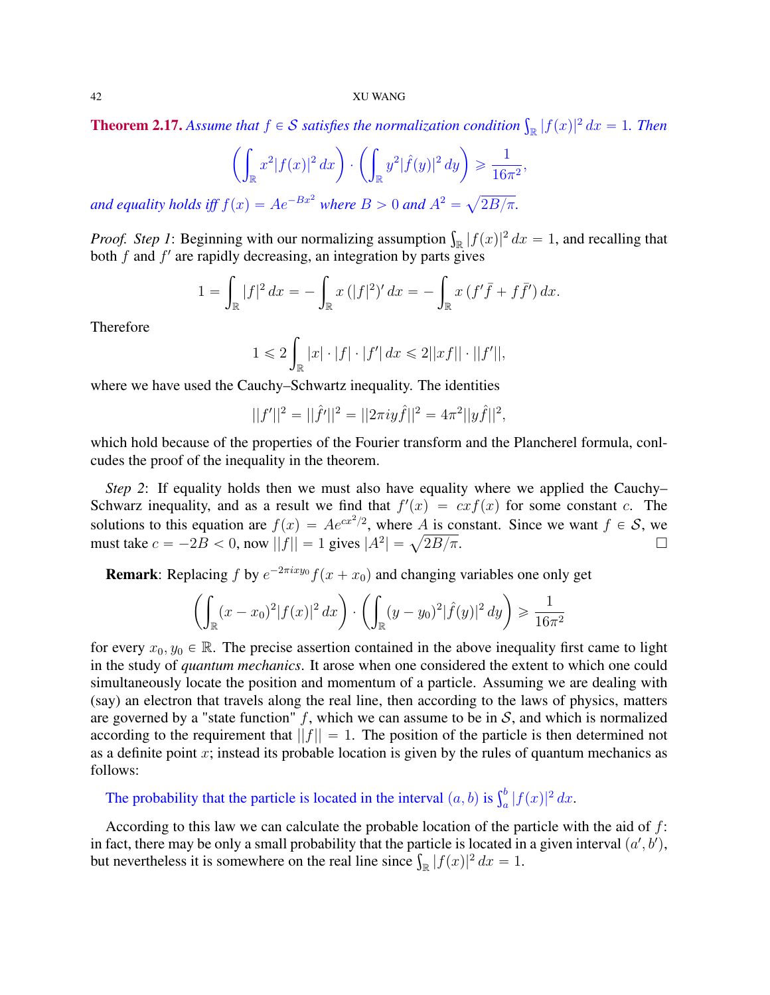**Theorem 2.17.** Assume that  $f \in S$  satisfies the normalization condition  $\int_{\mathbb{R}} |f(x)|^2 dx = 1$ . Then

$$
\left(\int_{\mathbb{R}} x^2 |f(x)|^2 dx\right) \cdot \left(\int_{\mathbb{R}} y^2 |\hat{f}(y)|^2 dy\right) \geq \frac{1}{16\pi^2},
$$

*and equality holds iff*  $f(x) = Ae^{-Bx^2}$  *where*  $B > 0$  *and*  $A^2 =$  $2B/\pi.$ 

*Proof. Step 1*: Beginning with our normalizing assumption  $\int_{\mathbb{R}} |f(x)|^2 dx = 1$ , and recalling that both  $f$  and  $f'$  are rapidly decreasing, an integration by parts gives

$$
1 = \int_{\mathbb{R}} |f|^2 dx = - \int_{\mathbb{R}} x (|f|^2)' dx = - \int_{\mathbb{R}} x (f' \bar{f} + f \bar{f}') dx.
$$

Therefore

$$
1 \leq 2 \int_{\mathbb{R}} |x| \cdot |f| \cdot |f'| \, dx \leq 2||xf|| \cdot ||f'||,
$$

where we have used the Cauchy–Schwartz inequality. The identities

$$
||f'||^2 = ||\hat{f}'||^2 = ||2\pi i y \hat{f}||^2 = 4\pi^2 ||y\hat{f}||^2,
$$

which hold because of the properties of the Fourier transform and the Plancherel formula, conlcudes the proof of the inequality in the theorem.

*Step 2*: If equality holds then we must also have equality where we applied the Cauchy– Schwarz inequality, and as a result we find that  $f'(x) = cx f(x)$  for some constant c. The solutions to this equation are  $f(x) = Ae^{cx^2/2}$ , where A is constant. Since we want  $f \in \mathcal{S}$ , we solutions to this equation are  $f(x) = Ae^{cx^2/2}$ , where A is constant. Since we want  $f \in S$ , we must take  $c = -2B < 0$ , now  $||f|| = 1$  gives  $|A^2| = \sqrt{2B/\pi}$ .

**Remark**: Replacing f by  $e^{-2\pi ixy_0}f(x+x_0)$  and changing variables one only get

$$
\left(\int_{\mathbb{R}} (x - x_0)^2 |f(x)|^2 dx\right) \cdot \left(\int_{\mathbb{R}} (y - y_0)^2 |\hat{f}(y)|^2 dy\right) \ge \frac{1}{16\pi^2}
$$

for every  $x_0, y_0 \in \mathbb{R}$ . The precise assertion contained in the above inequality first came to light in the study of *quantum mechanics*. It arose when one considered the extent to which one could simultaneously locate the position and momentum of a particle. Assuming we are dealing with (say) an electron that travels along the real line, then according to the laws of physics, matters are governed by a "state function" f, which we can assume to be in  $S$ , and which is normalized according to the requirement that  $||f|| = 1$ . The position of the particle is then determined not as a definite point  $x$ ; instead its probable location is given by the rules of quantum mechanics as follows:

The probability that the particle is located in the interval  $(a, b)$  is  $\int_a^b |f(x)|^2 dx$ .

According to this law we can calculate the probable location of the particle with the aid of  $f$ : in fact, there may be only a small probability that the particle is located in a given interval  $(a', b')$ , in fact, there may be only a small probability that the particle is located in but nevertheless it is somewhere on the real line since  $\int_{\mathbb{R}} |f(x)|^2 dx = 1$ .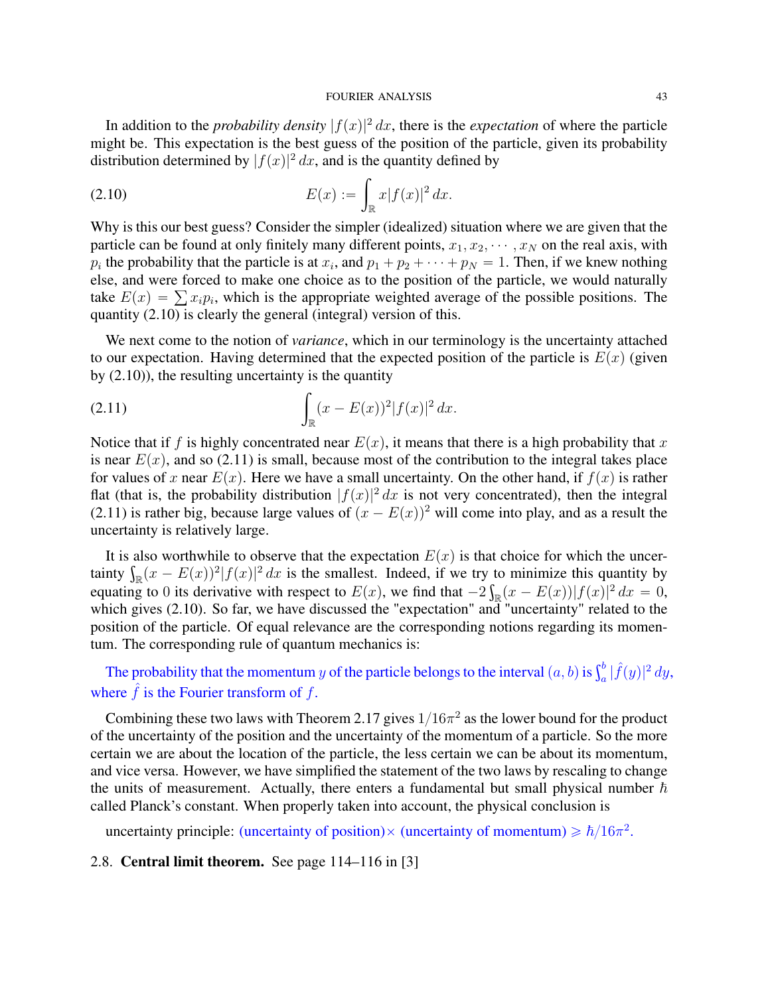#### FOURIER ANALYSIS 43

In addition to the *probability density*  $|f(x)|^2 dx$ , there is the *expectation* of where the particle might be. This expectation is the best guess of the position of the particle, given its probability distribution determined by  $|f(x)|^2 dx$ , and is the quantity defined by

(2.10) 
$$
E(x) := \int_{\mathbb{R}} x |f(x)|^2 dx.
$$

Why is this our best guess? Consider the simpler (idealized) situation where we are given that the particle can be found at only finitely many different points,  $x_1, x_2, \dots, x_N$  on the real axis, with  $p_i$  the probability that the particle is at  $x_i$ , and  $p_1 + p_2 + \cdots + p_N = 1$ . Then, if we knew nothing else, and were forced to make one choice as to the position of the particle, we would naturally else, and were forced to make one choice as to the position of the particle, we would naturally take  $E(x) = \sum x_i p_i$ , which is the appropriate weighted average of the possible positions. The quantity (2.10) is clearly the general (integral) version of this.

We next come to the notion of *variance*, which in our terminology is the uncertainty attached to our expectation. Having determined that the expected position of the particle is  $E(x)$  (given

by (2.10)), the resulting uncertainty is the quantity  
(2.11) 
$$
\int_{\mathbb{R}} (x - E(x))^2 |f(x)|^2 dx.
$$

Notice that if f is highly concentrated near  $E(x)$ , it means that there is a high probability that x is near  $E(x)$ , and so (2.11) is small, because most of the contribution to the integral takes place for values of x near  $E(x)$ . Here we have a small uncertainty. On the other hand, if  $f(x)$  is rather flat (that is, the probability distribution  $|f(x)|^2 dx$  is not very concentrated), then the integral (2.11) is rather big, because large values of  $(x - E(x))^2$  will come into play, and as a result the uncertainty is relatively large.

It is also worthwhile to observe that the expectation  $E(x)$  is that choice for which the uncer-It is also worthwhile to observe that the expectation  $E(x)$  is that choice for which the uncertainty  $\int_{\mathbb{R}} (x - E(x))^2 |f(x)|^2 dx$  is the smallest. Indeed, if we try to minimize this quantity by equating to 0 its derivative with respect to  $E(x)$ , we find that  $-2\int_{\mathbb{R}}(x - E(x))|f(x)|^2 dx = 0$ , which gives (2.10). So far, we have discussed the "expectation" and "uncertainty" related to the position of the particle. Of equal relevance are the corresponding notions regarding its momentum. The corresponding rule of quantum mechanics is:

The probability that the momentum y of the particle belongs to the interval  $(a, b)$  is  $\int_a^b |\hat{f}(y)|^2 dy$ , where  $\hat{f}$  is the Fourier transform of  $f$ .

Combining these two laws with Theorem 2.17 gives  $1/16\pi^2$  as the lower bound for the product of the uncertainty of the position and the uncertainty of the momentum of a particle. So the more certain we are about the location of the particle, the less certain we can be about its momentum, and vice versa. However, we have simplified the statement of the two laws by rescaling to change the units of measurement. Actually, there enters a fundamental but small physical number  $\hbar$ called Planck's constant. When properly taken into account, the physical conclusion is

uncertainty principle: (uncertainty of position)  $\times$  (uncertainty of momentum)  $\ge \hbar/16\pi^2$ .

## 2.8. Central limit theorem. See page 114–116 in [3]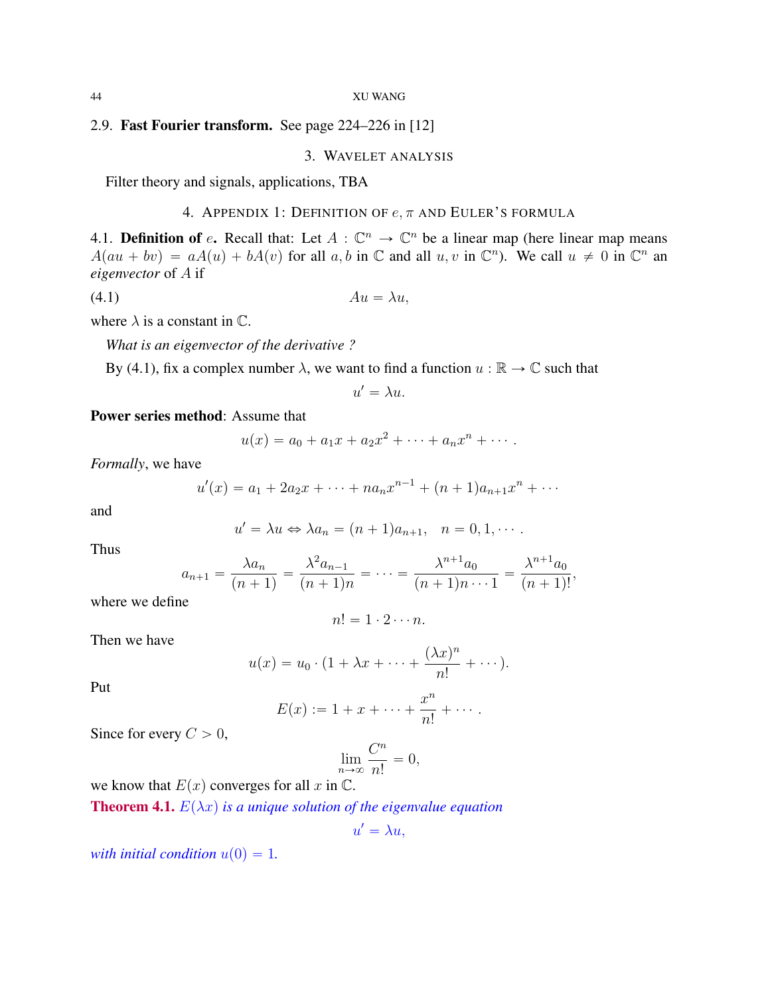# 2.9. Fast Fourier transform. See page 224–226 in [12]

## 3. WAVELET ANALYSIS

Filter theory and signals, applications, TBA

# 4. APPENDIX 1: DEFINITION OF  $e, \pi$  and Euler's formula

4.1. **Definition of** e. Recall that: Let  $A : \mathbb{C}^n \to \mathbb{C}^n$  be a linear map (here linear map means  $A(au + bv) = aA(u) + bA(v)$  for all a, b in  $\mathbb C$  and all u, v in  $\mathbb C^n$ ). We call  $u \neq 0$  in  $\mathbb C^n$  an *eigenvector* of A if

$$
(4.1) \t\t\t Au = \lambda u,
$$

where  $\lambda$  is a constant in  $\mathbb{C}$ .

*What is an eigenvector of the derivative ?*

By (4.1), fix a complex number  $\lambda$ , we want to find a function  $u : \mathbb{R} \to \mathbb{C}$  such that

$$
u' = \lambda u.
$$

Power series method: Assume that

$$
u(x) = a_0 + a_1 x + a_2 x^2 + \dots + a_n x^n + \dots.
$$

*Formally*, we have

$$
u'(x) = a_1 + 2a_2x + \dots + na_nx^{n-1} + (n+1)a_{n+1}x^n + \dots
$$

and

$$
u' = \lambda u \Leftrightarrow \lambda a_n = (n+1)a_{n+1}, \quad n = 0, 1, \cdots.
$$

Thus

$$
a_{n+1} = \frac{\lambda a_n}{(n+1)} = \frac{\lambda^2 a_{n-1}}{(n+1)n} = \dots = \frac{\lambda^{n+1} a_0}{(n+1)n \cdots 1} = \frac{\lambda^{n+1} a_0}{(n+1)!},
$$

where we define

$$
n! = 1 \cdot 2 \cdots n.
$$

Then we have

$$
u(x) = u_0 \cdot (1 + \lambda x + \dots + \frac{(\lambda x)^n}{n!} + \dots).
$$

Put

$$
E(x) := 1 + x + \cdots + \frac{x^n}{n!} + \cdots.
$$

Since for every  $C > 0$ ,

$$
\lim_{n \to \infty} \frac{C^n}{n!} = 0,
$$

we know that  $E(x)$  converges for all x in  $\mathbb{C}$ .

**Theorem 4.1.**  $E(\lambda x)$  *is a unique solution of the eigenvalue equation* 

$$
u'=\lambda u,
$$

*with initial condition*  $u(0) = 1$ .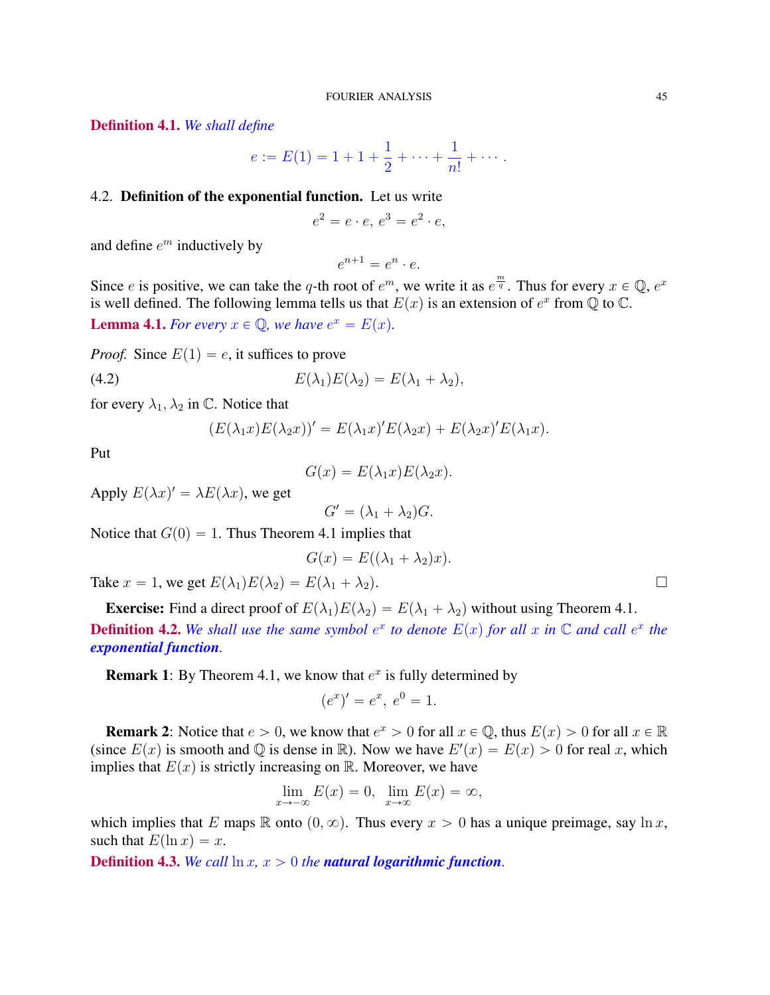Definition 4.1. *We shall define*

$$
e := E(1) = 1 + 1 + \frac{1}{2} + \dots + \frac{1}{n!} + \dots.
$$

# 4.2. Definition of the exponential function. Let us write

$$
e^2 = e \cdot e, e^3 = e^2 \cdot e,
$$

and define  $e^m$  inductively by

$$
e^{n+1} = e^n \cdot e.
$$

Since e is positive, we can take the q-th root of  $e^m$ , we write it as  $e^{\frac{m}{q}}$ . Thus for every  $x \in \mathbb{Q}$ ,  $e^x$ is well defined. The following lemma tells us that  $E(x)$  is an extension of  $e^x$  from  $\overline{Q}$  to  $\overline{C}$ . **Lemma 4.1.** *For every*  $x \in \mathbb{Q}$ , we have  $e^x = E(x)$ .

*Proof.* Since  $E(1) = e$ , it suffices to prove

(4.2) 
$$
E(\lambda_1)E(\lambda_2) = E(\lambda_1 + \lambda_2),
$$

for every  $\lambda_1, \lambda_2$  in C. Notice that

$$
(E(\lambda_1x)E(\lambda_2x))'=E(\lambda_1x)'E(\lambda_2x)+E(\lambda_2x)'E(\lambda_1x).
$$

Put

$$
G(x) = E(\lambda_1 x) E(\lambda_2 x).
$$

Apply  $E(\lambda x)' = \lambda E(\lambda x)$ , we get

$$
G' = (\lambda_1 + \lambda_2)G.
$$

Notice that  $G(0) = 1$ . Thus Theorem 4.1 implies that

$$
G(x) = E((\lambda_1 + \lambda_2)x).
$$

Take  $x = 1$ , we get  $E(\lambda_1)E(\lambda_2) = E(\lambda_1 + \lambda_2)$ .

**Exercise:** Find a direct proof of  $E(\lambda_1)E(\lambda_2) = E(\lambda_1 + \lambda_2)$  without using Theorem 4.1. **Definition 4.2.** We shall use the same symbol  $e^x$  to denote  $E(x)$  for all x in  $\mathbb C$  and call  $e^x$  the *exponential function.*

**Remark 1:** By Theorem 4.1, we know that  $e^x$  is fully determined by

$$
(e^x)' = e^x, \ e^0 = 1.
$$

**Remark 2:** Notice that  $e > 0$ , we know that  $e^x > 0$  for all  $x \in \mathbb{Q}$ , thus  $E(x) > 0$  for all  $x \in \mathbb{R}$ (since  $E(x)$  is smooth and Q is dense in R). Now we have  $E'(x) = E(x) > 0$  for real x, which implies that  $E(x)$  is strictly increasing on R. Moreover, we have

$$
\lim_{x \to -\infty} E(x) = 0, \ \lim_{x \to \infty} E(x) = \infty,
$$

which implies that E maps R onto  $(0, \infty)$ . Thus every  $x > 0$  has a unique preimage, say ln x, such that  $E(\ln x) = x$ .

**Definition 4.3.** *We call*  $\ln x$ *,*  $x > 0$  *the natural logarithmic function.*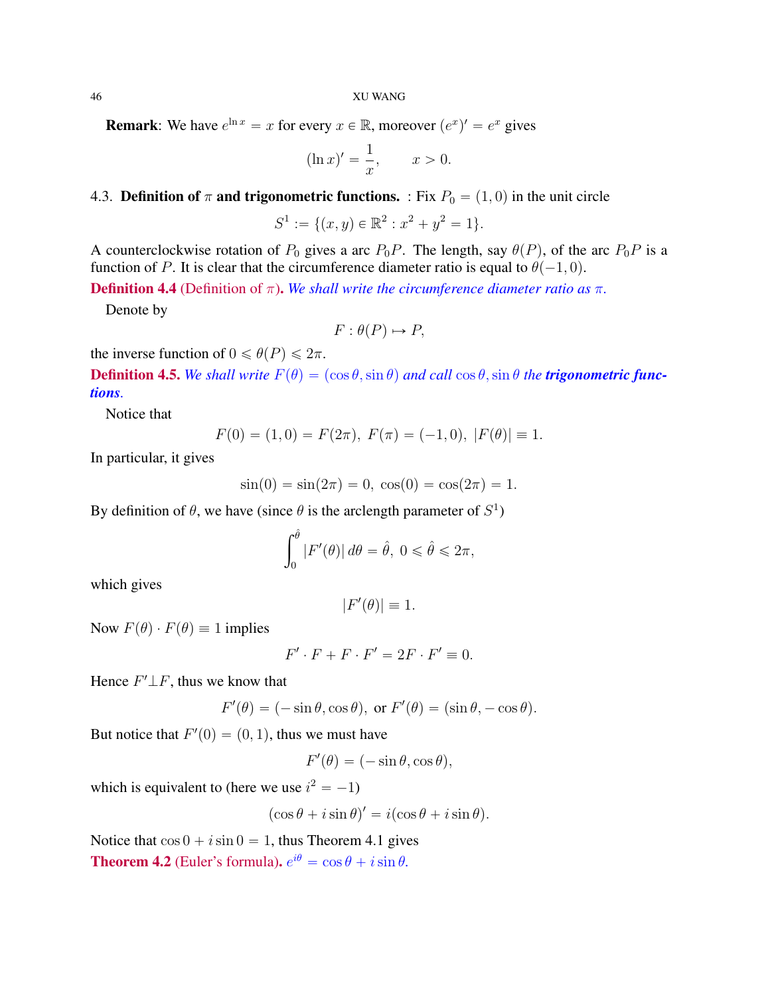**Remark**: We have  $e^{\ln x} = x$  for every  $x \in \mathbb{R}$ , moreover  $(e^x)' = e^x$  gives

$$
(\ln x)' = \frac{1}{x}, \qquad x > 0.
$$

# 4.3. Definition of  $\pi$  and trigonometric functions. : Fix  $P_0 = (1, 0)$  in the unit circle

$$
S^1 := \{ (x, y) \in \mathbb{R}^2 : x^2 + y^2 = 1 \}.
$$

A counterclockwise rotation of  $P_0$  gives a arc  $P_0P$ . The length, say  $\theta(P)$ , of the arc  $P_0P$  is a function of P. It is clear that the circumference diameter ratio is equal to  $\theta(-1, 0)$ .

**Definition 4.4** (Definition of  $\pi$ ). We shall write the circumference diameter ratio as  $\pi$ .

Denote by

$$
F: \theta(P) \mapsto P,
$$

the inverse function of  $0 \le \theta(P) \le 2\pi$ .

**Definition 4.5.** *We shall write*  $F(\theta) = (\cos \theta, \sin \theta)$  *and call*  $\cos \theta, \sin \theta$  *the trigonometric functions.*

Notice that

$$
F(0) = (1,0) = F(2\pi), \ F(\pi) = (-1,0), \ |F(\theta)| \equiv 1.
$$

In particular, it gives

$$
\sin(0) = \sin(2\pi) = 0, \cos(0) = \cos(2\pi) = 1.
$$

By definition of  $\theta$ , we have (since  $\theta$  is the arclength parameter of  $S^1$ )

$$
\int_0^{\hat{\theta}} |F'(\theta)| d\theta = \hat{\theta}, \ 0 \leq \hat{\theta} \leq 2\pi,
$$

which gives

$$
|F'(\theta)| \equiv 1.
$$

Now  $F(\theta) \cdot F(\theta) \equiv 1$  implies

$$
F' \cdot F + F \cdot F' = 2F \cdot F' \equiv 0.
$$

Hence  $F' \perp F$ , thus we know that

$$
F'(\theta) = (-\sin \theta, \cos \theta), \text{ or } F'(\theta) = (\sin \theta, -\cos \theta).
$$

But notice that  $F'(0) = (0, 1)$ , thus we must have

$$
F'(\theta) = (-\sin \theta, \cos \theta),
$$

which is equivalent to (here we use  $i^2 = -1$ )

$$
(\cos \theta + i \sin \theta)' = i(\cos \theta + i \sin \theta).
$$

Notice that  $\cos 0 + i \sin 0 = 1$ , thus Theorem 4.1 gives **Theorem 4.2** (Euler's formula).  $e^{i\theta} = \cos \theta + i \sin \theta$ .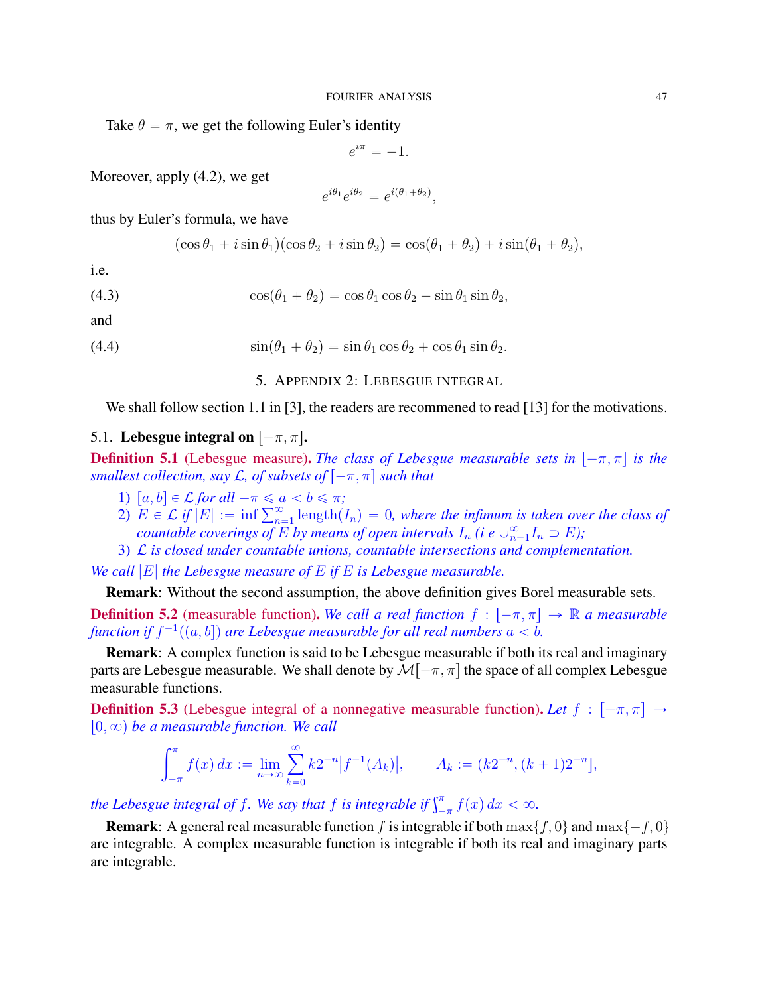Take  $\theta = \pi$ , we get the following Euler's identity

$$
e^{i\pi} = -1.
$$

Moreover, apply (4.2), we get

$$
e^{i\theta_1}e^{i\theta_2} = e^{i(\theta_1+\theta_2)},
$$

thus by Euler's formula, we have

$$
(\cos \theta_1 + i \sin \theta_1)(\cos \theta_2 + i \sin \theta_2) = \cos(\theta_1 + \theta_2) + i \sin(\theta_1 + \theta_2),
$$

i.e.

(4.3) 
$$
\cos(\theta_1 + \theta_2) = \cos \theta_1 \cos \theta_2 - \sin \theta_1 \sin \theta_2,
$$

and

(4.4) 
$$
\sin(\theta_1 + \theta_2) = \sin \theta_1 \cos \theta_2 + \cos \theta_1 \sin \theta_2.
$$

5. APPENDIX 2: LEBESGUE INTEGRAL

We shall follow section 1.1 in [3], the readers are recommened to read [13] for the motivations.

# 5.1. Lebesgue integral on  $[-\pi, \pi]$ .

**Definition 5.1** (Lebesgue measure). *The class of Lebesgue measurable sets in*  $[-\pi, \pi]$  *is the smallest collection, say L, of subsets of*  $[-\pi, \pi]$  *such that* 

- 1)  $[a, b] \in \mathcal{L}$  *for all*  $-\pi \leq a < b \leq \pi$ ;
- 1)  $[a, b] \in \mathcal{L}$  *for all*  $-\pi \le a < b \le \pi$ ;<br>2)  $E \in \mathcal{L}$  if  $|E| := \inf \sum_{n=1}^{\infty} \text{length}(I_n) = 0$ , where the infimum is taken over the class of *countable coverings of*  $E$  *by means of open intervals*  $I_n$  *(i e*  $\cup_{n=1}^{\infty} I_n \supset E$ );
- 3) L *is closed under countable unions, countable intersections and complementation.*

*We call* |E| *the Lebesgue measure of* E *if* E *is Lebesgue measurable.*

Remark: Without the second assumption, the above definition gives Borel measurable sets.

**Definition 5.2** (measurable function). *We call a real function*  $f : [-\pi, \pi] \rightarrow \mathbb{R}$  *a measurable* function if  $f^{-1}((a, b])$  are Lebesgue measurable for all real numbers  $a < b$ .

Remark: A complex function is said to be Lebesgue measurable if both its real and imaginary parts are Lebesgue measurable. We shall denote by  $\mathcal{M}[-\pi, \pi]$  the space of all complex Lebesgue measurable functions.

**Definition 5.3** (Lebesgue integral of a nonnegative measurable function). Let  $f : [-\pi, \pi] \rightarrow$  $[0, \infty)$  be a measurable function. We call

$$
\int_{-\pi}^{\pi} f(x) dx := \lim_{n \to \infty} \sum_{k=0}^{\infty} k 2^{-n} |f^{-1}(A_k)|, \qquad A_k := (k 2^{-n}, (k+1) 2^{-n}],
$$

*the Lebesgue integral of f. We say that f is integrable if*  $\int_{-\pi}^{\pi} f(x) dx < \infty$ .

**Remark:** A general real measurable function f is integrable if both  $\max\{f, 0\}$  and  $\max\{-f, 0\}$ are integrable. A complex measurable function is integrable if both its real and imaginary parts are integrable.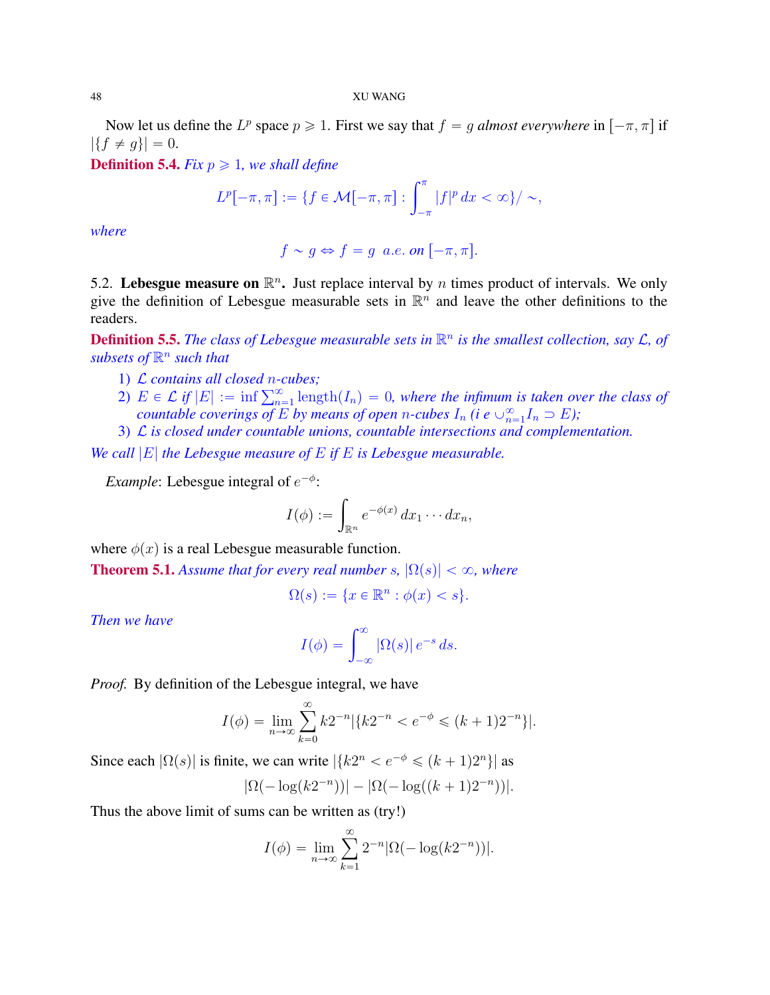Now let us define the  $L^p$  space  $p \geq 1$ . First we say that  $f = g$  *almost everywhere* in  $[-\pi, \pi]$  if  $|\{f \neq g\}| = 0.$ 

**Definition 5.4.** *Fix*  $p \ge 1$ *, we shall define* 

$$
L^{p}[-\pi,\pi]:=\{f\in \mathcal{M}[-\pi,\pi]:\int_{-\pi}^{\pi}|f|^{p} dx < \infty\}/\sim,
$$

*where*

$$
f \sim g \Leftrightarrow f = g \ a.e. \ on \ [-\pi, \pi].
$$

5.2. Lebesgue measure on  $\mathbb{R}^n$ . Just replace interval by *n* times product of intervals. We only give the definition of Lebesgue measurable sets in  $\mathbb{R}^n$  and leave the other definitions to the readers.

**Definition 5.5.** The class of Lebesgue measurable sets in  $\mathbb{R}^n$  is the smallest collection, say  $\mathcal{L}$ , of  $subsets of  $\mathbb{R}^n$  such that$ 

- 1) L *contains all closed* n*-cubes;*
- 1) *L* contains all closed n-cubes;<br>2)  $E \in \mathcal{L}$  if  $|E| := \inf \sum_{n=1}^{\infty} \text{length}(I_n) = 0$ , where the infimum is taken over the class of *countable coverings of* E by means of open *n*-cubes  $I_n$  (i e  $\cup_{n=1}^{\infty} I_n \supset E$ );
- 3) L *is closed under countable unions, countable intersections and complementation.*

*We call* |E| *the Lebesgue measure of* E *if* E *is Lebesgue measurable.*

*Example*: Lebesgue integral of  $e^{-\phi}$ :

$$
I(\phi) := \int_{\mathbb{R}^n} e^{-\phi(x)} dx_1 \cdots dx_n,
$$

where  $\phi(x)$  is a real Lebesgue measurable function.

**Theorem 5.1.** *Assume that for every real number s,*  $|\Omega(s)| < \infty$ *, where* 

$$
\Omega(s) := \{ x \in \mathbb{R}^n : \phi(x) < s \}.
$$

*Then we have*

$$
I(\phi) = \int_{-\infty}^{\infty} |\Omega(s)| e^{-s} ds.
$$

*Proof.* By definition of the Lebesgue integral, we have

$$
I(\phi) = \lim_{n \to \infty} \sum_{k=0}^{\infty} k 2^{-n} |\{k2^{-n} < e^{-\phi} \le (k+1)2^{-n}\}|.
$$

Since each  $|\Omega(s)|$  is finite, we can write  $|\{k2^n < e^{-\phi} \leq (k+1)2^n\}|$  as

$$
|\Omega(-\log(k2^{-n}))| - |\Omega(-\log((k+1)2^{-n}))|.
$$

Thus the above limit of sums can be written as (try!)

$$
I(\phi) = \lim_{n \to \infty} \sum_{k=1}^{\infty} 2^{-n} |\Omega(-\log(k2^{-n}))|.
$$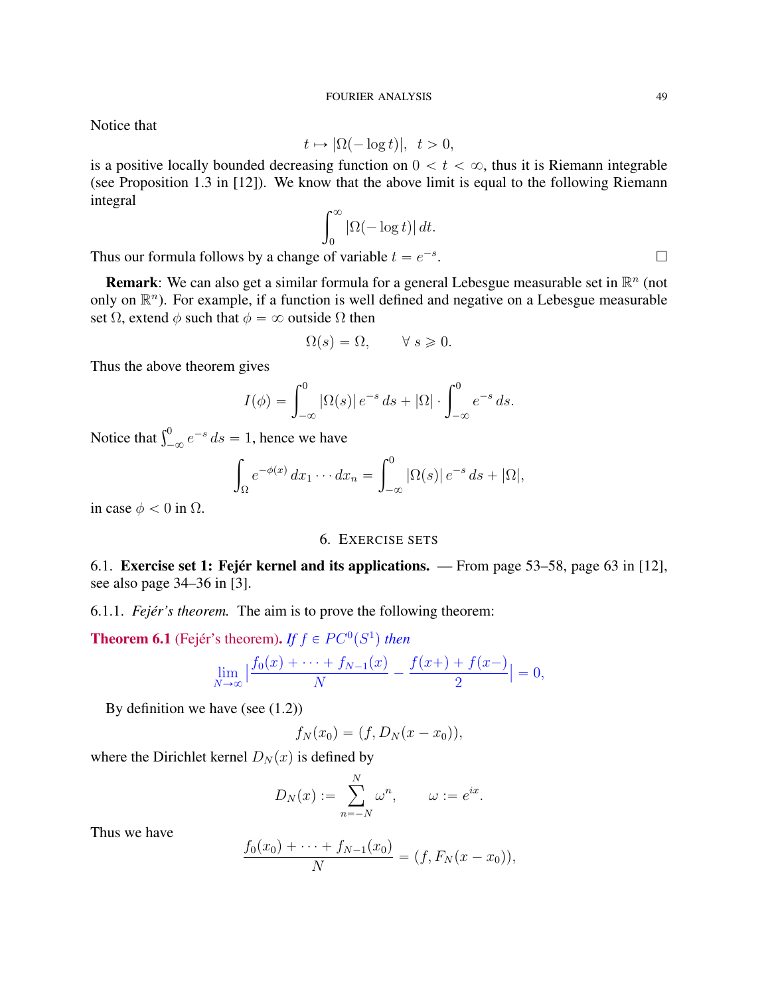Notice that

$$
t \mapsto |\Omega(-\log t)|, \ \ t > 0,
$$

is a positive locally bounded decreasing function on  $0 < t < \infty$ , thus it is Riemann integrable (see Proposition 1.3 in [12]). We know that the above limit is equal to the following Riemann integral  $\mathsf{r}^\infty$ 

$$
\int_0^\infty |\Omega(-\log t)| \, dt.
$$

Thus our formula follows by a change of variable  $t = e^{-s}$ 

**Remark**: We can also get a similar formula for a general Lebesgue measurable set in  $\mathbb{R}^n$  (not only on  $\mathbb{R}^n$ ). For example, if a function is well defined and negative on a Lebesgue measurable set  $\Omega$ , extend  $\phi$  such that  $\phi = \infty$  outside  $\Omega$  then

$$
\Omega(s) = \Omega, \qquad \forall \ s \geqslant 0.
$$

Thus the above theorem gives

$$
I(\phi) = \int_{-\infty}^{0} |\Omega(s)| e^{-s} ds + |\Omega| \cdot \int_{-\infty}^{0} e^{-s} ds.
$$

Notice that  $\int_{-\infty}^{0} e^{-s} ds = 1$ , hence we have

$$
\int_{\Omega} e^{-\phi(x)} dx_1 \cdots dx_n = \int_{-\infty}^{0} |\Omega(s)| e^{-s} ds + |\Omega|,
$$

in case  $\phi < 0$  in  $\Omega$ .

# 6. EXERCISE SETS

6.1. Exercise set 1: Fejér kernel and its applications. — From page 53–58, page 63 in [12], see also page 34–36 in [3].

6.1.1. *Fejér's theorem.* The aim is to prove the following theorem:

**Theorem 6.1** (Fejér's theorem). *If*  $f \in PC^0(S^1)$  then

$$
\lim_{N \to \infty} \left| \frac{f_0(x) + \dots + f_{N-1}(x)}{N} - \frac{f(x+)+f(x-)}{2} \right| = 0,
$$

By definition we have (see (1.2))

$$
f_N(x_0)=(f,D_N(x-x_0)),
$$

where the Dirichlet kernel  $D_N(x)$  is defined by

$$
D_N(x) := \sum_{n=-N}^N \omega^n, \qquad \omega := e^{ix}.
$$

Thus we have

$$
\frac{f_0(x_0) + \dots + f_{N-1}(x_0)}{N} = (f, F_N(x - x_0)),
$$

.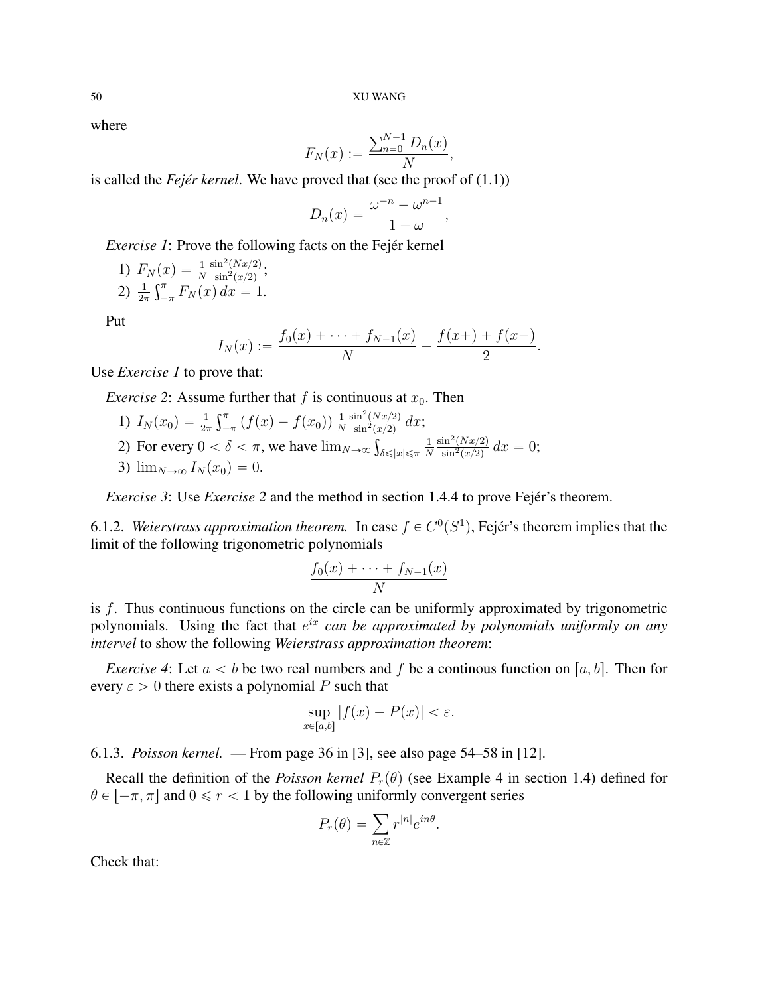where

$$
F_N(x) := \frac{\sum_{n=0}^{N-1} D_n(x)}{N},
$$

is called the *Fejér kernel*. We have proved that (see the proof of (1.1))

$$
D_n(x) = \frac{\omega^{-n} - \omega^{n+1}}{1 - \omega},
$$

*Exercise 1*: Prove the following facts on the Fejér kernel

1) 
$$
F_N(x) = \frac{1}{N} \frac{\sin^2(Nx/2)}{\sin^2(x/2)}
$$
;  
2)  $\frac{1}{2\pi} \int_{-\pi}^{\pi} F_N(x) dx = 1$ .

Put

$$
I_N(x) := \frac{f_0(x) + \dots + f_{N-1}(x)}{N} - \frac{f(x) + f(x-)}{2}.
$$

Use *Exercise 1* to prove that:

*Exercise 2*: Assume further that  $f$  is continuous at  $x_0$ . Then

1)  $I_N(x_0) = \frac{1}{2\pi}$ ււ<br>Ր  $\int_{-\pi}^{\pi} (f(x) - f(x_0)) \frac{1}{N}$ N  $\sin^2(Nx/2)$  $\frac{\sin^2(Nx/2)}{\sin^2(x/2)} dx;$ 2) For every  $0 < \delta < \pi$ , we have  $\lim_{N \to \infty} \int_{\delta \leq |x| \leq \pi}$ 1 N  $\sin^2(Nx/2)$  $\frac{\sin^2(Nx/2)}{\sin^2(x/2)} dx = 0;$ 3)  $\lim_{N\to\infty} I_N(x_0) = 0.$ 

*Exercise 3*: Use *Exercise 2* and the method in section 1.4.4 to prove Fejér's theorem.

6.1.2. Weierstrass approximation theorem. In case  $f \in C<sup>0</sup>(S<sup>1</sup>)$ , Fejér's theorem implies that the limit of the following trigonometric polynomials

$$
\frac{f_0(x) + \dots + f_{N-1}(x)}{N}
$$

is f. Thus continuous functions on the circle can be uniformly approximated by trigonometric polynomials. Using the fact that  $e^{ix}$  *can be approximated by polynomials uniformly on any intervel* to show the following *Weierstrass approximation theorem*:

*Exercise 4*: Let  $a < b$  be two real numbers and f be a continous function on [a, b]. Then for every  $\varepsilon > 0$  there exists a polynomial P such that

$$
\sup_{x \in [a,b]} |f(x) - P(x)| < \varepsilon.
$$

6.1.3. *Poisson kernel.* — From page 36 in [3], see also page 54–58 in [12].

Recall the definition of the *Poisson kernel*  $P_r(\theta)$  (see Example 4 in section 1.4) defined for  $\theta \in [-\pi, \pi]$  and  $0 \le r < 1$  by the following uniformly convergent series

$$
P_r(\theta) = \sum_{n \in \mathbb{Z}} r^{|n|} e^{in\theta}.
$$

Check that: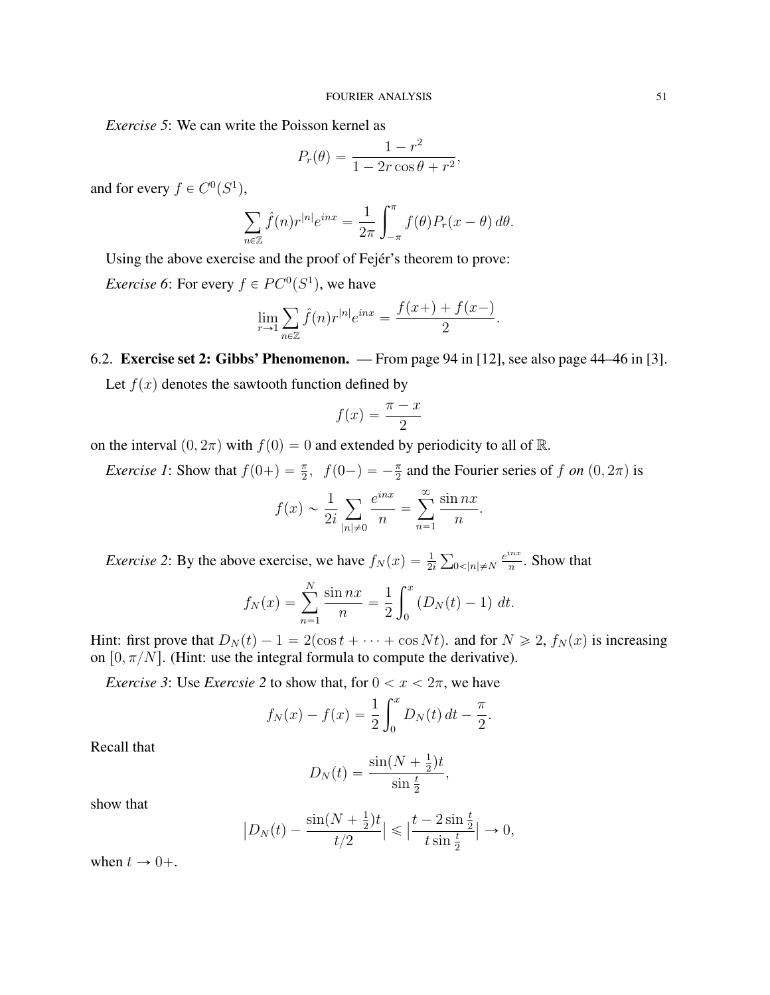*Exercise 5*: We can write the Poisson kernel as

$$
P_r(\theta) = \frac{1 - r^2}{1 - 2r\cos\theta + r^2},
$$

and for every  $f \in C^0(S^1)$ ,

$$
\sum_{n\in\mathbb{Z}}\widehat{f}(n)r^{|n|}e^{inx} = \frac{1}{2\pi}\int_{-\pi}^{\pi}f(\theta)P_r(x-\theta)\,d\theta.
$$

Using the above exercise and the proof of Fejér's theorem to prove: *Exercise* 6: For every  $f \in PC^0(S^1)$ , we have

$$
\lim_{r \to 1} \sum_{n \in \mathbb{Z}} \hat{f}(n) r^{|n|} e^{inx} = \frac{f(x+) + f(x-)}{2}.
$$

6.2. Exercise set 2: Gibbs' Phenomenon. — From page 94 in [12], see also page 44–46 in [3]. Let  $f(x)$  denotes the sawtooth function defined by

$$
f(x) = \frac{\pi - x}{2}
$$

on the interval  $(0, 2\pi)$  with  $f(0) = 0$  and extended by periodicity to all of R.

*Exercise 1*: Show that  $f(0+) = \frac{\pi}{2}$ ,  $f(0-) = -\frac{\pi}{2}$  and the Fourier series of f on  $(0, 2\pi)$  is

$$
f(x) \sim \frac{1}{2i} \sum_{|n| \neq 0} \frac{e^{inx}}{n} = \sum_{n=1}^{\infty} \frac{\sin nx}{n}.
$$

*Exercise 2*: By the above exercise, we have  $f_N(x) = \frac{1}{2i}$  $0<|n|\neq N$  $e^{inx}$  $\frac{m}{n}$ . Show that

$$
f_N(x) = \sum_{n=1}^N \frac{\sin nx}{n} = \frac{1}{2} \int_0^x (D_N(t) - 1) \ dt.
$$

Hint: first prove that  $D_N(t) - 1 = 2(\cos t + \cdots + \cos N t)$ . and for  $N \ge 2$ ,  $f_N(x)$  is increasing on  $[0, \pi/N]$ . (Hint: use the integral formula to compute the derivative).

*Exercise 3*: Use *Exercsie* 2 to show that, for  $0 < x < 2\pi$ , we have

$$
f_N(x) - f(x) = \frac{1}{2} \int_0^x D_N(t) dt - \frac{\pi}{2}.
$$

Recall that

$$
D_N(t) = \frac{\sin(N + \frac{1}{2})t}{\sin \frac{t}{2}},
$$

show that

$$
\left| D_N(t) - \frac{\sin(N + \frac{1}{2})t}{t/2} \right| \le \left| \frac{t - 2\sin\frac{t}{2}}{t\sin\frac{t}{2}} \right| \to 0,
$$

when  $t \rightarrow 0+$ .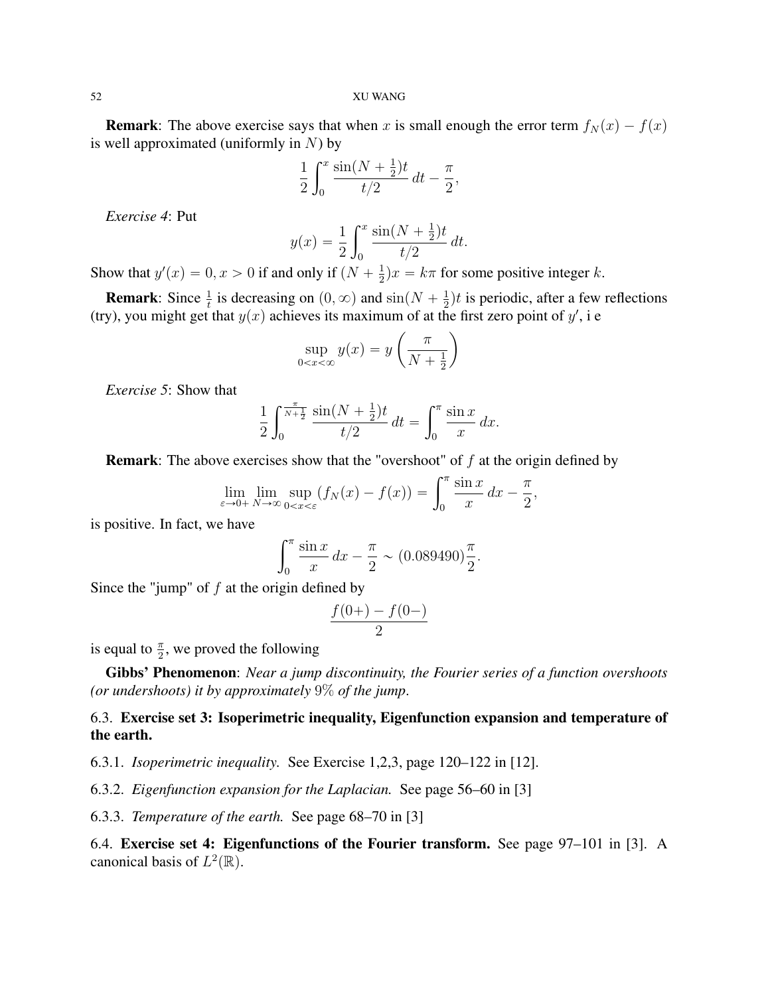**Remark:** The above exercise says that when x is small enough the error term  $f_N(x) - f(x)$ is well approximated (uniformly in  $N$ ) by

$$
\frac{1}{2} \int_0^x \frac{\sin(N + \frac{1}{2})t}{t/2} dt - \frac{\pi}{2},
$$

*Exercise 4*: Put

$$
y(x) = \frac{1}{2} \int_0^x \frac{\sin(N + \frac{1}{2})t}{t/2} dt.
$$

Show that  $y'(x) = 0, x > 0$  if and only if  $(N + \frac{1}{2})$  $\frac{1}{2}$ ) $x = k\pi$  for some positive integer k.

**Remark:** Since  $\frac{1}{t}$  is decreasing on  $(0, \infty)$  and  $\sin(N + \frac{1}{2})$  $\frac{1}{2}$ )*t* is periodic, after a few reflections (try), you might get that  $y(x)$  achieves its maximum of at the first zero point of  $y'$ , i e

$$
\sup_{0 < x < \infty} y(x) = y\left(\frac{\pi}{N + \frac{1}{2}}\right)
$$

*Exercise 5*: Show that

$$
\frac{1}{2} \int_0^{\frac{\pi}{N+\frac{1}{2}}} \frac{\sin(N+\frac{1}{2})t}{t/2} dt = \int_0^{\pi} \frac{\sin x}{x} dx.
$$

**Remark:** The above exercises show that the "overshoot" of *f* at the origin defined by\n
$$
\lim_{\varepsilon \to 0+} \lim_{N \to \infty} \sup_{0 < x < \varepsilon} (f_N(x) - f(x)) = \int_0^\pi \frac{\sin x}{x} dx - \frac{\pi}{2},
$$

is positive. In fact, we have

$$
\int_0^\pi \frac{\sin x}{x} dx - \frac{\pi}{2} \sim (0.089490) \frac{\pi}{2}.
$$

Since the "jump" of  $f$  at the origin defined by

$$
\frac{f(0+)-f(0-)}{2}
$$

is equal to  $\frac{\pi}{2}$ , we proved the following

Gibbs' Phenomenon: *Near a jump discontinuity, the Fourier series of a function overshoots (or undershoots) it by approximately* 9% *of the jump*.

# 6.3. Exercise set 3: Isoperimetric inequality, Eigenfunction expansion and temperature of the earth.

6.3.1. *Isoperimetric inequality.* See Exercise 1,2,3, page 120–122 in [12].

6.3.2. *Eigenfunction expansion for the Laplacian.* See page 56–60 in [3]

6.3.3. *Temperature of the earth.* See page 68–70 in [3]

6.4. Exercise set 4: Eigenfunctions of the Fourier transform. See page 97–101 in [3]. A canonical basis of  $L^2(\mathbb{R})$ .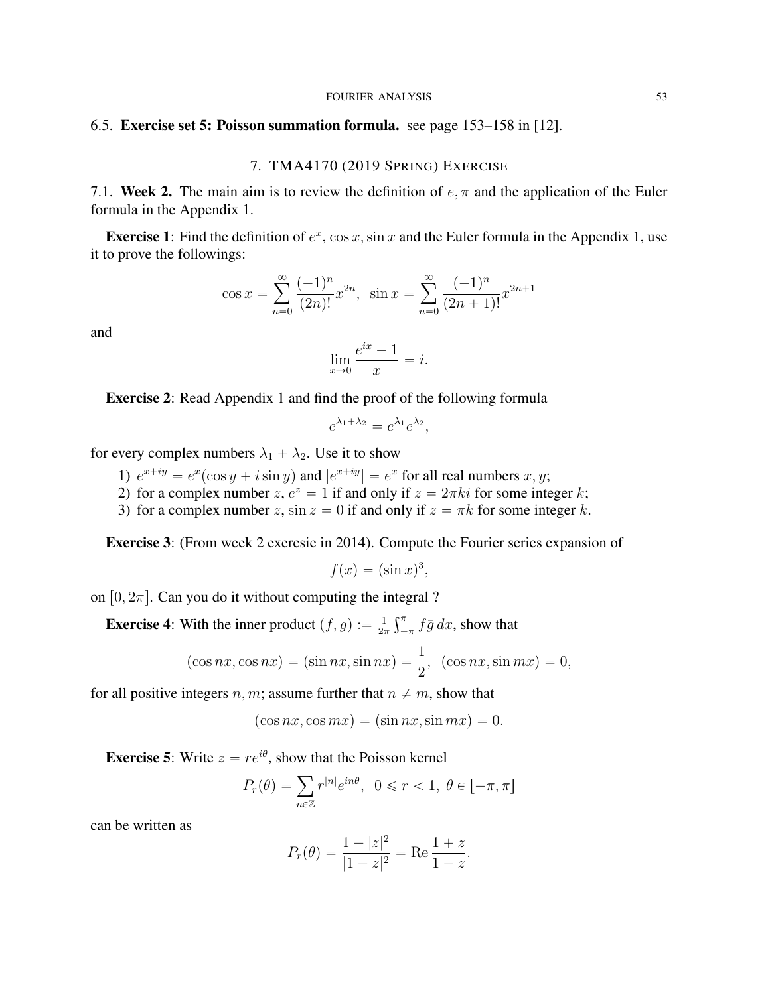### FOURIER ANALYSIS 53

## 6.5. Exercise set 5: Poisson summation formula. see page 153–158 in [12].

## 7. TMA4170 (2019 SPRING) EXERCISE

7.1. Week 2. The main aim is to review the definition of  $e, \pi$  and the application of the Euler formula in the Appendix 1.

**Exercise 1:** Find the definition of  $e^x$ ,  $\cos x$ ,  $\sin x$  and the Euler formula in the Appendix 1, use it to prove the followings:

$$
\cos x = \sum_{n=0}^{\infty} \frac{(-1)^n}{(2n)!} x^{2n}, \quad \sin x = \sum_{n=0}^{\infty} \frac{(-1)^n}{(2n+1)!} x^{2n+1}
$$

and

$$
\lim_{x \to 0} \frac{e^{ix} - 1}{x} = i.
$$

Exercise 2: Read Appendix 1 and find the proof of the following formula

$$
e^{\lambda_1 + \lambda_2} = e^{\lambda_1} e^{\lambda_2},
$$

for every complex numbers  $\lambda_1 + \lambda_2$ . Use it to show

- 1)  $e^{x+iy} = e^x(\cos y + i \sin y)$  and  $|e^{x+iy}| = e^x$  for all real numbers  $x, y$ ;
- 2) for a complex number  $z, e^z = 1$  if and only if  $z = 2\pi ki$  for some integer k;
- 3) for a complex number z,  $\sin z = 0$  if and only if  $z = \pi k$  for some integer k.

Exercise 3: (From week 2 exercsie in 2014). Compute the Fourier series expansion of

$$
f(x) = (\sin x)^3,
$$

on  $[0, 2\pi]$ . Can you do it without computing the integral ?

**Exercise 4:** With the inner product  $(f, g) := \frac{1}{2g}$  $2\pi$  $\mathfrak{c}^{\pi}$  $\int_{-\pi}^{\pi} f\bar{g} \, dx$ , show that

$$
(\cos nx, \cos nx) = (\sin nx, \sin nx) = \frac{1}{2}, \quad (\cos nx, \sin mx) = 0,
$$

for all positive integers n, m; assume further that  $n \neq m$ , show that

$$
(\cos nx, \cos mx) = (\sin nx, \sin mx) = 0.
$$

**Exercise 5:** Write  $z = re^{i\theta}$ , show that the Poisson kernel

$$
P_r(\theta) = \sum_{n \in \mathbb{Z}} r^{|n|} e^{in\theta}, \ \ 0 \le r < 1, \ \theta \in [-\pi, \pi]
$$

can be written as

$$
P_r(\theta) = \frac{1 - |z|^2}{|1 - z|^2} = \text{Re} \frac{1 + z}{1 - z}.
$$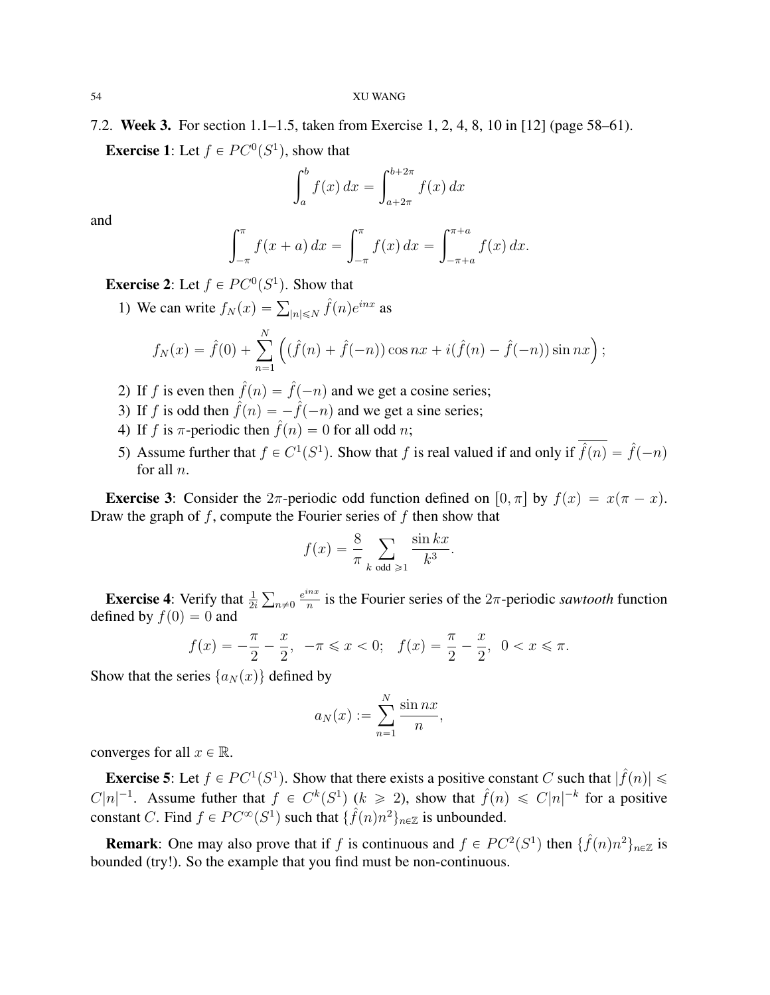7.2. Week 3. For section 1.1–1.5, taken from Exercise 1, 2, 4, 8, 10 in [12] (page 58–61). **Exercise 1:** Let  $f \in PC^0(S^1)$ , show that

$$
\int_a^b f(x) dx = \int_{a+2\pi}^{b+2\pi} f(x) dx
$$

and

$$
\int_{-\pi}^{\pi} f(x+a) dx = \int_{-\pi}^{\pi} f(x) dx = \int_{-\pi+a}^{\pi+a} f(x) dx.
$$

**Exercise 2:** Let  $f \in PC^0(S^1)$ . Show that

1) We can write  $f_N(x) = \sum_{|n| \le N} \hat{f}(n)e^{inx}$  as  $f_N(x) = \hat{f}(0) + \sum_{n=0}^{N}$  $n=1$  $\mathbf{r}$  $(\hat{f}(n) + \hat{f}(-n)) \cos nx + i(\hat{f}(n) - \hat{f}(-n)) \sin nx$ );

- 2) If f is even then  $\hat{f}(n) = \hat{f}(-n)$  and we get a cosine series;
- 3) If f is odd then  $\hat{f}(n) = -\hat{f}(-n)$  and we get a sine series;
- 4) If f is  $\pi$ -periodic then  $\hat{f}(n) = 0$  for all odd n;
- 5) Assume further that  $f \in C^1(S^1)$ . Show that f is real valued if and only if  $\hat{f}(n) = \hat{f}(-n)$ for all n.

**Exercise 3:** Consider the  $2\pi$ -periodic odd function defined on  $[0, \pi]$  by  $f(x) = x(\pi - x)$ . Draw the graph of  $f$ , compute the Fourier series of  $f$  then show that

$$
f(x) = \frac{8}{\pi} \sum_{k \text{ odd } \geqslant 1} \frac{\sin kx}{k^3}.
$$

**Exercise 4:** Verify that  $\frac{1}{2i}$  $n\neq0$  $e^{inx}$  $\frac{du}{dx}$  is the Fourier series of the  $2\pi$ -periodic *sawtooth* function defined by  $f(0) = 0$  and

$$
f(x) = -\frac{\pi}{2} - \frac{x}{2}, \quad -\pi \leq x < 0; \quad f(x) = \frac{\pi}{2} - \frac{x}{2}, \quad 0 < x \leq \pi.
$$

Show that the series  $\{a_N(x)\}\$  defined by

$$
a_N(x) := \sum_{n=1}^N \frac{\sin nx}{n},
$$

converges for all  $x \in \mathbb{R}$ .

**Exercise 5:** Let  $f \in PC^1(S^1)$ . Show that there exists a positive constant C such that  $|\hat{f}(n)| \le$  $C|n|^{-1}$ . Assume futher that  $f \in C^k(S^1)$   $(k \ge 2)$ , show that  $\hat{f}(n) \le C|n|^{-k}$  for a positive constant C. Find  $f \in PC^{\infty}(S^1)$  such that  $\{\hat{f}(n)n^2\}_{n \in \mathbb{Z}}$  is unbounded.

**Remark**: One may also prove that if f is continuous and  $f \in PC^2(S^1)$  then  $\{\hat{f}(n)n^2\}_{n \in \mathbb{Z}}$  is bounded (try!). So the example that you find must be non-continuous.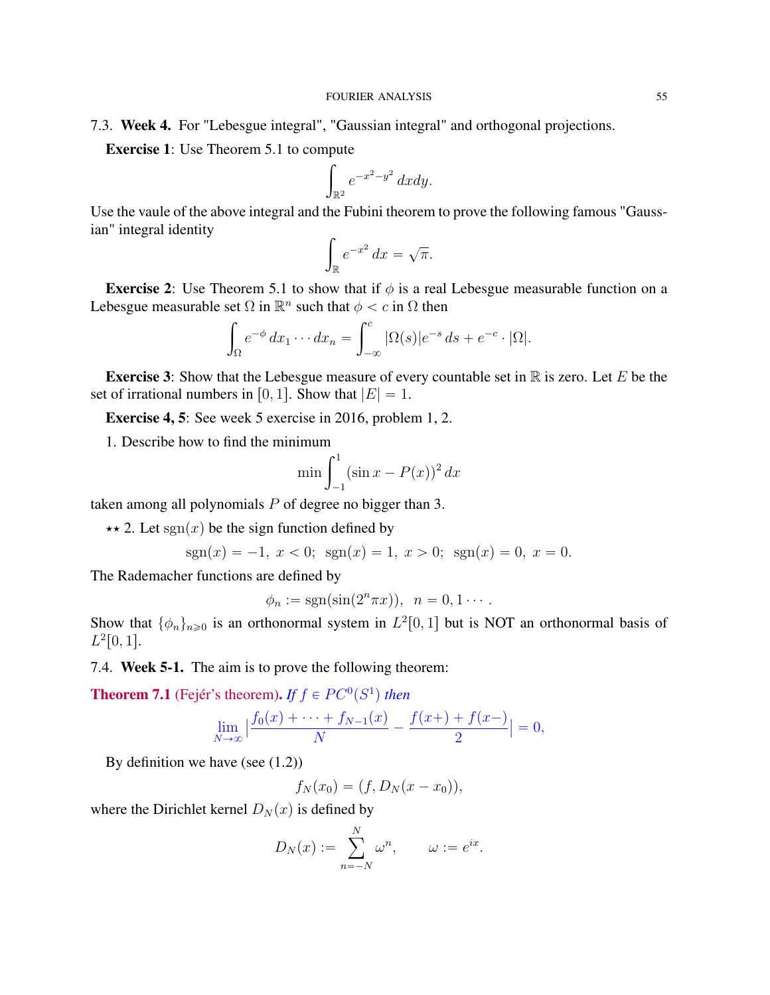# 7.3. Week 4. For "Lebesgue integral", "Gaussian integral" and orthogonal projections.

**Exercise 1**: Use Theorem 5.1 to compute

$$
\int_{\mathbb{R}^2} e^{-x^2 - y^2} dx dy.
$$

Use the vaule of the above integral and the Fubini theorem to prove the following famous "Gaussian" integral identity

$$
\int_{\mathbb{R}} e^{-x^2} dx = \sqrt{\pi}.
$$

**Exercise 2:** Use Theorem 5.1 to show that if  $\phi$  is a real Lebesgue measurable function on a Lebesgue measurable set  $\Omega$  in  $\mathbb{R}^n$  such that  $\phi < c$  in  $\Omega$  then

$$
\int_{\Omega} e^{-\phi} dx_1 \cdots dx_n = \int_{-\infty}^{c} |\Omega(s)| e^{-s} ds + e^{-c} \cdot |\Omega|.
$$

**Exercise 3:** Show that the Lebesgue measure of every countable set in  $\mathbb R$  is zero. Let E be the set of irrational numbers in [0, 1]. Show that  $|E| = 1$ .

Exercise 4, 5: See week 5 exercise in 2016, problem 1, 2.

1. Describe how to find the minimum<br> $\min \int_1^1$ 

$$
\min \int_{-1}^{1} (\sin x - P(x))^{2} dx
$$

taken among all polynomials  $P$  of degree no bigger than 3.

 $\star \star 2$ . Let sgn(x) be the sign function defined by

$$
sgn(x) = -1, \ x < 0; \ \text{sgn}(x) = 1, \ x > 0; \ \text{sgn}(x) = 0, \ x = 0.
$$

The Rademacher functions are defined by

$$
\phi_n := \text{sgn}(\sin(2^n \pi x)), \ \ n = 0, 1 \cdots.
$$

Show that  $\{\phi_n\}_{n\geq 0}$  is an orthonormal system in  $L^2[0,1]$  but is NOT an orthonormal basis of  $L^2[0,1].$ 

7.4. Week 5-1. The aim is to prove the following theorem:

**Theorem 7.1** (Fejér's theorem). *If*  $f \in PC^0(S^1)$  then

$$
\lim_{N \to \infty} \left| \frac{f_0(x) + \dots + f_{N-1}(x)}{N} - \frac{f(x) + f(x)}{2} \right| = 0,
$$

By definition we have (see  $(1.2)$ )

$$
f_N(x_0) = (f, D_N(x - x_0)),
$$

where the Dirichlet kernel  $D_N(x)$  is defined by

$$
D_N(x) := \sum_{n=-N}^N \omega^n, \qquad \omega := e^{ix}.
$$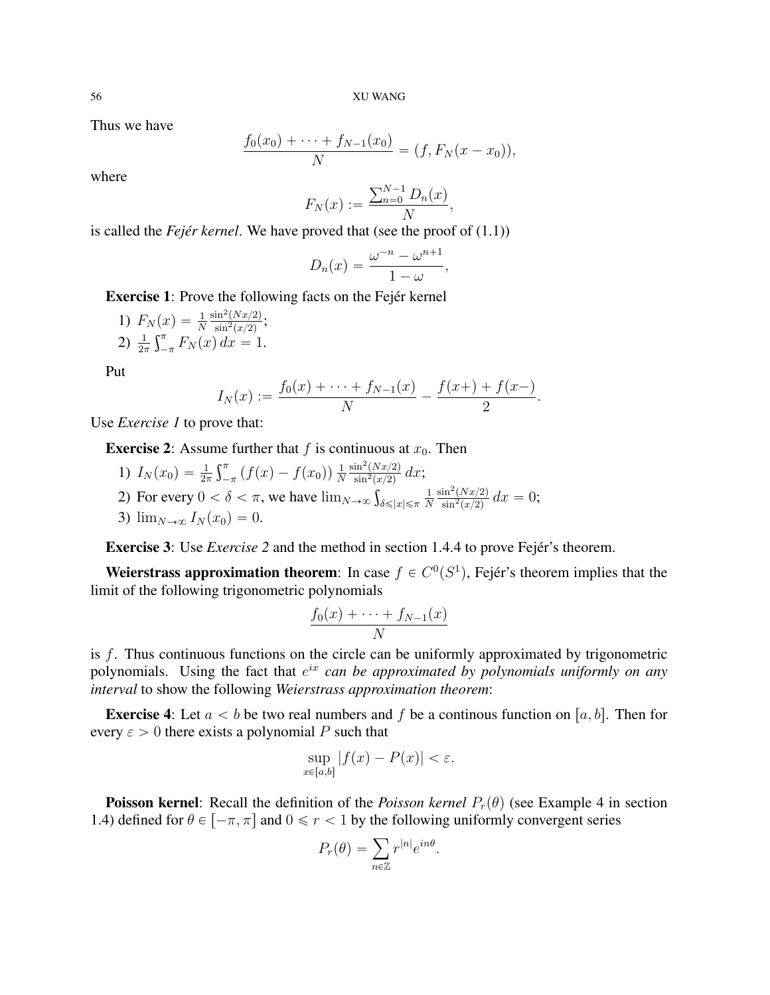Thus we have

$$
\frac{f_0(x_0) + \dots + f_{N-1}(x_0)}{N} = (f, F_N(x - x_0)),
$$

where

$$
F_N(x) := \frac{\sum_{n=0}^{N-1} D_n(x)}{N},
$$

is called the *Fejér kernel*. We have proved that (see the proof of (1.1))

$$
D_n(x) = \frac{\omega^{-n} - \omega^{n+1}}{1 - \omega},
$$

Exercise 1: Prove the following facts on the Fejér kernel

1)  $F_N(x) = \frac{1}{N}$  $\sin^2(Nx/2)$  $\sigma(x) = \frac{1}{N} \frac{\sin^2(Nx/2)}{\sin^2(x/2)};$ 2)  $\frac{1}{2\pi} \int_{-\pi}^{\pi} F_N(x) dx = 1.$ 

Put

$$
I_N(x) := \frac{f_0(x) + \dots + f_{N-1}(x)}{N} - \frac{f(x) + f(x-)}{2}.
$$

Use *Exercise 1* to prove that:

**Exercise 2:** Assume further that f is continuous at  $x_0$ . Then

- 1)  $I_N(x_0) = \frac{1}{2\pi}$  $\frac{1}{\Gamma^{\pi}}$  $\int_{-\pi}^{\pi} (f(x) - f(x_0)) \frac{1}{N}$ N  $\sin^2(Nx/2)$  $\frac{\sin^2(Nx/2)}{\sin^2(x/2)} dx;$ 2) For every  $0 < \delta < \pi$ , we have  $\lim_{N \to \infty} \int_{\delta \leq |x| \leq \pi}$ 1 N  $\sin^2(Nx/2)$  $\frac{\sin^2(Nx/2)}{\sin^2(x/2)} dx = 0;$
- 3)  $\lim_{N\to\infty} I_N(x_0) = 0.$

Exercise 3: Use *Exercise 2* and the method in section 1.4.4 to prove Fejér's theorem.

Weierstrass approximation theorem: In case  $f \in C<sup>0</sup>(S<sup>1</sup>)$ , Fejér's theorem implies that the limit of the following trigonometric polynomials

$$
\frac{f_0(x) + \dots + f_{N-1}(x)}{N}
$$

is f. Thus continuous functions on the circle can be uniformly approximated by trigonometric polynomials. Using the fact that  $e^{ix}$  *can be approximated by polynomials uniformly on any interval* to show the following *Weierstrass approximation theorem*:

**Exercise 4:** Let  $a < b$  be two real numbers and f be a continous function on [a, b]. Then for every  $\varepsilon > 0$  there exists a polynomial P such that

$$
\sup_{x\in[a,b]}|f(x)-P(x)|<\varepsilon.
$$

**Poisson kernel:** Recall the definition of the *Poisson kernel*  $P_r(\theta)$  (see Example 4 in section 1.4) defined for  $\theta \in [-\pi, \pi]$  and  $0 \le r < 1$  by the following uniformly convergent series

$$
P_r(\theta) = \sum_{n \in \mathbb{Z}} r^{|n|} e^{in\theta}.
$$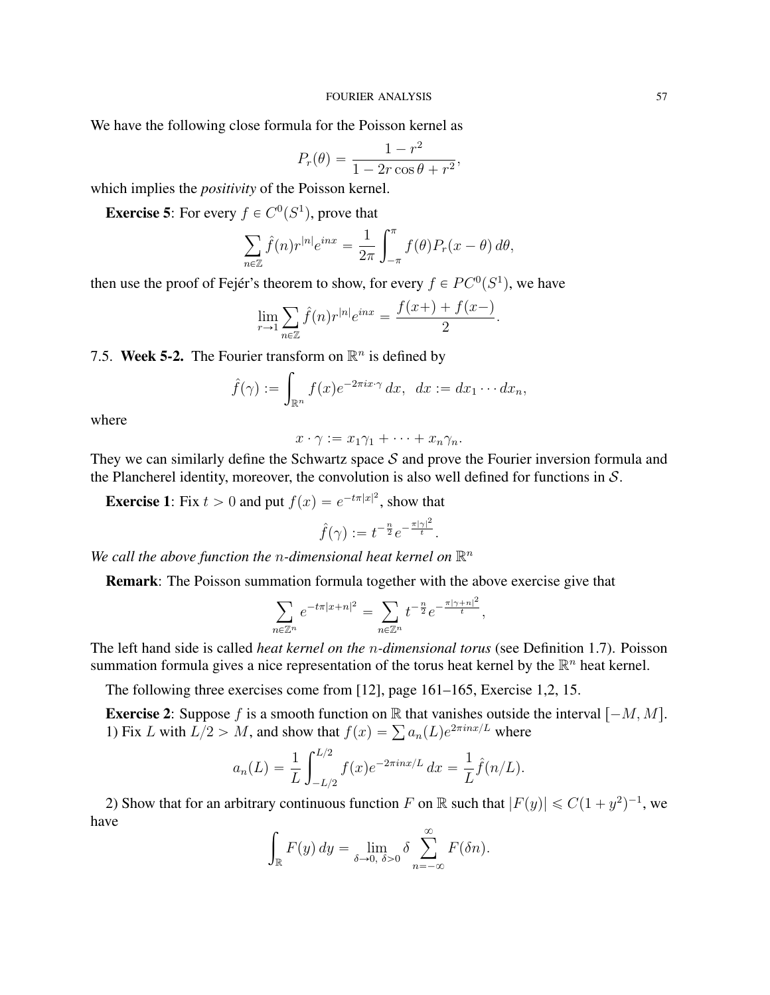We have the following close formula for the Poisson kernel as

$$
P_r(\theta) = \frac{1 - r^2}{1 - 2r\cos\theta + r^2},
$$

which implies the *positivity* of the Poisson kernel.

**Exercise 5:** For every  $f \in C^0(S^1)$ , prove that

$$
\sum_{n\in\mathbb{Z}} \hat{f}(n)r^{|n|}e^{inx} = \frac{1}{2\pi}\int_{-\pi}^{\pi}f(\theta)P_r(x-\theta)\,d\theta,
$$

then use the proof of Fejér's theorem to show, for every  $f \in PC^0(S^1)$ , we have

$$
\lim_{r \to 1} \sum_{n \in \mathbb{Z}} \hat{f}(n) r^{|n|} e^{inx} = \frac{f(x+) + f(x-)}{2}.
$$

7.5. Week 5-2. The Fourier transform on  $\mathbb{R}^n$  is defined by

$$
\hat{f}(\gamma) := \int_{\mathbb{R}^n} f(x) e^{-2\pi ix \cdot \gamma} dx, \ dx := dx_1 \cdots dx_n,
$$

where

$$
x \cdot \gamma := x_1 \gamma_1 + \dots + x_n \gamma_n.
$$

They we can similarly define the Schwartz space  $S$  and prove the Fourier inversion formula and the Plancherel identity, moreover, the convolution is also well defined for functions in  $S$ .

**Exercise 1:** Fix  $t > 0$  and put  $f(x) = e^{-t\pi |x|^2}$ , show that

$$
\hat{f}(\gamma) := t^{-\frac{n}{2}} e^{-\frac{\pi |\gamma|^2}{t}}.
$$

We call the above function the *n*-dimensional heat kernel on  $\mathbb{R}^n$ 

Remark: The Poisson summation formula together with the above exercise give that

$$
\sum_{n\in\mathbb{Z}^n}e^{-t\pi|x+n|^2}=\sum_{n\in\mathbb{Z}^n}t^{-\frac{n}{2}}e^{-\frac{\pi|\gamma+n|^2}{t}},
$$

The left hand side is called *heat kernel on the* n*-dimensional torus* (see Definition 1.7). Poisson summation formula gives a nice representation of the torus heat kernel by the  $\mathbb{R}^n$  heat kernel.

The following three exercises come from [12], page 161–165, Exercise 1,2, 15.

**Exercise 2:** Suppose f is a smooth function on R that vanishes outside the interval  $[-M, M]$ . **Exercise** 2: Suppose *f* is a smooth function on  $\mathbb{R}$  that vanishes outside 1) Fix *L* with  $L/2 > M$ , and show that  $f(x) = \sum a_n(L)e^{2\pi i nx/L}$  where

$$
a_n(L) = \frac{1}{L} \int_{-L/2}^{L/2} f(x) e^{-2\pi i nx/L} dx = \frac{1}{L} \hat{f}(n/L).
$$

2) Show that for an arbitrary continuous function F on R such that  $|F(y)| \le C(1 + y^2)^{-1}$ , we have

$$
\int_{\mathbb{R}} F(y) dy = \lim_{\delta \to 0, \ \delta > 0} \delta \sum_{n=-\infty}^{\infty} F(\delta n).
$$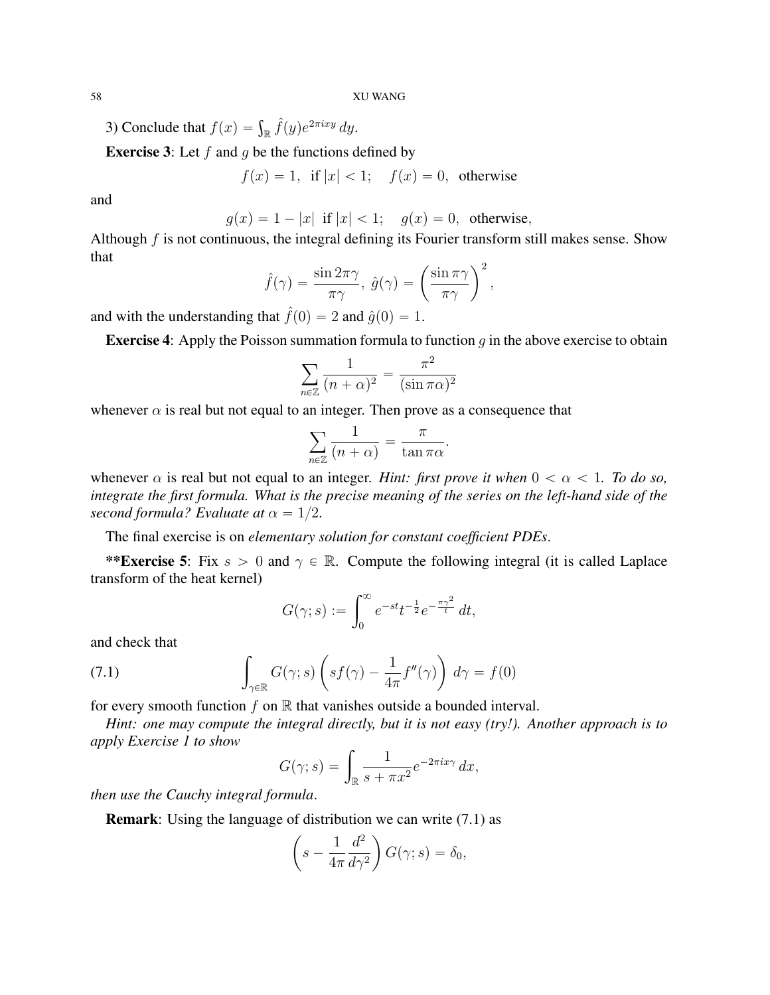3) Conclude that  $f(x) = \int_{\mathbb{R}} \hat{f}(y)e^{2\pi ixy} dy$ .

**Exercise 3:** Let  $f$  and  $g$  be the functions defined by

$$
f(x) = 1, \text{ if } |x| < 1; \quad f(x) = 0, \text{ otherwise}
$$

and

$$
g(x) = 1 - |x|
$$
 if  $|x| < 1$ ;  $g(x) = 0$ , otherwise,

Although  $f$  is not continuous, the integral defining its Fourier transform still makes sense. Show that

$$
\hat{f}(\gamma) = \frac{\sin 2\pi\gamma}{\pi\gamma}, \ \hat{g}(\gamma) = \left(\frac{\sin \pi\gamma}{\pi\gamma}\right)^2,
$$

and with the understanding that  $\hat{f}(0) = 2$  and  $\hat{g}(0) = 1$ .

**Exercise 4:** Apply the Poisson summation formula to function  $q$  in the above exercise to obtain

$$
\sum_{n\in\mathbb{Z}}\frac{1}{(n+\alpha)^2}=\frac{\pi^2}{(\sin\pi\alpha)^2}
$$

whenever  $\alpha$  is real but not equal to an integer. Then prove as a consequence that

$$
\sum_{n\in\mathbb{Z}}\frac{1}{(n+\alpha)}=\frac{\pi}{\tan\pi\alpha}.
$$

whenever  $\alpha$  is real but not equal to an integer. *Hint: first prove it when*  $0 < \alpha < 1$ *. To do so, integrate the first formula. What is the precise meaning of the series on the left-hand side of the second formula? Evaluate at*  $\alpha = 1/2$ .

The final exercise is on *elementary solution for constant coefficient PDEs*.

\*\*Exercise 5: Fix  $s > 0$  and  $\gamma \in \mathbb{R}$ . Compute the following integral (it is called Laplace transform of the heat kernel)

$$
G(\gamma; s) := \int_0^\infty e^{-st} t^{-\frac{1}{2}} e^{-\frac{\pi \gamma^2}{t}} dt,
$$

and check that

(7.1) 
$$
\int_{\gamma \in \mathbb{R}} G(\gamma; s) \left( s f(\gamma) - \frac{1}{4\pi} f''(\gamma) \right) d\gamma = f(0)
$$

for every smooth function  $f$  on  $\mathbb R$  that vanishes outside a bounded interval.

*Hint: one may compute the integral directly, but it is not easy (try!). Another approach is to apply Exercise 1 to show*

$$
G(\gamma; s) = \int_{\mathbb{R}} \frac{1}{s + \pi x^2} e^{-2\pi i x \gamma} dx,
$$

*then use the Cauchy integral formula*.

**Remark**: Using the language of distribution we can write (7.1) as

$$
\left(s - \frac{1}{4\pi} \frac{d^2}{d\gamma^2}\right) G(\gamma; s) = \delta_0,
$$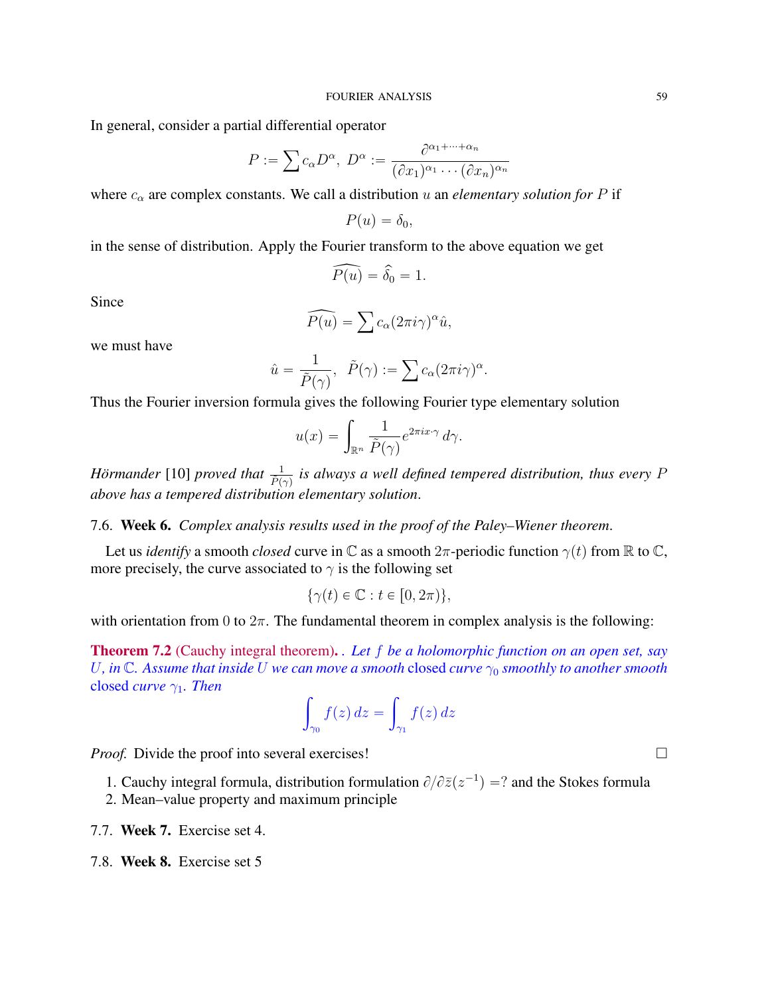In general, consider a partial differential operator

$$
P := \sum c_{\alpha} D^{\alpha}, \ D^{\alpha} := \frac{\partial^{\alpha_1 + \dots + \alpha_n}}{(\partial x_1)^{\alpha_1} \cdots (\partial x_n)^{\alpha_n}}
$$

where  $c_{\alpha}$  are complex constants. We call a distribution u an *elementary solution for* P if

$$
P(u)=\delta_0,
$$

in the sense of distribution. Apply the Fourier transform to the above equation we get

$$
\widehat{P(u)} = \widehat{\delta_0} = 1.
$$

Since

$$
\widehat{P(u)} = \sum c_{\alpha} (2\pi i \gamma)^{\alpha} \hat{u},
$$

we must have

$$
\hat{u} = \frac{1}{\tilde{P}(\gamma)}, \quad \tilde{P}(\gamma) := \sum c_{\alpha} (2\pi i \gamma)^{\alpha}.
$$

Thus the Fourier inversion formula gives the following Fourier type elementary solution

$$
u(x) = \int_{\mathbb{R}^n} \frac{1}{\tilde{P}(\gamma)} e^{2\pi i x \cdot \gamma} d\gamma.
$$

*Hörmander* [10] *proved that*  $\frac{1}{\tilde{P}(\gamma)}$  is always a well defined tempered distribution, thus every P *above has a tempered distribution elementary solution*.

7.6. Week 6. *Complex analysis results used in the proof of the Paley–Wiener theorem*.

Let us *identify* a smooth *closed* curve in  $\mathbb C$  as a smooth  $2\pi$ -periodic function  $\gamma(t)$  from  $\mathbb R$  to  $\mathbb C$ , more precisely, the curve associated to  $\gamma$  is the following set

$$
\{\gamma(t)\in\mathbb{C}:t\in[0,2\pi)\},\
$$

with orientation from 0 to  $2\pi$ . The fundamental theorem in complex analysis is the following:

Theorem 7.2 (Cauchy integral theorem). *. Let* f *be a holomorphic function on an open set, say* U, in  $\mathbb C$ *. Assume that inside* U *we can move a smooth* closed *curve*  $\gamma_0$  *smoothly to another smooth* closed *curve* γ1*. Then*

$$
\int_{\gamma_0} f(z) dz = \int_{\gamma_1} f(z) dz
$$

*Proof.* Divide the proof into several exercises!

1. Cauchy integral formula, distribution formulation  $\partial/\partial \overline{z}(z^{-1}) = ?$  and the Stokes formula

- 2. Mean–value property and maximum principle
- 7.7. Week 7. Exercise set 4.
- 7.8. Week 8. Exercise set 5